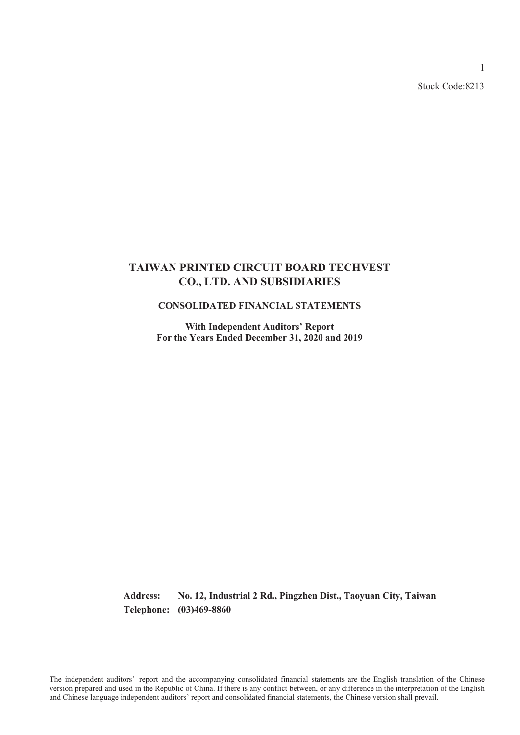Stock Code:8213

1

### **TAIWAN PRINTED CIRCUIT BOARD TECHVEST CO., LTD. AND SUBSIDIARIES**

### **CONSOLIDATED FINANCIAL STATEMENTS**

**With Independent Auditors' Report For the Years Ended December 31, 2020 and 2019**

**Address: No. 12, Industrial 2 Rd., Pingzhen Dist., Taoyuan City, Taiwan Telephone: (03)469-8860**

The independent auditors' report and the accompanying consolidated financial statements are the English translation of the Chinese version prepared and used in the Republic of China. If there is any conflict between, or any difference in the interpretation of the English and Chinese language independent auditors' report and consolidated financial statements, the Chinese version shall prevail.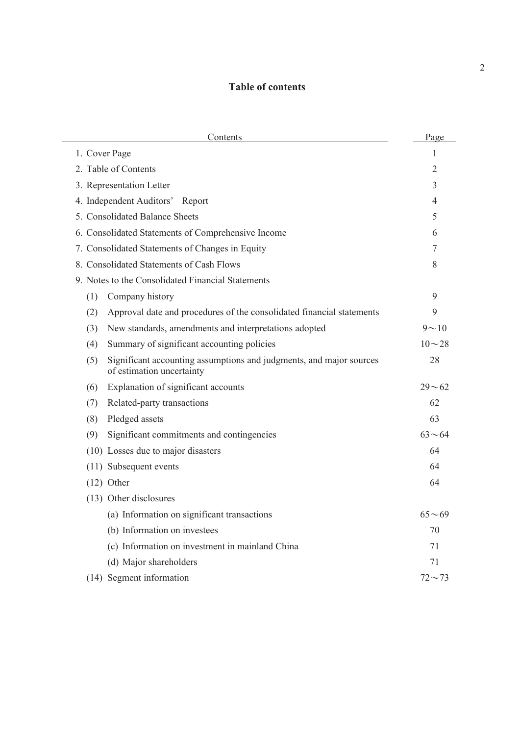# **Table of contents**

| Contents                                                                                                | Page        |
|---------------------------------------------------------------------------------------------------------|-------------|
| 1. Cover Page                                                                                           | 1           |
| 2. Table of Contents                                                                                    | 2           |
| 3. Representation Letter                                                                                | 3           |
| 4. Independent Auditors' Report                                                                         | 4           |
| 5. Consolidated Balance Sheets                                                                          | 5           |
| 6. Consolidated Statements of Comprehensive Income                                                      | 6           |
| 7. Consolidated Statements of Changes in Equity                                                         | 7           |
| 8. Consolidated Statements of Cash Flows                                                                | 8           |
| 9. Notes to the Consolidated Financial Statements                                                       |             |
| (1)<br>Company history                                                                                  | 9           |
| Approval date and procedures of the consolidated financial statements<br>(2)                            | 9           |
| New standards, amendments and interpretations adopted<br>(3)                                            | $9 \sim 10$ |
| Summary of significant accounting policies<br>(4)                                                       | $10 - 28$   |
| Significant accounting assumptions and judgments, and major sources<br>(5)<br>of estimation uncertainty | 28          |
| Explanation of significant accounts<br>(6)                                                              | $29 - 62$   |
| Related-party transactions<br>(7)                                                                       | 62          |
| (8)<br>Pledged assets                                                                                   | 63          |
| Significant commitments and contingencies<br>(9)                                                        | $63 - 64$   |
| (10) Losses due to major disasters                                                                      | 64          |
| (11) Subsequent events                                                                                  | 64          |
| $(12)$ Other                                                                                            | 64          |
| (13) Other disclosures                                                                                  |             |
| (a) Information on significant transactions                                                             | $65 - 69$   |
| (b) Information on investees                                                                            | 70          |
| (c) Information on investment in mainland China                                                         | 71          |
| (d) Major shareholders                                                                                  | 71          |
| (14) Segment information                                                                                | $72 - 73$   |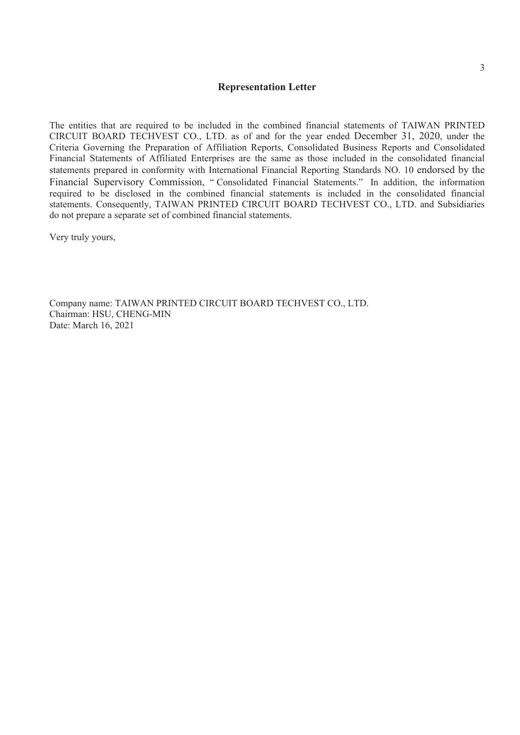### **Representation Letter**

The entities that are required to be included in the combined financial statements of TAIWAN PRINTED CIRCUIT BOARD TECHVEST CO., LTD. as of and for the year ended December 31, 2020, under the Criteria Governing the Preparation of Affiliation Reports, Consolidated Business Reports and Consolidated Financial Statements of Affiliated Enterprises are the same as those included in the consolidated financial statements prepared in conformity with International Financial Reporting Standards NO. 10 endorsed by the Financial Supervisory Commission, " Consolidated Financial Statements." In addition, the information required to be disclosed in the combined financial statements is included in the consolidated financial statements. Consequently, TAIWAN PRINTED CIRCUIT BOARD TECHVEST CO., LTD. and Subsidiaries do not prepare a separate set of combined financial statements.

Very truly yours,

Company name: TAIWAN PRINTED CIRCUIT BOARD TECHVEST CO., LTD. Chairman: HSU, CHENG-MIN Date: March 16, 2021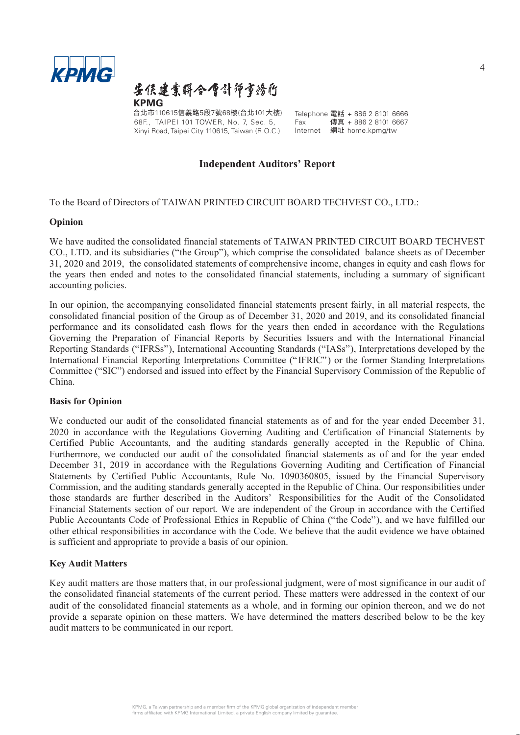

要侯建業群合會計師事務府 **KPMG**

台北市110615信義路5段7號68樓(台北101大樓) Telephone 電話 + 886 2 8101 6666<br>68E TAIPEL 101 TOWEB No. 7 Sec. 5 Fax 傳真 + 886 2 8101 6667 68F., TAIPEI 101 TOWER, No. 7, Sec. 5, Xinyi Road, Taipei City 110615, Taiwan (R.O.C.)

 $Fax$  傳真 + 886 2 8101 6667<br>Internet 網址 home knmg/tw 網址 home.kpmg/tw

### **Independent Auditors' Report**

To the Board of Directors of TAIWAN PRINTED CIRCUIT BOARD TECHVEST CO., LTD.:

### **Opinion**

We have audited the consolidated financial statements of TAIWAN PRINTED CIRCUIT BOARD TECHVEST CO., LTD. and its subsidiaries ("the Group"), which comprise the consolidated balance sheets as of December 31, 2020 and 2019, the consolidated statements of comprehensive income, changes in equity and cash flows for the years then ended and notes to the consolidated financial statements, including a summary of significant accounting policies.

In our opinion, the accompanying consolidated financial statements present fairly, in all material respects, the consolidated financial position of the Group as of December 31, 2020 and 2019, and its consolidated financial performance and its consolidated cash flows for the years then ended in accordance with the Regulations Governing the Preparation of Financial Reports by Securities Issuers and with the International Financial Reporting Standards ("IFRSs"), International Accounting Standards ("IASs"), Interpretations developed by the International Financial Reporting Interpretations Committee ("IFRIC") or the former Standing Interpretations Committee ("SIC") endorsed and issued into effect by the Financial Supervisory Commission of the Republic of China.

### **Basis for Opinion**

We conducted our audit of the consolidated financial statements as of and for the year ended December 31, 2020 in accordance with the Regulations Governing Auditing and Certification of Financial Statements by Certified Public Accountants, and the auditing standards generally accepted in the Republic of China. Furthermore, we conducted our audit of the consolidated financial statements as of and for the year ended December 31, 2019 in accordance with the Regulations Governing Auditing and Certification of Financial Statements by Certified Public Accountants, Rule No. 1090360805, issued by the Financial Supervisory Commission, and the auditing standards generally accepted in the Republic of China. Our responsibilities under those standards are further described in the Auditors' Responsibilities for the Audit of the Consolidated Financial Statements section of our report. We are independent of the Group in accordance with the Certified Public Accountants Code of Professional Ethics in Republic of China ("the Code"), and we have fulfilled our other ethical responsibilities in accordance with the Code. We believe that the audit evidence we have obtained is sufficient and appropriate to provide a basis of our opinion.

### **Key Audit Matters**

Key audit matters are those matters that, in our professional judgment, were of most significance in our audit of the consolidated financial statements of the current period. These matters were addressed in the context of our audit of the consolidated financial statements as a whole, and in forming our opinion thereon, and we do not provide a separate opinion on these matters. We have determined the matters described below to be the key audit matters to be communicated in our report.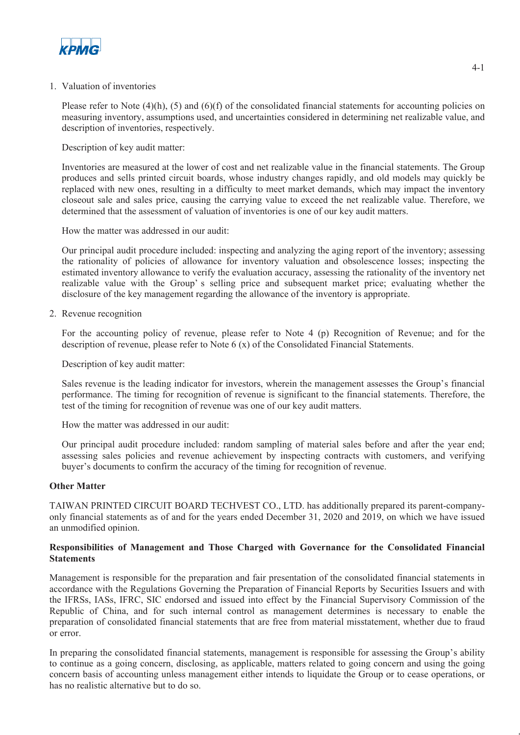

1. Valuation of inventories

Please refer to Note  $(4)(h)$ , (5) and  $(6)(f)$  of the consolidated financial statements for accounting policies on measuring inventory, assumptions used, and uncertainties considered in determining net realizable value, and description of inventories, respectively.

Description of key audit matter:

Inventories are measured at the lower of cost and net realizable value in the financial statements. The Group produces and sells printed circuit boards, whose industry changes rapidly, and old models may quickly be replaced with new ones, resulting in a difficulty to meet market demands, which may impact the inventory closeout sale and sales price, causing the carrying value to exceed the net realizable value. Therefore, we determined that the assessment of valuation of inventories is one of our key audit matters.

How the matter was addressed in our audit:

Our principal audit procedure included: inspecting and analyzing the aging report of the inventory; assessing the rationality of policies of allowance for inventory valuation and obsolescence losses; inspecting the estimated inventory allowance to verify the evaluation accuracy, assessing the rationality of the inventory net realizable value with the Group' s selling price and subsequent market price; evaluating whether the disclosure of the key management regarding the allowance of the inventory is appropriate.

2. Revenue recognition

For the accounting policy of revenue, please refer to Note 4 (p) Recognition of Revenue; and for the description of revenue, please refer to Note 6 (x) of the Consolidated Financial Statements.

Description of key audit matter:

Sales revenue is the leading indicator for investors, wherein the management assesses the Group's financial performance. The timing for recognition of revenue is significant to the financial statements. Therefore, the test of the timing for recognition of revenue was one of our key audit matters.

How the matter was addressed in our audit:

Our principal audit procedure included: random sampling of material sales before and after the year end; assessing sales policies and revenue achievement by inspecting contracts with customers, and verifying buyer's documents to confirm the accuracy of the timing for recognition of revenue.

### **Other Matter**

TAIWAN PRINTED CIRCUIT BOARD TECHVEST CO., LTD. has additionally prepared its parent-companyonly financial statements as of and for the years ended December 31, 2020 and 2019, on which we have issued an unmodified opinion.

### **Responsibilities of Management and Those Charged with Governance for the Consolidated Financial Statements**

Management is responsible for the preparation and fair presentation of the consolidated financial statements in accordance with the Regulations Governing the Preparation of Financial Reports by Securities Issuers and with the IFRSs, IASs, IFRC, SIC endorsed and issued into effect by the Financial Supervisory Commission of the Republic of China, and for such internal control as management determines is necessary to enable the preparation of consolidated financial statements that are free from material misstatement, whether due to fraud or error.

In preparing the consolidated financial statements, management is responsible for assessing the Group's ability to continue as a going concern, disclosing, as applicable, matters related to going concern and using the going concern basis of accounting unless management either intends to liquidate the Group or to cease operations, or has no realistic alternative but to do so.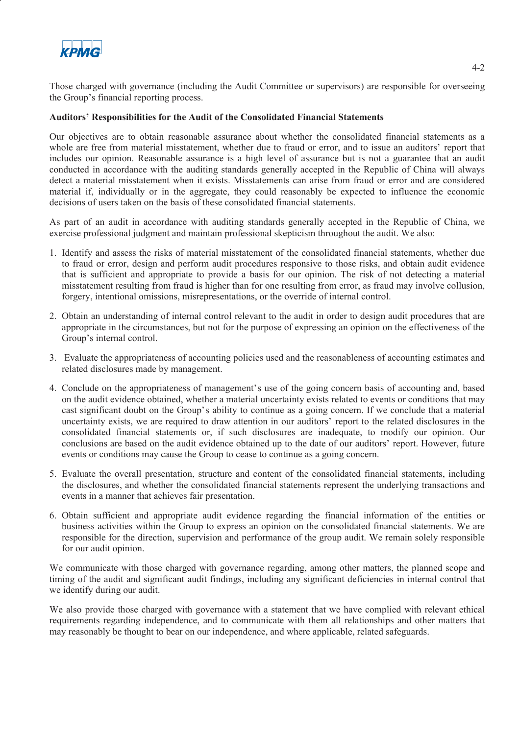

Those charged with governance (including the Audit Committee or supervisors) are responsible for overseeing the Group's financial reporting process.

#### **Auditors' Responsibilities for the Audit of the Consolidated Financial Statements**

Our objectives are to obtain reasonable assurance about whether the consolidated financial statements as a whole are free from material misstatement, whether due to fraud or error, and to issue an auditors' report that includes our opinion. Reasonable assurance is a high level of assurance but is not a guarantee that an audit conducted in accordance with the auditing standards generally accepted in the Republic of China will always detect a material misstatement when it exists. Misstatements can arise from fraud or error and are considered material if, individually or in the aggregate, they could reasonably be expected to influence the economic decisions of users taken on the basis of these consolidated financial statements.

As part of an audit in accordance with auditing standards generally accepted in the Republic of China, we exercise professional judgment and maintain professional skepticism throughout the audit. We also:

- 1. Identify and assess the risks of material misstatement of the consolidated financial statements, whether due to fraud or error, design and perform audit procedures responsive to those risks, and obtain audit evidence that is sufficient and appropriate to provide a basis for our opinion. The risk of not detecting a material misstatement resulting from fraud is higher than for one resulting from error, as fraud may involve collusion, forgery, intentional omissions, misrepresentations, or the override of internal control.
- 2. Obtain an understanding of internal control relevant to the audit in order to design audit procedures that are appropriate in the circumstances, but not for the purpose of expressing an opinion on the effectiveness of the Group's internal control.
- 3. Evaluate the appropriateness of accounting policies used and the reasonableness of accounting estimates and related disclosures made by management.
- 4. Conclude on the appropriateness of management's use of the going concern basis of accounting and, based on the audit evidence obtained, whether a material uncertainty exists related to events or conditions that may cast significant doubt on the Group's ability to continue as a going concern. If we conclude that a material uncertainty exists, we are required to draw attention in our auditors' report to the related disclosures in the consolidated financial statements or, if such disclosures are inadequate, to modify our opinion. Our conclusions are based on the audit evidence obtained up to the date of our auditors' report. However, future events or conditions may cause the Group to cease to continue as a going concern.
- 5. Evaluate the overall presentation, structure and content of the consolidated financial statements, including the disclosures, and whether the consolidated financial statements represent the underlying transactions and events in a manner that achieves fair presentation.
- 6. Obtain sufficient and appropriate audit evidence regarding the financial information of the entities or business activities within the Group to express an opinion on the consolidated financial statements. We are responsible for the direction, supervision and performance of the group audit. We remain solely responsible for our audit opinion.

We communicate with those charged with governance regarding, among other matters, the planned scope and timing of the audit and significant audit findings, including any significant deficiencies in internal control that we identify during our audit.

We also provide those charged with governance with a statement that we have complied with relevant ethical requirements regarding independence, and to communicate with them all relationships and other matters that may reasonably be thought to bear on our independence, and where applicable, related safeguards.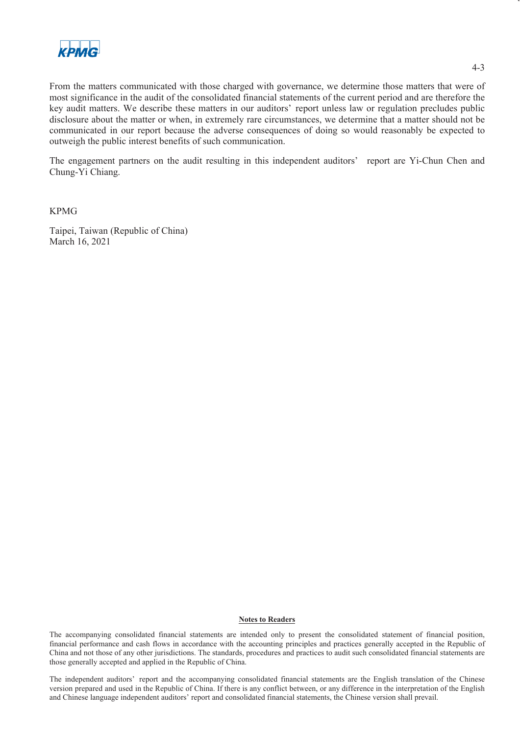

From the matters communicated with those charged with governance, we determine those matters that were of most significance in the audit of the consolidated financial statements of the current period and are therefore the key audit matters. We describe these matters in our auditors' report unless law or regulation precludes public disclosure about the matter or when, in extremely rare circumstances, we determine that a matter should not be communicated in our report because the adverse consequences of doing so would reasonably be expected to outweigh the public interest benefits of such communication.

The engagement partners on the audit resulting in this independent auditors' report are Yi-Chun Chen and Chung-Yi Chiang.

KPMG

Taipei, Taiwan (Republic of China) March 16, 2021

#### **Notes to Readers**

The accompanying consolidated financial statements are intended only to present the consolidated statement of financial position, financial performance and cash flows in accordance with the accounting principles and practices generally accepted in the Republic of China and not those of any other jurisdictions. The standards, procedures and practices to audit such consolidated financial statements are those generally accepted and applied in the Republic of China.

The independent auditors' report and the accompanying consolidated financial statements are the English translation of the Chinese version prepared and used in the Republic of China. If there is any conflict between, or any difference in the interpretation of the English and Chinese language independent auditors' report and consolidated financial statements, the Chinese version shall prevail.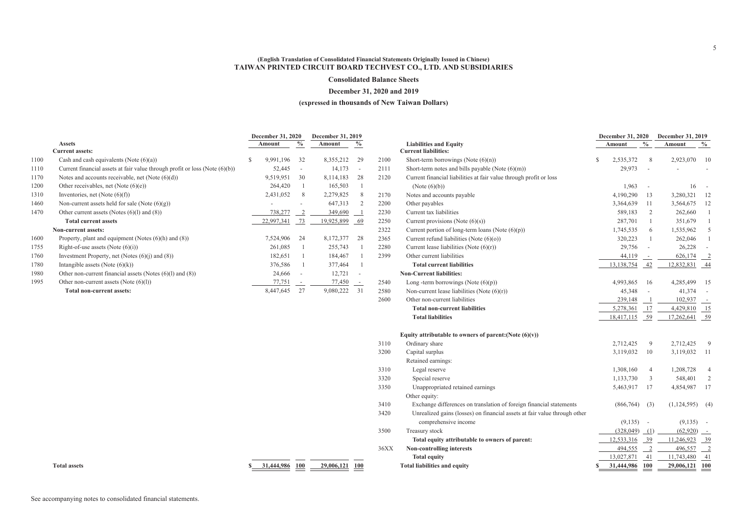#### **Consolidated Balance Sheets**

#### **December 31, 2020 and 2019**

#### **(expressed in thousands of New Taiwan Dollars)**

|      |                                                                                |    | <b>December 31, 2020</b> |                            | December 31, 2019 |                          |      |
|------|--------------------------------------------------------------------------------|----|--------------------------|----------------------------|-------------------|--------------------------|------|
|      | <b>Assets</b>                                                                  |    | Amount                   | $\%$                       | Amount            | $\%$                     |      |
|      | <b>Current assets:</b>                                                         |    |                          |                            |                   |                          |      |
| 1100 | Cash and cash equivalents (Note $(6)(a)$ )                                     | \$ | 9,991,196                | 32                         | 8,355,212         | 29                       | 2100 |
| 1110 | Current financial assets at fair value through profit or loss (Note $(6)(b)$ ) |    | 52,445                   | $\overline{\phantom{a}}$   | 14,173            | $\overline{\phantom{a}}$ | 2111 |
| 1170 | Notes and accounts receivable, net (Note $(6)(d)$ )                            |    | 9,519,951                | 30                         | 8,114,183         | 28                       | 2120 |
| 1200 | Other receivables, net (Note $(6)(e)$ )                                        |    | 264,420                  | 1                          | 165,503           | 1                        |      |
| 1310 | Inventories, net (Note $(6)(f)$ )                                              |    | 2,431,052                | 8                          | 2,279,825         | 8                        | 2170 |
| 1460 | Non-current assets held for sale (Note $(6)(g)$ )                              |    |                          |                            | 647,313           | 2                        | 2200 |
| 1470 | Other current assets (Notes $(6)(1)$ and $(8)$ )                               |    | 738,277                  | $\overline{\phantom{0}}^2$ | 349,690           |                          | 2230 |
|      | <b>Total current assets</b>                                                    |    | 22,997,341               | 73                         | 19,925,899        | -69                      | 2250 |
|      | <b>Non-current assets:</b>                                                     |    |                          |                            |                   |                          | 2322 |
| 1600 | Property, plant and equipment (Notes $(6)(h)$ and $(8)$ )                      |    | 7,524,906                | 24                         | 8,172,377         | 28                       | 2365 |
| 1755 | Right-of-use assets (Note $(6)(i)$ )                                           |    | 261,085                  |                            | 255,743           |                          | 2280 |
| 1760 | Investment Property, net (Notes $(6)(i)$ ) and $(8)$ )                         |    | 182,651                  |                            | 184,467           |                          | 2399 |
| 1780 | Intangible assets (Note $(6)(k)$ )                                             |    | 376,586                  |                            | 377,464           | 1                        |      |
| 1980 | Other non-current financial assets (Notes $(6)(1)$ and $(8)$ )                 |    | 24,666                   | ٠                          | 12,721            | $\blacksquare$           |      |
| 1995 | Other non-current assets (Note $(6)(1)$ )                                      |    | 77,751                   |                            | 77,450            |                          | 2540 |
|      | Total non-current assets:                                                      |    | 8,447,645                | 27                         | 9,080,222         | 31                       | 2580 |
|      |                                                                                |    |                          |                            |                   |                          |      |

|      |                                                                           |    | December 31, 2020 |                          | December 31, 2019 |                |  |
|------|---------------------------------------------------------------------------|----|-------------------|--------------------------|-------------------|----------------|--|
|      | <b>Liabilities and Equity</b>                                             |    | Amount            | $\frac{0}{0}$            | Amount            | $\frac{0}{0}$  |  |
|      | <b>Current liabilities:</b>                                               |    |                   |                          |                   |                |  |
| 2100 | Short-term borrowings (Note $(6)(n)$ )                                    | \$ | 2,535,372         | 8                        | 2,923,070         | 10             |  |
| 2111 | Short-term notes and bills payable (Note $(6)(m)$ )                       |    | 29,973            |                          |                   |                |  |
| 2120 | Current financial liabilities at fair value through profit or loss        |    |                   |                          |                   |                |  |
|      | (Note (6)(b))                                                             |    | 1,963             | $\blacksquare$           | 16                |                |  |
| 2170 | Notes and accounts payable                                                |    | 4,190,290         | 13                       | 3,280,321         | 12             |  |
| 2200 | Other payables                                                            |    | 3,364,639         | 11                       | 3,564,675         | 12             |  |
| 2230 | Current tax liabilities                                                   |    | 589,183           | $\overline{2}$           | 262,660           | $\mathbf{1}$   |  |
| 2250 | Current provisions (Note $(6)(s)$ )                                       |    | 287,701           | $\mathbf{1}$             | 351,679           | $\mathbf{1}$   |  |
| 2322 | Current portion of long-term loans (Note $(6)(p)$ )                       |    | 1,745,535         | 6                        | 1,535,962         | 5              |  |
| 2365 | Current refund liabilities (Note $(6)(0)$ )                               |    | 320,223           | $\mathbf{1}$             | 262,046           | $\mathbf{1}$   |  |
| 2280 | Current lease liabilities (Note $(6)(r)$ )                                |    | 29,756            | L                        | 26,228            | ä,             |  |
| 2399 | Other current liabilities                                                 |    | 44,119            | $\overline{\phantom{a}}$ | 626,174           | $\overline{2}$ |  |
|      | <b>Total current liabilities</b>                                          |    | 13,138,754        | 42                       | 12,832,831        | 44             |  |
|      | <b>Non-Current liabilities:</b>                                           |    |                   |                          |                   |                |  |
| 2540 | Long -term borrowings (Note $(6)(p)$ )                                    |    | 4,993,865         | 16                       | 4,285,499         | 15             |  |
| 2580 | Non-current lease liabilities (Note $(6)(r)$ )                            |    | 45,348            | L.                       | 41,374            | $\blacksquare$ |  |
| 2600 | Other non-current liabilities                                             |    | 239,148           | $\mathbf{1}$             | 102,937           |                |  |
|      | <b>Total non-current liabilities</b>                                      |    | 5,278,361         | 17                       | 4,429,810         | -15            |  |
|      | <b>Total liabilities</b>                                                  |    | 18,417,115        | 59                       | 17,262,641        | 59             |  |
|      | Equity attributable to owners of parent: (Note $(6)(v)$ )                 |    |                   |                          |                   |                |  |
| 3110 | Ordinary share                                                            |    | 2,712,425         | 9                        | 2,712,425         | 9              |  |
| 3200 | Capital surplus                                                           |    | 3,119,032         | 10                       | 3,119,032         | 11             |  |
|      | Retained earnings:                                                        |    |                   |                          |                   |                |  |
| 3310 | Legal reserve                                                             |    | 1,308,160         | 4                        | 1,208,728         | $\overline{4}$ |  |
| 3320 | Special reserve                                                           |    | 1,133,730         | 3                        | 548,401           | $\overline{2}$ |  |
| 3350 | Unappropriated retained earnings                                          |    | 5,463,917         | 17                       | 4,854,987         | 17             |  |
|      | Other equity:                                                             |    |                   |                          |                   |                |  |
| 3410 | Exchange differences on translation of foreign financial statements       |    | (866,764)         | (3)                      | (1, 124, 595)     | (4)            |  |
| 3420 | Unrealized gains (losses) on financial assets at fair value through other |    |                   |                          |                   |                |  |
|      | comprehensive income                                                      |    | (9, 135)          |                          | (9, 135)          |                |  |
| 3500 | Treasury stock                                                            |    | (328, 049)        | (1)                      | (62, 920)         | $\sim$         |  |
|      | Total equity attributable to owners of parent:                            |    | 12,533,316        | 39                       | 11,246,923        | 39             |  |
| 36XX | <b>Non-controlling interests</b>                                          |    | 494,555           | $\overline{c}$           | 496,557           | $\overline{2}$ |  |
|      | <b>Total equity</b>                                                       |    | 13,027,871        | 41                       | 11,743,480        | 41             |  |
|      | <b>Total liabilities and equity</b>                                       | \$ | 31,444,986        | 100                      | 29,006,121        | 100            |  |

**Total assets \$ 31,444,986 100 29,006,121 100**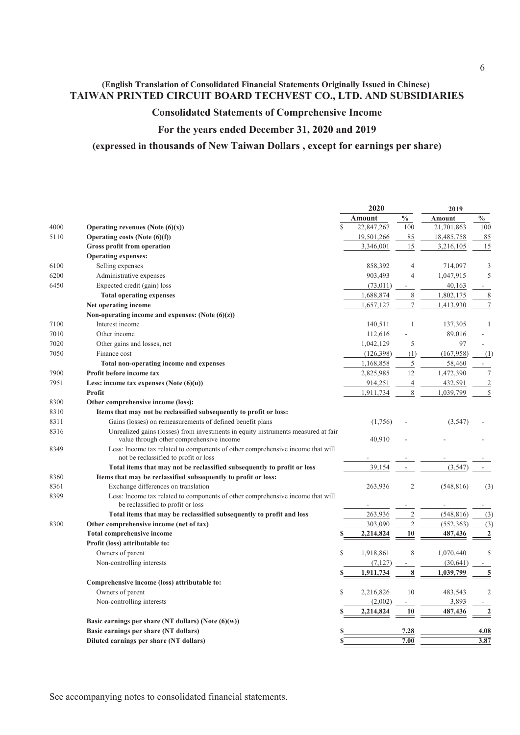### **Consolidated Statements of Comprehensive Income**

### **For the years ended December 31, 2020 and 2019**

### **(expressed in thousands of New Taiwan Dollars , except for earnings per share)**

| $\frac{0}{0}$<br><b>Amount</b><br>$\mathcal{S}$<br>4000<br>22,847,267<br>Operating revenues (Note $(6)(x)$ )<br>5110<br>Operating costs (Note $(6)(f)$ )<br>19,501,266<br>Gross profit from operation<br>3,346,001<br><b>Operating expenses:</b><br>6100<br>Selling expenses<br>858,392<br>6200<br>903,493<br>Administrative expenses<br>6450<br>Expected credit (gain) loss<br>(73, 011)<br>1,688,874<br><b>Total operating expenses</b><br>1,657,127<br>Net operating income<br>Non-operating income and expenses: (Note $(6)(z)$ )<br>7100<br>Interest income<br>140,511<br>7010<br>Other income<br>112,616<br>7020<br>Other gains and losses, net<br>1,042,129<br>Finance cost<br>7050<br>(126,398)<br>Total non-operating income and expenses<br>1,168,858<br>Profit before income tax<br>2,825,985<br>7900 | Amount<br>100<br>21,701,863<br>85<br>18,485,758<br>15<br>3,216,105 | $\frac{0}{0}$<br>100 |
|------------------------------------------------------------------------------------------------------------------------------------------------------------------------------------------------------------------------------------------------------------------------------------------------------------------------------------------------------------------------------------------------------------------------------------------------------------------------------------------------------------------------------------------------------------------------------------------------------------------------------------------------------------------------------------------------------------------------------------------------------------------------------------------------------------------|--------------------------------------------------------------------|----------------------|
|                                                                                                                                                                                                                                                                                                                                                                                                                                                                                                                                                                                                                                                                                                                                                                                                                  |                                                                    |                      |
|                                                                                                                                                                                                                                                                                                                                                                                                                                                                                                                                                                                                                                                                                                                                                                                                                  |                                                                    |                      |
|                                                                                                                                                                                                                                                                                                                                                                                                                                                                                                                                                                                                                                                                                                                                                                                                                  |                                                                    | 85                   |
|                                                                                                                                                                                                                                                                                                                                                                                                                                                                                                                                                                                                                                                                                                                                                                                                                  |                                                                    | 15                   |
|                                                                                                                                                                                                                                                                                                                                                                                                                                                                                                                                                                                                                                                                                                                                                                                                                  |                                                                    |                      |
|                                                                                                                                                                                                                                                                                                                                                                                                                                                                                                                                                                                                                                                                                                                                                                                                                  | $\overline{4}$<br>714,097                                          | 3                    |
|                                                                                                                                                                                                                                                                                                                                                                                                                                                                                                                                                                                                                                                                                                                                                                                                                  | $\overline{4}$<br>1,047,915                                        | 5                    |
|                                                                                                                                                                                                                                                                                                                                                                                                                                                                                                                                                                                                                                                                                                                                                                                                                  | 40,163                                                             |                      |
|                                                                                                                                                                                                                                                                                                                                                                                                                                                                                                                                                                                                                                                                                                                                                                                                                  | 8<br>1,802,175                                                     | 8                    |
|                                                                                                                                                                                                                                                                                                                                                                                                                                                                                                                                                                                                                                                                                                                                                                                                                  | $\tau$<br>1,413,930                                                | $\boldsymbol{7}$     |
|                                                                                                                                                                                                                                                                                                                                                                                                                                                                                                                                                                                                                                                                                                                                                                                                                  |                                                                    |                      |
|                                                                                                                                                                                                                                                                                                                                                                                                                                                                                                                                                                                                                                                                                                                                                                                                                  | 137,305<br>1                                                       | 1                    |
|                                                                                                                                                                                                                                                                                                                                                                                                                                                                                                                                                                                                                                                                                                                                                                                                                  | 89,016                                                             |                      |
|                                                                                                                                                                                                                                                                                                                                                                                                                                                                                                                                                                                                                                                                                                                                                                                                                  | 97<br>5                                                            |                      |
|                                                                                                                                                                                                                                                                                                                                                                                                                                                                                                                                                                                                                                                                                                                                                                                                                  | (167, 958)<br>(1)                                                  | (1)                  |
|                                                                                                                                                                                                                                                                                                                                                                                                                                                                                                                                                                                                                                                                                                                                                                                                                  | $\overline{5}$<br>58,460                                           |                      |
|                                                                                                                                                                                                                                                                                                                                                                                                                                                                                                                                                                                                                                                                                                                                                                                                                  | 12<br>1,472,390                                                    | $\tau$               |
| 7951<br>Less: income tax expenses (Note $(6)(u)$ )<br>914,251                                                                                                                                                                                                                                                                                                                                                                                                                                                                                                                                                                                                                                                                                                                                                    | $\sqrt{4}$<br>432,591                                              | $\overline{c}$       |
| Profit<br>1,911,734                                                                                                                                                                                                                                                                                                                                                                                                                                                                                                                                                                                                                                                                                                                                                                                              | 8<br>1,039,799                                                     | 5                    |
| Other comprehensive income (loss):<br>8300                                                                                                                                                                                                                                                                                                                                                                                                                                                                                                                                                                                                                                                                                                                                                                       |                                                                    |                      |
| 8310<br>Items that may not be reclassified subsequently to profit or loss:                                                                                                                                                                                                                                                                                                                                                                                                                                                                                                                                                                                                                                                                                                                                       |                                                                    |                      |
| Gains (losses) on remeasurements of defined benefit plans<br>8311<br>(1,756)                                                                                                                                                                                                                                                                                                                                                                                                                                                                                                                                                                                                                                                                                                                                     | (3, 547)                                                           |                      |
| Unrealized gains (losses) from investments in equity instruments measured at fair<br>8316<br>value through other comprehensive income<br>40,910                                                                                                                                                                                                                                                                                                                                                                                                                                                                                                                                                                                                                                                                  |                                                                    |                      |
| Less: Income tax related to components of other comprehensive income that will<br>8349<br>not be reclassified to profit or loss                                                                                                                                                                                                                                                                                                                                                                                                                                                                                                                                                                                                                                                                                  |                                                                    |                      |
| 39,154<br>Total items that may not be reclassified subsequently to profit or loss                                                                                                                                                                                                                                                                                                                                                                                                                                                                                                                                                                                                                                                                                                                                | (3, 547)                                                           |                      |
| 8360<br>Items that may be reclassified subsequently to profit or loss:                                                                                                                                                                                                                                                                                                                                                                                                                                                                                                                                                                                                                                                                                                                                           |                                                                    |                      |
| Exchange differences on translation<br>263,936<br>8361                                                                                                                                                                                                                                                                                                                                                                                                                                                                                                                                                                                                                                                                                                                                                           | $\overline{c}$<br>(548, 816)                                       | (3)                  |
| 8399<br>Less: Income tax related to components of other comprehensive income that will<br>be reclassified to profit or loss                                                                                                                                                                                                                                                                                                                                                                                                                                                                                                                                                                                                                                                                                      |                                                                    |                      |
| 263,936<br>Total items that may be reclassified subsequently to profit and loss                                                                                                                                                                                                                                                                                                                                                                                                                                                                                                                                                                                                                                                                                                                                  | $\sqrt{2}$<br>(548, 816)                                           | (3)                  |
| 303,090<br>8300<br>Other comprehensive income (net of tax)                                                                                                                                                                                                                                                                                                                                                                                                                                                                                                                                                                                                                                                                                                                                                       | $\overline{c}$<br>(552, 363)                                       | (3)                  |
| Total comprehensive income<br>2,214,824                                                                                                                                                                                                                                                                                                                                                                                                                                                                                                                                                                                                                                                                                                                                                                          | 10<br>487,436                                                      | $\overline{2}$       |
| Profit (loss) attributable to:                                                                                                                                                                                                                                                                                                                                                                                                                                                                                                                                                                                                                                                                                                                                                                                   |                                                                    |                      |
| $\mathbb{S}$<br>1,918,861<br>Owners of parent                                                                                                                                                                                                                                                                                                                                                                                                                                                                                                                                                                                                                                                                                                                                                                    | 8<br>1,070,440                                                     | 5                    |
| Non-controlling interests<br>(7,127)<br>$\Box$                                                                                                                                                                                                                                                                                                                                                                                                                                                                                                                                                                                                                                                                                                                                                                   | (30, 641)                                                          |                      |
| 1,911,734<br>\$                                                                                                                                                                                                                                                                                                                                                                                                                                                                                                                                                                                                                                                                                                                                                                                                  | 8<br>1,039,799                                                     | 5                    |
| Comprehensive income (loss) attributable to:                                                                                                                                                                                                                                                                                                                                                                                                                                                                                                                                                                                                                                                                                                                                                                     |                                                                    |                      |
| $\mathbb{S}$<br>Owners of parent<br>2,216,826                                                                                                                                                                                                                                                                                                                                                                                                                                                                                                                                                                                                                                                                                                                                                                    | 10<br>483,543                                                      | $\overline{2}$       |
| Non-controlling interests<br>(2,002)<br>÷,                                                                                                                                                                                                                                                                                                                                                                                                                                                                                                                                                                                                                                                                                                                                                                       | 3,893                                                              |                      |
| 2,214,824                                                                                                                                                                                                                                                                                                                                                                                                                                                                                                                                                                                                                                                                                                                                                                                                        | 10<br>487,436                                                      | $\overline{2}$       |
| Basic earnings per share (NT dollars) (Note $(6)(w)$ )                                                                                                                                                                                                                                                                                                                                                                                                                                                                                                                                                                                                                                                                                                                                                           |                                                                    |                      |
| Basic earnings per share (NT dollars)<br>\$                                                                                                                                                                                                                                                                                                                                                                                                                                                                                                                                                                                                                                                                                                                                                                      | 7.28                                                               | 4.08                 |
| Ś<br>Diluted earnings per share (NT dollars)                                                                                                                                                                                                                                                                                                                                                                                                                                                                                                                                                                                                                                                                                                                                                                     | 7.00                                                               | 3.87                 |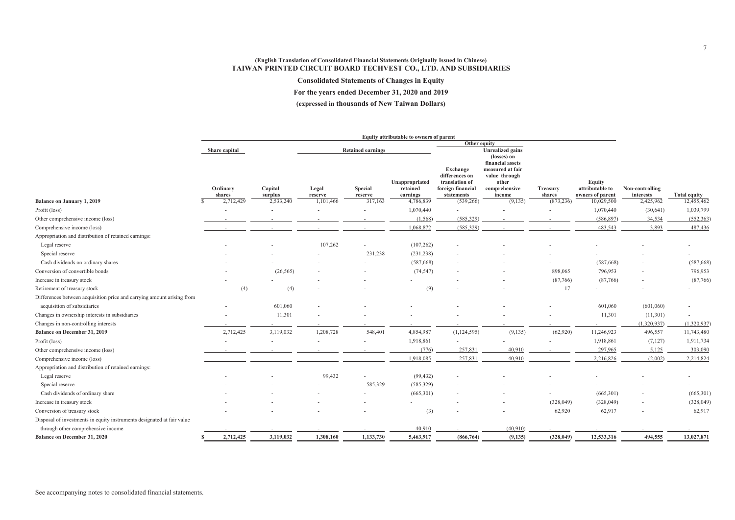**Consolidated Statements of Changes in Equity**

**For the years ended December 31, 2020 and 2019**

**(expressed in thousands of New Taiwan Dollars)**

|                                                                        |                           |                      |                      |                                     | Equity attributable to owners of parent |                                                                   |                                                                                                                           |                      |                                |                        |                                   |  |
|------------------------------------------------------------------------|---------------------------|----------------------|----------------------|-------------------------------------|-----------------------------------------|-------------------------------------------------------------------|---------------------------------------------------------------------------------------------------------------------------|----------------------|--------------------------------|------------------------|-----------------------------------|--|
|                                                                        |                           |                      |                      |                                     |                                         | Other equity                                                      |                                                                                                                           |                      |                                |                        |                                   |  |
|                                                                        | Share capital<br>Ordinary | Capital              | Legal                | <b>Retained earnings</b><br>Special | Unappropriated<br>retained              | Exchange<br>differences on<br>translation of<br>foreign financial | <b>Unrealized gains</b><br>(losses) on<br>financial assets<br>measured at fair<br>value through<br>other<br>comprehensive | <b>Treasury</b>      | Equity<br>attributable to      | Non-controlling        |                                   |  |
| Balance on January 1, 2019                                             | shares<br>2,712,429       | surplus<br>2,533,240 | reserve<br>1,101,466 | reserve<br>317,163                  | earnings<br>4,786,839                   | statements<br>(539, 266)                                          | income<br>(9, 135)                                                                                                        | shares<br>(873, 236) | owners of parent<br>10,029,500 | interests<br>2,425,962 | <b>Total equity</b><br>12,455,462 |  |
|                                                                        |                           |                      |                      |                                     |                                         |                                                                   |                                                                                                                           |                      |                                |                        |                                   |  |
| Profit (loss)                                                          |                           |                      |                      |                                     | 1,070,440                               |                                                                   |                                                                                                                           |                      | 1,070,440                      | (30,641)               | 1,039,799                         |  |
| Other comprehensive income (loss)                                      |                           |                      |                      |                                     | (1, 568)                                | (585, 329)                                                        |                                                                                                                           |                      | (586, 897)                     | 34,534                 | (552, 363)                        |  |
| Comprehensive income (loss)                                            |                           |                      |                      |                                     | 1,068,872                               | (585, 329)                                                        |                                                                                                                           |                      | 483,543                        | 3,893                  | 487,436                           |  |
| Appropriation and distribution of retained earnings:                   |                           |                      |                      |                                     |                                         |                                                                   |                                                                                                                           |                      |                                |                        |                                   |  |
| Legal reserve                                                          |                           |                      | 107,262              |                                     | (107, 262)                              |                                                                   |                                                                                                                           |                      |                                |                        |                                   |  |
| Special reserve                                                        |                           |                      |                      | 231,238                             | (231, 238)                              |                                                                   |                                                                                                                           |                      |                                |                        |                                   |  |
| Cash dividends on ordinary shares                                      |                           |                      |                      |                                     | (587, 668)                              |                                                                   |                                                                                                                           |                      | (587, 668)                     |                        | (587, 668)                        |  |
| Conversion of convertible bonds                                        |                           | (26, 565)            |                      |                                     | (74, 547)                               |                                                                   |                                                                                                                           | 898,065              | 796,953                        |                        | 796,953                           |  |
| Increase in treasury stock                                             |                           |                      |                      |                                     |                                         |                                                                   |                                                                                                                           | (87,766)             | (87,766)                       |                        | (87,766)                          |  |
| Retirement of treasury stock                                           | (4)                       | (4)                  |                      |                                     | (9)                                     |                                                                   |                                                                                                                           | 17                   |                                |                        |                                   |  |
| Differences between acquisition price and carrying amount arising from |                           |                      |                      |                                     |                                         |                                                                   |                                                                                                                           |                      |                                |                        |                                   |  |
| acquisition of subsidiaries                                            |                           | 601,060              |                      |                                     |                                         |                                                                   |                                                                                                                           |                      | 601,060                        | (601,060)              |                                   |  |
| Changes in ownership interests in subsidiaries                         |                           | 11,301               |                      |                                     |                                         |                                                                   |                                                                                                                           |                      | 11,301                         | (11,301)               |                                   |  |
| Changes in non-controlling interests                                   |                           |                      |                      |                                     |                                         |                                                                   |                                                                                                                           |                      |                                | (1,320,937)            | (1,320,937)                       |  |
| Balance on December 31, 2019                                           | 2,712,425                 | 3,119,032            | 1,208,728            | 548,401                             | 4,854,987                               | (1, 124, 595)                                                     | (9, 135)                                                                                                                  | (62,920)             | 11,246,923                     | 496,557                | 11,743,480                        |  |
| Profit (loss)                                                          |                           |                      |                      |                                     | 1,918,861                               |                                                                   |                                                                                                                           |                      | 1,918,861                      | (7,127)                | 1,911,734                         |  |
| Other comprehensive income (loss)                                      |                           |                      |                      |                                     | (776)                                   | 257,831                                                           | 40,910                                                                                                                    |                      | 297,965                        | 5,125                  | 303,090                           |  |
| Comprehensive income (loss)                                            |                           |                      |                      |                                     | 1,918,085                               | 257,831                                                           | 40,910                                                                                                                    |                      | 2,216,826                      | (2,002)                | 2,214,824                         |  |
| Appropriation and distribution of retained earnings:                   |                           |                      |                      |                                     |                                         |                                                                   |                                                                                                                           |                      |                                |                        |                                   |  |
| Legal reserve                                                          |                           |                      | 99,432               |                                     | (99, 432)                               |                                                                   |                                                                                                                           |                      |                                |                        |                                   |  |
| Special reserve                                                        |                           |                      |                      | 585,329                             | (585, 329)                              |                                                                   |                                                                                                                           |                      |                                |                        |                                   |  |
| Cash dividends of ordinary share                                       |                           |                      |                      |                                     | (665, 301)                              |                                                                   |                                                                                                                           |                      | (665, 301)                     |                        | (665, 301)                        |  |
| Increase in treasury stock                                             |                           |                      |                      |                                     |                                         |                                                                   |                                                                                                                           | (328, 049)           | (328, 049)                     |                        | (328, 049)                        |  |
| Conversion of treasury stock                                           |                           |                      |                      |                                     | (3)                                     |                                                                   |                                                                                                                           | 62,920               | 62,917                         |                        | 62,917                            |  |
| Disposal of investments in equity instruments designated at fair value |                           |                      |                      |                                     |                                         |                                                                   |                                                                                                                           |                      |                                |                        |                                   |  |
| through other comprehensive income                                     |                           |                      |                      |                                     | 40,910                                  |                                                                   | (40, 910)                                                                                                                 |                      |                                |                        |                                   |  |
| Balance on December 31, 2020                                           | 2,712,425                 | 3,119,032            | 1,308,160            | 1,133,730                           | 5,463,917                               | (866, 764)                                                        | (9, 135)                                                                                                                  | (328, 049)           | 12,533,316                     | 494,555                | 13,027,871                        |  |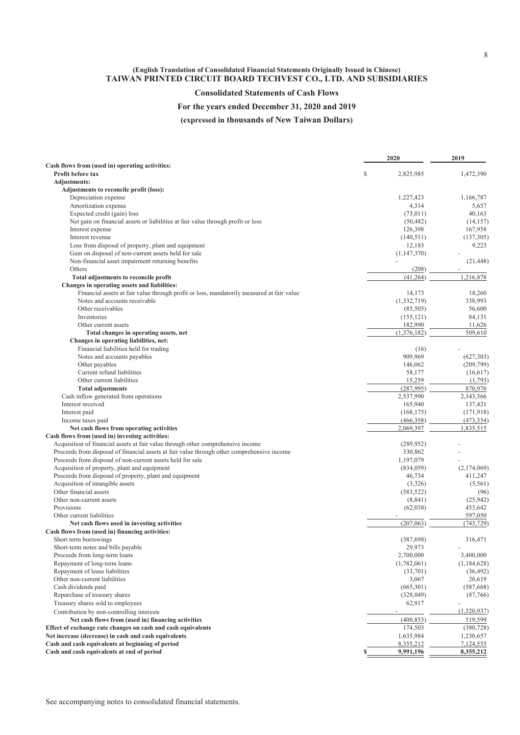#### **Consolidated Statements of Cash Flows**

#### **For the years ended December 31, 2020 and 2019**

#### **(expressed in thousands of New Taiwan Dollars)**

|                                                                                                                                                                                 |    | 2020                    | 2019                 |
|---------------------------------------------------------------------------------------------------------------------------------------------------------------------------------|----|-------------------------|----------------------|
| Cash flows from (used in) operating activities:                                                                                                                                 |    |                         |                      |
| Profit before tax                                                                                                                                                               | \$ | 2,825,985               | 1,472,390            |
| <b>Adjustments:</b>                                                                                                                                                             |    |                         |                      |
| Adjustments to reconcile profit (loss):                                                                                                                                         |    |                         |                      |
| Depreciation expense                                                                                                                                                            |    | 1,227,423               | 1,166,787            |
| Amortization expense                                                                                                                                                            |    | 4,314                   | 5,657                |
| Expected credit (gain) loss                                                                                                                                                     |    | (73, 011)               | 40,163               |
| Net gain on financial assets or liabilities at fair value through profit or loss                                                                                                |    | (50, 482)               | (14, 157)            |
| Interest expense                                                                                                                                                                |    | 126,398                 | 167,958              |
| Interest revenue                                                                                                                                                                |    | (140,511)               | (137, 305)           |
| Loss from disposal of property, plant and equipment                                                                                                                             |    | 12,183                  | 9,223                |
| Gain on disposal of non-current assets held for sale                                                                                                                            |    | (1, 147, 370)           |                      |
| Non-financial asset impairment returning benefits                                                                                                                               |    |                         | (21, 448)            |
| Others                                                                                                                                                                          |    | (208)                   | 1,216,878            |
| Total adjustments to reconcile profit                                                                                                                                           |    | (41, 264)               |                      |
| Changes in operating assets and liabilities:                                                                                                                                    |    | 14,173                  |                      |
| Financial assets at fair value through profit or loss, mandatorily measured at fair value<br>Notes and accounts receivable                                                      |    | (1,332,719)             | 18,260<br>338,993    |
| Other receivables                                                                                                                                                               |    |                         |                      |
| Inventories                                                                                                                                                                     |    | (85,505)                | 56,600               |
|                                                                                                                                                                                 |    | (155, 121)              | 84,131               |
| Other current assets                                                                                                                                                            |    | 182,990                 | 11,626               |
| Total changes in operating assets, net                                                                                                                                          |    | (1,376,182)             | 509,610              |
| Changes in operating liabilities, net:                                                                                                                                          |    |                         |                      |
| Financial liabilities held for trading                                                                                                                                          |    | (16)                    | (627, 303)           |
| Notes and accounts payables                                                                                                                                                     |    | 909,969                 |                      |
| Other payables<br>Current refund liabilities                                                                                                                                    |    | 146,062                 | (209, 799)           |
|                                                                                                                                                                                 |    | 58,177                  | (16,617)             |
| Other current liabilities                                                                                                                                                       |    | 15,259                  | (1,793)              |
| <b>Total adjustments</b>                                                                                                                                                        |    | (287, 995)              | 870,976<br>2,343,366 |
| Cash inflow generated from operations<br>Interest received                                                                                                                      |    | 2,537,990<br>165,940    |                      |
|                                                                                                                                                                                 |    |                         | 137,421              |
| Interest paid                                                                                                                                                                   |    | (168, 175)              | (171, 918)           |
| Income taxes paid                                                                                                                                                               |    | (466, 358)<br>2,069,397 | (473, 354)           |
| Net cash flows from operating activities                                                                                                                                        |    |                         | 1,835,515            |
| Cash flows from (used in) investing activities:                                                                                                                                 |    |                         |                      |
| Acquisition of financial assets at fair value through other comprehensive income<br>Proceeds from disposal of financial assets at fair value through other comprehensive income |    | (289, 952)              |                      |
| Proceeds from disposal of non-current assets held for sale                                                                                                                      |    | 330,862<br>1,197,079    |                      |
| Acquisition of property, plant and equipment                                                                                                                                    |    |                         |                      |
| Proceeds from disposal of property, plant and equipment                                                                                                                         |    | (834,059)               | (2,174,069)          |
| Acquisition of intangible assets                                                                                                                                                |    | 46,734                  | 411,247              |
| Other financial assets                                                                                                                                                          |    | (3,326)<br>(583, 522)   | (5,561)              |
| Other non-current assets                                                                                                                                                        |    |                         | (96)                 |
| Provisions                                                                                                                                                                      |    | (8, 841)                | (25, 942)            |
| Other current liabilities                                                                                                                                                       |    | (62,038)                | 453,642<br>597,050   |
|                                                                                                                                                                                 |    | (207, 063)              | (743, 729)           |
| Net cash flows used in investing activities                                                                                                                                     |    |                         |                      |
| Cash flows from (used in) financing activities:<br>Short term borrowings                                                                                                        |    | (387, 698)              | 316,471              |
|                                                                                                                                                                                 |    | 29,973                  |                      |
| Short-term notes and bills payable<br>Proceeds from long-term loans                                                                                                             |    | 2,700,000               | 3,400,000            |
|                                                                                                                                                                                 |    |                         | (1, 184, 628)        |
| Repayment of long-term loans<br>Repayment of lease liabilities                                                                                                                  |    | (1,782,061)             |                      |
| Other non-current liabilities                                                                                                                                                   |    | (33,701)                | (36, 492)            |
| Cash dividends paid                                                                                                                                                             |    | 3,067                   | 20,619               |
|                                                                                                                                                                                 |    | (665,301)               | (587, 668)           |
| Repurchase of treasury shares                                                                                                                                                   |    | (328, 049)              | (87,766)             |
| Treasury shares sold to employees                                                                                                                                               |    | 62,917                  |                      |
| Contribution by non-controlling interests                                                                                                                                       |    |                         | (1,320,937)          |
| Net cash flows from (used in) financing activities                                                                                                                              |    | (400, 853)              | 519,599              |
| Effect of exchange rate changes on cash and cash equivalents                                                                                                                    |    | 174,503                 | (380, 728)           |
| Net increase (decrease) in cash and cash equivalents                                                                                                                            |    | 1,635,984               | 1,230,657            |
| Cash and cash equivalents at beginning of period                                                                                                                                |    | 8,355,212               | 7,124,555            |
| Cash and cash equivalents at end of period                                                                                                                                      | S  | 9,991,196               | 8,355,212            |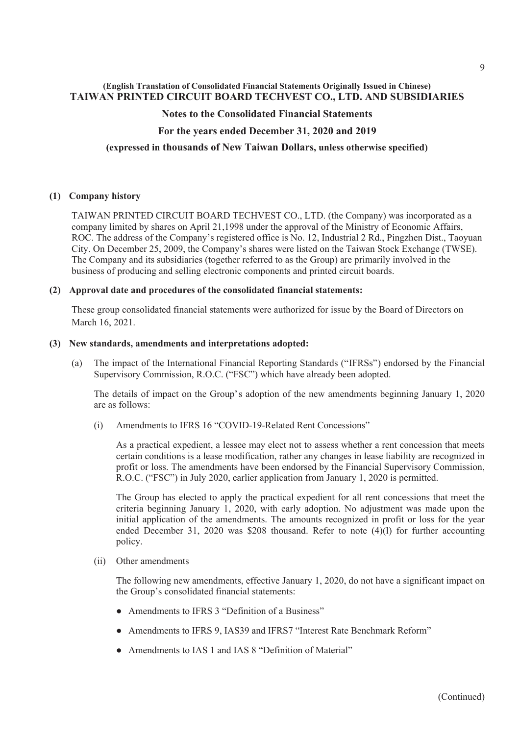### **Notes to the Consolidated Financial Statements**

### **For the years ended December 31, 2020 and 2019**

### **(expressed in thousands of New Taiwan Dollars, unless otherwise specified)**

### **(1) Company history**

TAIWAN PRINTED CIRCUIT BOARD TECHVEST CO., LTD. (the Company) was incorporated as a company limited by shares on April 21,1998 under the approval of the Ministry of Economic Affairs, ROC. The address of the Company's registered office is No. 12, Industrial 2 Rd., Pingzhen Dist., Taoyuan City. On December 25, 2009, the Company's shares were listed on the Taiwan Stock Exchange (TWSE). The Company and its subsidiaries (together referred to as the Group) are primarily involved in the business of producing and selling electronic components and printed circuit boards.

#### **(2) Approval date and procedures of the consolidated financial statements:**

These group consolidated financial statements were authorized for issue by the Board of Directors on March 16, 2021.

#### **(3) New standards, amendments and interpretations adopted:**

(a) The impact of the International Financial Reporting Standards ("IFRSs") endorsed by the Financial Supervisory Commission, R.O.C. ("FSC") which have already been adopted.

The details of impact on the Group's adoption of the new amendments beginning January 1, 2020 are as follows:

(i) Amendments to IFRS 16 "COVID-19-Related Rent Concessions"

As a practical expedient, a lessee may elect not to assess whether a rent concession that meets certain conditions is a lease modification, rather any changes in lease liability are recognized in profit or loss. The amendments have been endorsed by the Financial Supervisory Commission, R.O.C. ("FSC") in July 2020, earlier application from January 1, 2020 is permitted.

The Group has elected to apply the practical expedient for all rent concessions that meet the criteria beginning January 1, 2020, with early adoption. No adjustment was made upon the initial application of the amendments. The amounts recognized in profit or loss for the year ended December 31, 2020 was \$208 thousand. Refer to note (4)(l) for further accounting policy.

(ii) Other amendments

The following new amendments, effective January 1, 2020, do not have a significant impact on the Group's consolidated financial statements:

- Amendments to IFRS 3 "Definition of a Business"
- Amendments to IFRS 9, IAS39 and IFRS7 "Interest Rate Benchmark Reform"
- Amendments to IAS 1 and IAS 8 "Definition of Material"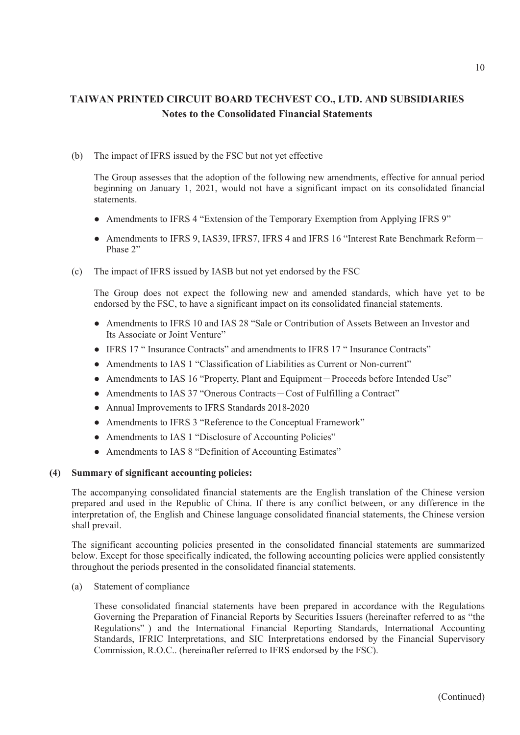(b) The impact of IFRS issued by the FSC but not yet effective

The Group assesses that the adoption of the following new amendments, effective for annual period beginning on January 1, 2021, would not have a significant impact on its consolidated financial statements.

- Amendments to IFRS 4 "Extension of the Temporary Exemption from Applying IFRS 9"
- Amendments to IFRS 9, IAS39, IFRS7, IFRS 4 and IFRS 16 "Interest Rate Benchmark Reform-Phase 2"
- (c) The impact of IFRS issued by IASB but not yet endorsed by the FSC

The Group does not expect the following new and amended standards, which have yet to be endorsed by the FSC, to have a significant impact on its consolidated financial statements.

- Amendments to IFRS 10 and IAS 28 "Sale or Contribution of Assets Between an Investor and Its Associate or Joint Venture"
- IFRS 17 " Insurance Contracts" and amendments to IFRS 17 " Insurance Contracts"
- Amendments to IAS 1 "Classification of Liabilities as Current or Non-current"
- Amendments to IAS 16 "Property, Plant and Equipment-Proceeds before Intended Use"
- Amendments to IAS 37 "Onerous Contracts Cost of Fulfilling a Contract"
- Annual Improvements to IFRS Standards 2018-2020
- Amendments to IFRS 3 "Reference to the Conceptual Framework"
- Amendments to IAS 1 "Disclosure of Accounting Policies"
- Amendments to IAS 8 "Definition of Accounting Estimates"

### **(4) Summary of significant accounting policies:**

The accompanying consolidated financial statements are the English translation of the Chinese version prepared and used in the Republic of China. If there is any conflict between, or any difference in the interpretation of, the English and Chinese language consolidated financial statements, the Chinese version shall prevail.

The significant accounting policies presented in the consolidated financial statements are summarized below. Except for those specifically indicated, the following accounting policies were applied consistently throughout the periods presented in the consolidated financial statements.

(a) Statement of compliance

These consolidated financial statements have been prepared in accordance with the Regulations Governing the Preparation of Financial Reports by Securities Issuers (hereinafter referred to as "the Regulations" ) and the International Financial Reporting Standards, International Accounting Standards, IFRIC Interpretations, and SIC Interpretations endorsed by the Financial Supervisory Commission, R.O.C.. (hereinafter referred to IFRS endorsed by the FSC).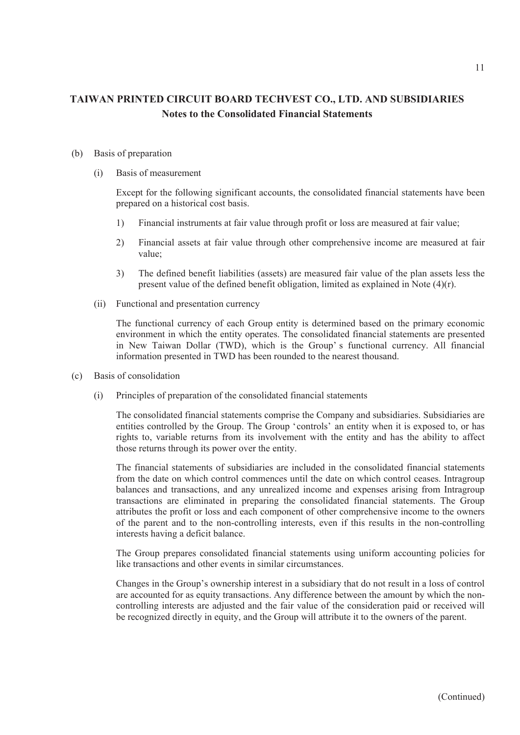### (b) Basis of preparation

(i) Basis of measurement

Except for the following significant accounts, the consolidated financial statements have been prepared on a historical cost basis.

- 1) Financial instruments at fair value through profit or loss are measured at fair value;
- 2) Financial assets at fair value through other comprehensive income are measured at fair value;
- 3) The defined benefit liabilities (assets) are measured fair value of the plan assets less the present value of the defined benefit obligation, limited as explained in Note (4)(r).
- (ii) Functional and presentation currency

The functional currency of each Group entity is determined based on the primary economic environment in which the entity operates. The consolidated financial statements are presented in New Taiwan Dollar (TWD), which is the Group' s functional currency. All financial information presented in TWD has been rounded to the nearest thousand.

- (c) Basis of consolidation
	- (i) Principles of preparation of the consolidated financial statements

The consolidated financial statements comprise the Company and subsidiaries. Subsidiaries are entities controlled by the Group. The Group 'controls' an entity when it is exposed to, or has rights to, variable returns from its involvement with the entity and has the ability to affect those returns through its power over the entity.

The financial statements of subsidiaries are included in the consolidated financial statements from the date on which control commences until the date on which control ceases. Intragroup balances and transactions, and any unrealized income and expenses arising from Intragroup transactions are eliminated in preparing the consolidated financial statements. The Group attributes the profit or loss and each component of other comprehensive income to the owners of the parent and to the non-controlling interests, even if this results in the non-controlling interests having a deficit balance.

The Group prepares consolidated financial statements using uniform accounting policies for like transactions and other events in similar circumstances.

Changes in the Group's ownership interest in a subsidiary that do not result in a loss of control are accounted for as equity transactions. Any difference between the amount by which the noncontrolling interests are adjusted and the fair value of the consideration paid or received will be recognized directly in equity, and the Group will attribute it to the owners of the parent.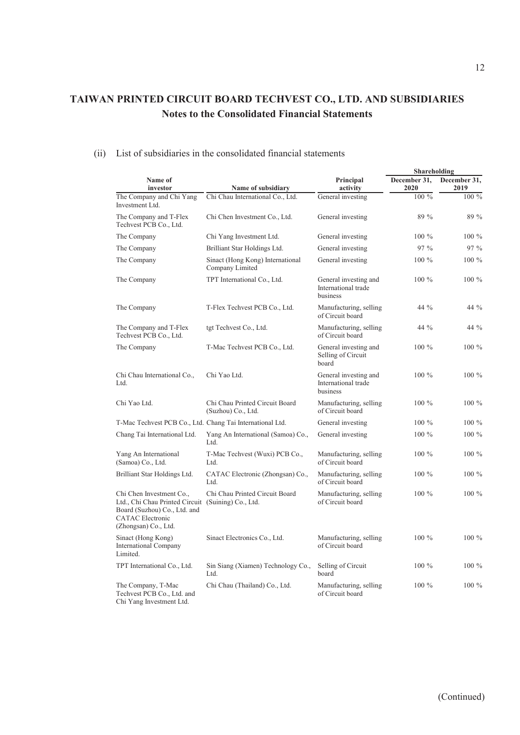|                                                                                                                                                            |                                                      |                                                          | Shareholding         |                      |  |  |
|------------------------------------------------------------------------------------------------------------------------------------------------------------|------------------------------------------------------|----------------------------------------------------------|----------------------|----------------------|--|--|
| Name of<br>investor                                                                                                                                        | Name of subsidiary                                   | Principal<br>activity                                    | December 31.<br>2020 | December 31,<br>2019 |  |  |
| The Company and Chi Yang<br>Investment Ltd.                                                                                                                | Chi Chau International Co., Ltd.                     | General investing                                        | 100 %                | 100 %                |  |  |
| The Company and T-Flex<br>Techvest PCB Co., Ltd.                                                                                                           | Chi Chen Investment Co., Ltd.                        | General investing                                        | 89 %                 | 89 %                 |  |  |
| The Company                                                                                                                                                | Chi Yang Investment Ltd.                             | General investing                                        | 100 %                | $100\%$              |  |  |
| The Company                                                                                                                                                | Brilliant Star Holdings Ltd.                         | General investing                                        | 97 %                 | 97 %                 |  |  |
| The Company                                                                                                                                                | Sinact (Hong Kong) International<br>Company Limited  | General investing                                        | 100 %                | 100 %                |  |  |
| The Company                                                                                                                                                | TPT International Co., Ltd.                          | General investing and<br>International trade<br>business | 100 %                | 100 %                |  |  |
| The Company                                                                                                                                                | T-Flex Techvest PCB Co., Ltd.                        | Manufacturing, selling<br>of Circuit board               | 44 %                 | 44 %                 |  |  |
| The Company and T-Flex<br>Techvest PCB Co., Ltd.                                                                                                           | tgt Techvest Co., Ltd.                               | Manufacturing, selling<br>of Circuit board               | 44 %                 | 44 %                 |  |  |
| The Company                                                                                                                                                | T-Mac Techvest PCB Co., Ltd.                         | General investing and<br>Selling of Circuit<br>board     | $100\%$              | $100 \%$             |  |  |
| Chi Chau International Co.,<br>Ltd.                                                                                                                        | Chi Yao Ltd.                                         | General investing and<br>International trade<br>business | $100\%$              | 100 %                |  |  |
| Chi Yao Ltd.                                                                                                                                               | Chi Chau Printed Circuit Board<br>(Suzhou) Co., Ltd. | Manufacturing, selling<br>of Circuit board               | $100\%$              | $100\%$              |  |  |
| T-Mac Techvest PCB Co., Ltd. Chang Tai International Ltd.                                                                                                  |                                                      | General investing                                        | 100 %                | 100 %                |  |  |
| Chang Tai International Ltd.                                                                                                                               | Yang An International (Samoa) Co.,<br>Ltd.           | General investing                                        | 100 %                | $100\%$              |  |  |
| Yang An International<br>(Samoa) Co., Ltd.                                                                                                                 | T-Mac Techvest (Wuxi) PCB Co.,<br>Ltd.               | Manufacturing, selling<br>of Circuit board               | 100 %                | 100 %                |  |  |
| Brilliant Star Holdings Ltd.                                                                                                                               | CATAC Electronic (Zhongsan) Co.,<br>Ltd.             | Manufacturing, selling<br>of Circuit board               | 100 %                | 100 %                |  |  |
| Chi Chen Investment Co.,<br>Ltd., Chi Chau Printed Circuit (Suining) Co., Ltd.<br>Board (Suzhou) Co., Ltd. and<br>CATAC Electronic<br>(Zhongsan) Co., Ltd. | Chi Chau Printed Circuit Board                       | Manufacturing, selling<br>of Circuit board               | 100 %                | 100 %                |  |  |
| Sinact (Hong Kong)<br><b>International Company</b><br>Limited.                                                                                             | Sinact Electronics Co., Ltd.                         | Manufacturing, selling<br>of Circuit board               | 100 %                | 100 %                |  |  |
| TPT International Co., Ltd.                                                                                                                                | Sin Siang (Xiamen) Technology Co.,<br>Ltd.           | Selling of Circuit<br>board                              | 100 %                | 100 %                |  |  |
| The Company, T-Mac<br>Techvest PCB Co., Ltd. and<br>Chi Yang Investment Ltd.                                                                               | Chi Chau (Thailand) Co., Ltd.                        | Manufacturing, selling<br>of Circuit board               | 100 %                | 100 %                |  |  |

### (ii) List of subsidiaries in the consolidated financial statements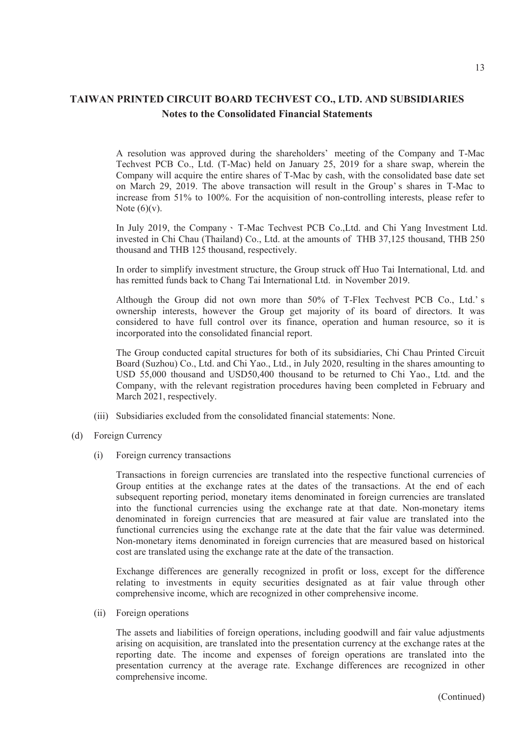A resolution was approved during the shareholders' meeting of the Company and T-Mac Techvest PCB Co., Ltd. (T-Mac) held on January 25, 2019 for a share swap, wherein the Company will acquire the entire shares of T-Mac by cash, with the consolidated base date set on March 29, 2019. The above transaction will result in the Group' s shares in T-Mac to increase from 51% to 100%. For the acquisition of non-controlling interests, please refer to Note  $(6)(v)$ .

In July 2019, the Company、T-Mac Techvest PCB Co.,Ltd. and Chi Yang Investment Ltd. invested in Chi Chau (Thailand) Co., Ltd. at the amounts of THB 37,125 thousand, THB 250 thousand and THB 125 thousand, respectively.

In order to simplify investment structure, the Group struck off Huo Tai International, Ltd. and has remitted funds back to Chang Tai International Ltd. in November 2019.

Although the Group did not own more than 50% of T-Flex Techvest PCB Co., Ltd.' s ownership interests, however the Group get majority of its board of directors. It was considered to have full control over its finance, operation and human resource, so it is incorporated into the consolidated financial report.

The Group conducted capital structures for both of its subsidiaries, Chi Chau Printed Circuit Board (Suzhou) Co., Ltd. and Chi Yao., Ltd., in July 2020, resulting in the shares amounting to USD 55,000 thousand and USD50,400 thousand to be returned to Chi Yao., Ltd. and the Company, with the relevant registration procedures having been completed in February and March 2021, respectively.

- (iii) Subsidiaries excluded from the consolidated financial statements: None.
- (d) Foreign Currency
	- (i) Foreign currency transactions

Transactions in foreign currencies are translated into the respective functional currencies of Group entities at the exchange rates at the dates of the transactions. At the end of each subsequent reporting period, monetary items denominated in foreign currencies are translated into the functional currencies using the exchange rate at that date. Non-monetary items denominated in foreign currencies that are measured at fair value are translated into the functional currencies using the exchange rate at the date that the fair value was determined. Non-monetary items denominated in foreign currencies that are measured based on historical cost are translated using the exchange rate at the date of the transaction.

Exchange differences are generally recognized in profit or loss, except for the difference relating to investments in equity securities designated as at fair value through other comprehensive income, which are recognized in other comprehensive income.

(ii) Foreign operations

The assets and liabilities of foreign operations, including goodwill and fair value adjustments arising on acquisition, are translated into the presentation currency at the exchange rates at the reporting date. The income and expenses of foreign operations are translated into the presentation currency at the average rate. Exchange differences are recognized in other comprehensive income.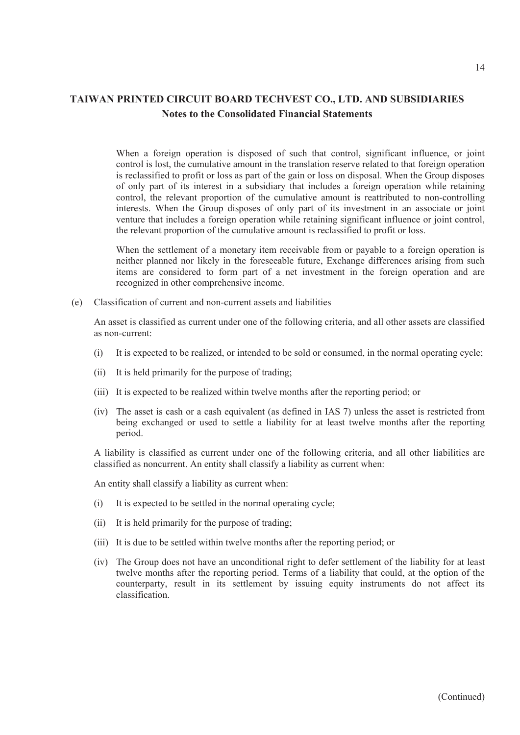When a foreign operation is disposed of such that control, significant influence, or joint control is lost, the cumulative amount in the translation reserve related to that foreign operation is reclassified to profit or loss as part of the gain or loss on disposal. When the Group disposes of only part of its interest in a subsidiary that includes a foreign operation while retaining control, the relevant proportion of the cumulative amount is reattributed to non-controlling interests. When the Group disposes of only part of its investment in an associate or joint venture that includes a foreign operation while retaining significant influence or joint control, the relevant proportion of the cumulative amount is reclassified to profit or loss.

When the settlement of a monetary item receivable from or payable to a foreign operation is neither planned nor likely in the foreseeable future, Exchange differences arising from such items are considered to form part of a net investment in the foreign operation and are recognized in other comprehensive income.

(e) Classification of current and non-current assets and liabilities

An asset is classified as current under one of the following criteria, and all other assets are classified as non-current:

- (i) It is expected to be realized, or intended to be sold or consumed, in the normal operating cycle;
- (ii) It is held primarily for the purpose of trading;
- (iii) It is expected to be realized within twelve months after the reporting period; or
- (iv) The asset is cash or a cash equivalent (as defined in IAS 7) unless the asset is restricted from being exchanged or used to settle a liability for at least twelve months after the reporting period.

A liability is classified as current under one of the following criteria, and all other liabilities are classified as noncurrent. An entity shall classify a liability as current when:

An entity shall classify a liability as current when:

- (i) It is expected to be settled in the normal operating cycle;
- (ii) It is held primarily for the purpose of trading;
- (iii) It is due to be settled within twelve months after the reporting period; or
- (iv) The Group does not have an unconditional right to defer settlement of the liability for at least twelve months after the reporting period. Terms of a liability that could, at the option of the counterparty, result in its settlement by issuing equity instruments do not affect its classification.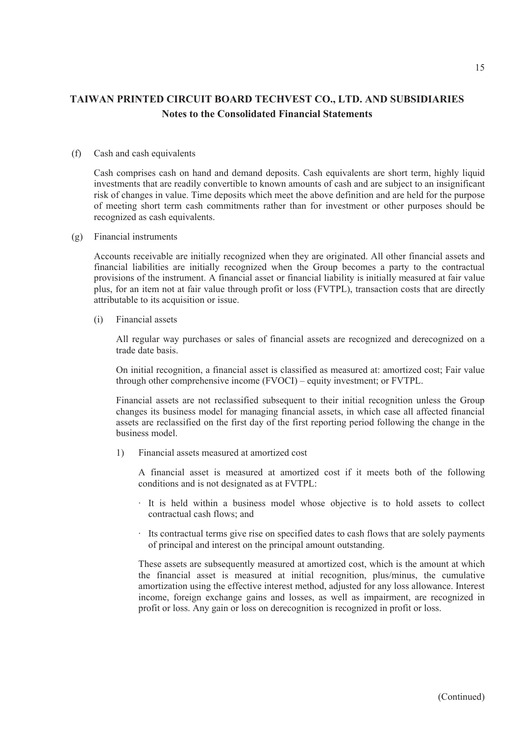#### (f) Cash and cash equivalents

Cash comprises cash on hand and demand deposits. Cash equivalents are short term, highly liquid investments that are readily convertible to known amounts of cash and are subject to an insignificant risk of changes in value. Time deposits which meet the above definition and are held for the purpose of meeting short term cash commitments rather than for investment or other purposes should be recognized as cash equivalents.

(g) Financial instruments

Accounts receivable are initially recognized when they are originated. All other financial assets and financial liabilities are initially recognized when the Group becomes a party to the contractual provisions of the instrument. A financial asset or financial liability is initially measured at fair value plus, for an item not at fair value through profit or loss (FVTPL), transaction costs that are directly attributable to its acquisition or issue.

(i) Financial assets

All regular way purchases or sales of financial assets are recognized and derecognized on a trade date basis.

On initial recognition, a financial asset is classified as measured at: amortized cost; Fair value through other comprehensive income (FVOCI) – equity investment; or FVTPL.

Financial assets are not reclassified subsequent to their initial recognition unless the Group changes its business model for managing financial assets, in which case all affected financial assets are reclassified on the first day of the first reporting period following the change in the business model.

1) Financial assets measured at amortized cost

A financial asset is measured at amortized cost if it meets both of the following conditions and is not designated as at FVTPL:

- ‧ It is held within a business model whose objective is to hold assets to collect contractual cash flows; and
- ‧ Its contractual terms give rise on specified dates to cash flows that are solely payments of principal and interest on the principal amount outstanding.

These assets are subsequently measured at amortized cost, which is the amount at which the financial asset is measured at initial recognition, plus/minus, the cumulative amortization using the effective interest method, adjusted for any loss allowance. Interest income, foreign exchange gains and losses, as well as impairment, are recognized in profit or loss. Any gain or loss on derecognition is recognized in profit or loss.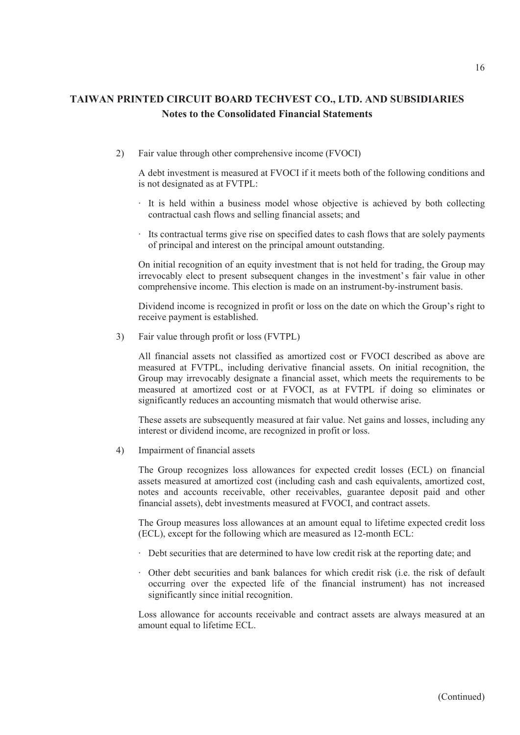2) Fair value through other comprehensive income (FVOCI)

A debt investment is measured at FVOCI if it meets both of the following conditions and is not designated as at FVTPL:

- ‧ It is held within a business model whose objective is achieved by both collecting contractual cash flows and selling financial assets; and
- Its contractual terms give rise on specified dates to cash flows that are solely payments of principal and interest on the principal amount outstanding.

On initial recognition of an equity investment that is not held for trading, the Group may irrevocably elect to present subsequent changes in the investment's fair value in other comprehensive income. This election is made on an instrument-by-instrument basis.

Dividend income is recognized in profit or loss on the date on which the Group's right to receive payment is established.

3) Fair value through profit or loss (FVTPL)

All financial assets not classified as amortized cost or FVOCI described as above are measured at FVTPL, including derivative financial assets. On initial recognition, the Group may irrevocably designate a financial asset, which meets the requirements to be measured at amortized cost or at FVOCI, as at FVTPL if doing so eliminates or significantly reduces an accounting mismatch that would otherwise arise.

These assets are subsequently measured at fair value. Net gains and losses, including any interest or dividend income, are recognized in profit or loss.

4) Impairment of financial assets

The Group recognizes loss allowances for expected credit losses (ECL) on financial assets measured at amortized cost (including cash and cash equivalents, amortized cost, notes and accounts receivable, other receivables, guarantee deposit paid and other financial assets), debt investments measured at FVOCI, and contract assets.

The Group measures loss allowances at an amount equal to lifetime expected credit loss (ECL), except for the following which are measured as 12-month ECL:

- ‧ Debt securities that are determined to have low credit risk at the reporting date; and
- ‧ Other debt securities and bank balances for which credit risk (i.e. the risk of default occurring over the expected life of the financial instrument) has not increased significantly since initial recognition.

Loss allowance for accounts receivable and contract assets are always measured at an amount equal to lifetime ECL.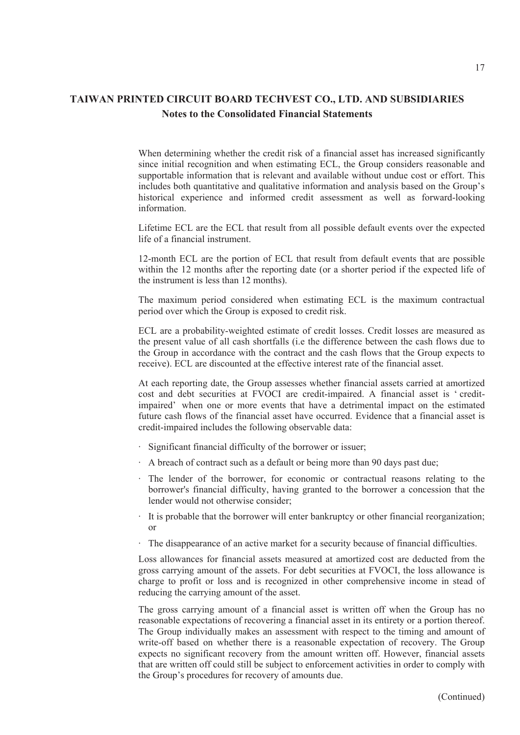When determining whether the credit risk of a financial asset has increased significantly since initial recognition and when estimating ECL, the Group considers reasonable and supportable information that is relevant and available without undue cost or effort. This includes both quantitative and qualitative information and analysis based on the Group's historical experience and informed credit assessment as well as forward-looking information.

Lifetime ECL are the ECL that result from all possible default events over the expected life of a financial instrument.

12-month ECL are the portion of ECL that result from default events that are possible within the 12 months after the reporting date (or a shorter period if the expected life of the instrument is less than 12 months).

The maximum period considered when estimating ECL is the maximum contractual period over which the Group is exposed to credit risk.

ECL are a probability-weighted estimate of credit losses. Credit losses are measured as the present value of all cash shortfalls (i.e the difference between the cash flows due to the Group in accordance with the contract and the cash flows that the Group expects to receive). ECL are discounted at the effective interest rate of the financial asset.

At each reporting date, the Group assesses whether financial assets carried at amortized cost and debt securities at FVOCI are credit-impaired. A financial asset is ' creditimpaired' when one or more events that have a detrimental impact on the estimated future cash flows of the financial asset have occurred. Evidence that a financial asset is credit-impaired includes the following observable data:

- ‧ Significant financial difficulty of the borrower or issuer;
- ‧ A breach of contract such as a default or being more than 90 days past due;
- ‧ The lender of the borrower, for economic or contractual reasons relating to the borrower's financial difficulty, having granted to the borrower a concession that the lender would not otherwise consider;
- ‧ It is probable that the borrower will enter bankruptcy or other financial reorganization; or
- ‧ The disappearance of an active market for a security because of financial difficulties.

Loss allowances for financial assets measured at amortized cost are deducted from the gross carrying amount of the assets. For debt securities at FVOCI, the loss allowance is charge to profit or loss and is recognized in other comprehensive income in stead of reducing the carrying amount of the asset.

The gross carrying amount of a financial asset is written off when the Group has no reasonable expectations of recovering a financial asset in its entirety or a portion thereof. The Group individually makes an assessment with respect to the timing and amount of write-off based on whether there is a reasonable expectation of recovery. The Group expects no significant recovery from the amount written off. However, financial assets that are written off could still be subject to enforcement activities in order to comply with the Group's procedures for recovery of amounts due.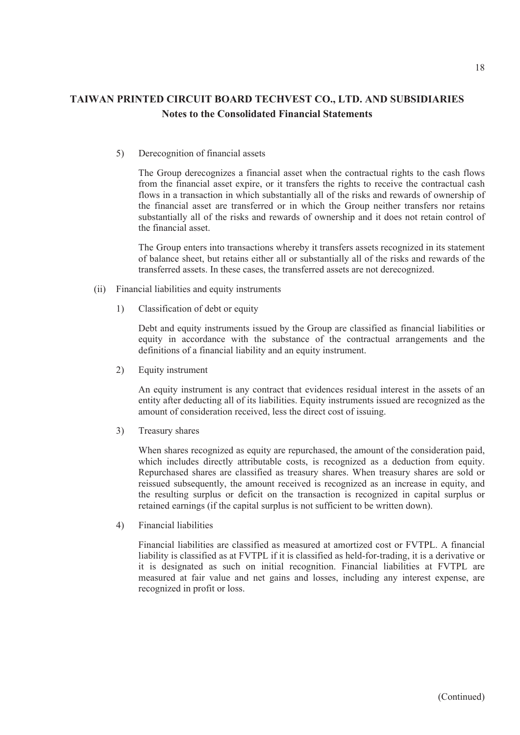5) Derecognition of financial assets

The Group derecognizes a financial asset when the contractual rights to the cash flows from the financial asset expire, or it transfers the rights to receive the contractual cash flows in a transaction in which substantially all of the risks and rewards of ownership of the financial asset are transferred or in which the Group neither transfers nor retains substantially all of the risks and rewards of ownership and it does not retain control of the financial asset.

The Group enters into transactions whereby it transfers assets recognized in its statement of balance sheet, but retains either all or substantially all of the risks and rewards of the transferred assets. In these cases, the transferred assets are not derecognized.

- (ii) Financial liabilities and equity instruments
	- 1) Classification of debt or equity

Debt and equity instruments issued by the Group are classified as financial liabilities or equity in accordance with the substance of the contractual arrangements and the definitions of a financial liability and an equity instrument.

2) Equity instrument

An equity instrument is any contract that evidences residual interest in the assets of an entity after deducting all of its liabilities. Equity instruments issued are recognized as the amount of consideration received, less the direct cost of issuing.

3) Treasury shares

When shares recognized as equity are repurchased, the amount of the consideration paid, which includes directly attributable costs, is recognized as a deduction from equity. Repurchased shares are classified as treasury shares. When treasury shares are sold or reissued subsequently, the amount received is recognized as an increase in equity, and the resulting surplus or deficit on the transaction is recognized in capital surplus or retained earnings (if the capital surplus is not sufficient to be written down).

4) Financial liabilities

Financial liabilities are classified as measured at amortized cost or FVTPL. A financial liability is classified as at FVTPL if it is classified as held-for-trading, it is a derivative or it is designated as such on initial recognition. Financial liabilities at FVTPL are measured at fair value and net gains and losses, including any interest expense, are recognized in profit or loss.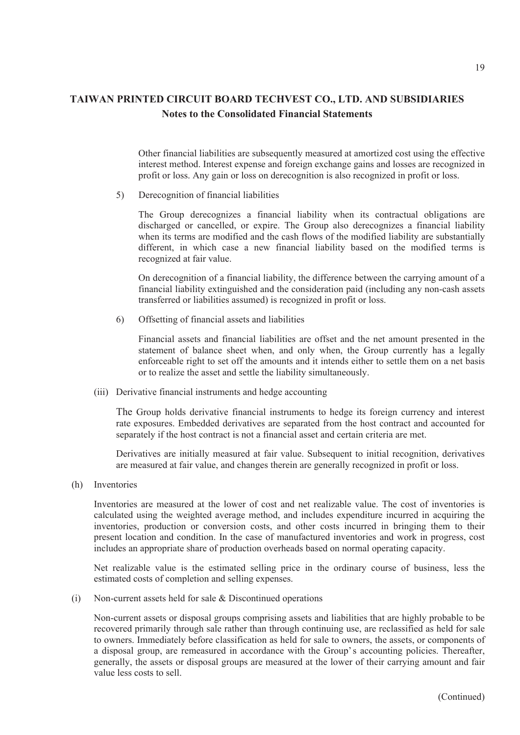Other financial liabilities are subsequently measured at amortized cost using the effective interest method. Interest expense and foreign exchange gains and losses are recognized in profit or loss. Any gain or loss on derecognition is also recognized in profit or loss.

5) Derecognition of financial liabilities

The Group derecognizes a financial liability when its contractual obligations are discharged or cancelled, or expire. The Group also derecognizes a financial liability when its terms are modified and the cash flows of the modified liability are substantially different, in which case a new financial liability based on the modified terms is recognized at fair value.

On derecognition of a financial liability, the difference between the carrying amount of a financial liability extinguished and the consideration paid (including any non-cash assets transferred or liabilities assumed) is recognized in profit or loss.

6) Offsetting of financial assets and liabilities

Financial assets and financial liabilities are offset and the net amount presented in the statement of balance sheet when, and only when, the Group currently has a legally enforceable right to set off the amounts and it intends either to settle them on a net basis or to realize the asset and settle the liability simultaneously.

(iii) Derivative financial instruments and hedge accounting

The Group holds derivative financial instruments to hedge its foreign currency and interest rate exposures. Embedded derivatives are separated from the host contract and accounted for separately if the host contract is not a financial asset and certain criteria are met.

Derivatives are initially measured at fair value. Subsequent to initial recognition, derivatives are measured at fair value, and changes therein are generally recognized in profit or loss.

(h) Inventories

Inventories are measured at the lower of cost and net realizable value. The cost of inventories is calculated using the weighted average method, and includes expenditure incurred in acquiring the inventories, production or conversion costs, and other costs incurred in bringing them to their present location and condition. In the case of manufactured inventories and work in progress, cost includes an appropriate share of production overheads based on normal operating capacity.

Net realizable value is the estimated selling price in the ordinary course of business, less the estimated costs of completion and selling expenses.

(i) Non-current assets held for sale & Discontinued operations

Non-current assets or disposal groups comprising assets and liabilities that are highly probable to be recovered primarily through sale rather than through continuing use, are reclassified as held for sale to owners. Immediately before classification as held for sale to owners, the assets, or components of a disposal group, are remeasured in accordance with the Group's accounting policies. Thereafter, generally, the assets or disposal groups are measured at the lower of their carrying amount and fair value less costs to sell.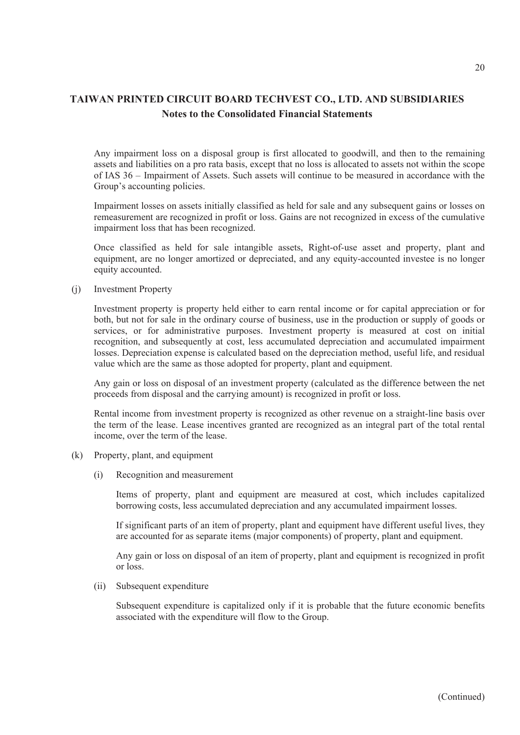Any impairment loss on a disposal group is first allocated to goodwill, and then to the remaining assets and liabilities on a pro rata basis, except that no loss is allocated to assets not within the scope of IAS 36 – Impairment of Assets. Such assets will continue to be measured in accordance with the Group's accounting policies.

Impairment losses on assets initially classified as held for sale and any subsequent gains or losses on remeasurement are recognized in profit or loss. Gains are not recognized in excess of the cumulative impairment loss that has been recognized.

Once classified as held for sale intangible assets, Right-of-use asset and property, plant and equipment, are no longer amortized or depreciated, and any equity-accounted investee is no longer equity accounted.

(j) Investment Property

Investment property is property held either to earn rental income or for capital appreciation or for both, but not for sale in the ordinary course of business, use in the production or supply of goods or services, or for administrative purposes. Investment property is measured at cost on initial recognition, and subsequently at cost, less accumulated depreciation and accumulated impairment losses. Depreciation expense is calculated based on the depreciation method, useful life, and residual value which are the same as those adopted for property, plant and equipment.

Any gain or loss on disposal of an investment property (calculated as the difference between the net proceeds from disposal and the carrying amount) is recognized in profit or loss.

Rental income from investment property is recognized as other revenue on a straight-line basis over the term of the lease. Lease incentives granted are recognized as an integral part of the total rental income, over the term of the lease.

- (k) Property, plant, and equipment
	- (i) Recognition and measurement

Items of property, plant and equipment are measured at cost, which includes capitalized borrowing costs, less accumulated depreciation and any accumulated impairment losses.

If significant parts of an item of property, plant and equipment have different useful lives, they are accounted for as separate items (major components) of property, plant and equipment.

Any gain or loss on disposal of an item of property, plant and equipment is recognized in profit or loss.

(ii) Subsequent expenditure

Subsequent expenditure is capitalized only if it is probable that the future economic benefits associated with the expenditure will flow to the Group.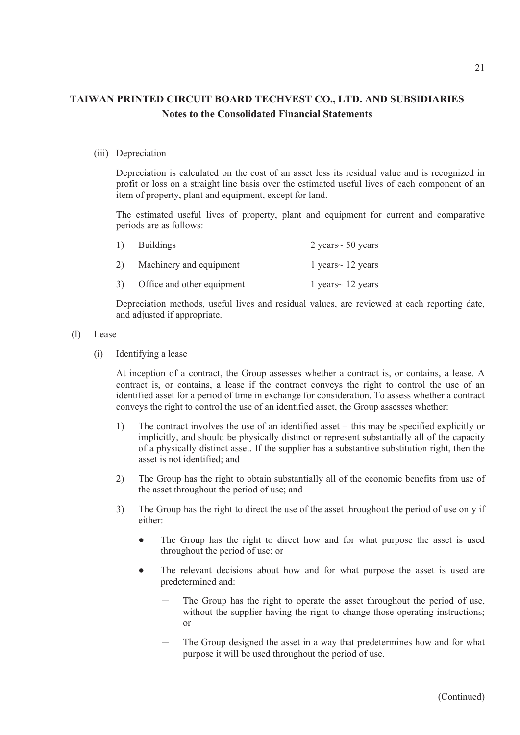#### (iii) Depreciation

Depreciation is calculated on the cost of an asset less its residual value and is recognized in profit or loss on a straight line basis over the estimated useful lives of each component of an item of property, plant and equipment, except for land.

The estimated useful lives of property, plant and equipment for current and comparative periods are as follows:

| 1) | <b>Buildings</b>           | 2 years $\sim$ 50 years |
|----|----------------------------|-------------------------|
| 2) | Machinery and equipment    | 1 years $\sim$ 12 years |
| 3) | Office and other equipment | 1 years $\sim$ 12 years |

Depreciation methods, useful lives and residual values, are reviewed at each reporting date, and adjusted if appropriate.

- (l) Lease
	- (i) Identifying a lease

At inception of a contract, the Group assesses whether a contract is, or contains, a lease. A contract is, or contains, a lease if the contract conveys the right to control the use of an identified asset for a period of time in exchange for consideration. To assess whether a contract conveys the right to control the use of an identified asset, the Group assesses whether:

- 1) The contract involves the use of an identified asset this may be specified explicitly or implicitly, and should be physically distinct or represent substantially all of the capacity of a physically distinct asset. If the supplier has a substantive substitution right, then the asset is not identified; and
- 2) The Group has the right to obtain substantially all of the economic benefits from use of the asset throughout the period of use; and
- 3) The Group has the right to direct the use of the asset throughout the period of use only if either:
	- The Group has the right to direct how and for what purpose the asset is used throughout the period of use; or
	- The relevant decisions about how and for what purpose the asset is used are predetermined and:
		- The Group has the right to operate the asset throughout the period of use, without the supplier having the right to change those operating instructions; or
		- The Group designed the asset in a way that predetermines how and for what purpose it will be used throughout the period of use.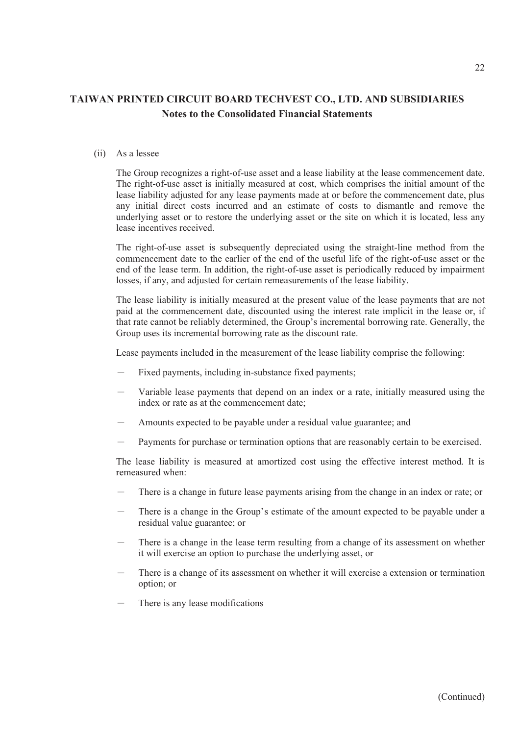#### (ii) As a lessee

The Group recognizes a right-of-use asset and a lease liability at the lease commencement date. The right-of-use asset is initially measured at cost, which comprises the initial amount of the lease liability adjusted for any lease payments made at or before the commencement date, plus any initial direct costs incurred and an estimate of costs to dismantle and remove the underlying asset or to restore the underlying asset or the site on which it is located, less any lease incentives received.

The right-of-use asset is subsequently depreciated using the straight-line method from the commencement date to the earlier of the end of the useful life of the right-of-use asset or the end of the lease term. In addition, the right-of-use asset is periodically reduced by impairment losses, if any, and adjusted for certain remeasurements of the lease liability.

The lease liability is initially measured at the present value of the lease payments that are not paid at the commencement date, discounted using the interest rate implicit in the lease or, if that rate cannot be reliably determined, the Group's incremental borrowing rate. Generally, the Group uses its incremental borrowing rate as the discount rate.

Lease payments included in the measurement of the lease liability comprise the following:

- Fixed payments, including in-substance fixed payments;
- Variable lease payments that depend on an index or a rate, initially measured using the index or rate as at the commencement date;
- Amounts expected to be payable under a residual value guarantee; and
- Payments for purchase or termination options that are reasonably certain to be exercised.

The lease liability is measured at amortized cost using the effective interest method. It is remeasured when:

- There is a change in future lease payments arising from the change in an index or rate; or
- There is a change in the Group's estimate of the amount expected to be payable under a residual value guarantee; or
- There is a change in the lease term resulting from a change of its assessment on whether it will exercise an option to purchase the underlying asset, or
- There is a change of its assessment on whether it will exercise a extension or termination option; or
- There is any lease modifications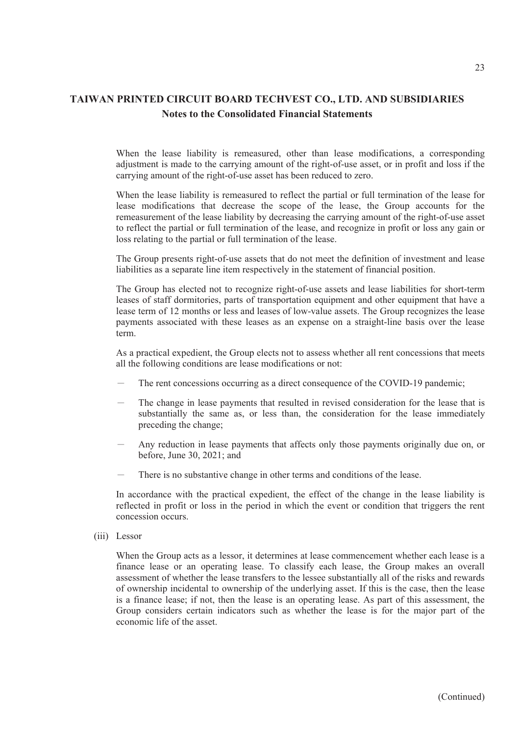When the lease liability is remeasured, other than lease modifications, a corresponding adjustment is made to the carrying amount of the right-of-use asset, or in profit and loss if the carrying amount of the right-of-use asset has been reduced to zero.

When the lease liability is remeasured to reflect the partial or full termination of the lease for lease modifications that decrease the scope of the lease, the Group accounts for the remeasurement of the lease liability by decreasing the carrying amount of the right-of-use asset to reflect the partial or full termination of the lease, and recognize in profit or loss any gain or loss relating to the partial or full termination of the lease.

The Group presents right-of-use assets that do not meet the definition of investment and lease liabilities as a separate line item respectively in the statement of financial position.

The Group has elected not to recognize right-of-use assets and lease liabilities for short-term leases of staff dormitories, parts of transportation equipment and other equipment that have a lease term of 12 months or less and leases of low-value assets. The Group recognizes the lease payments associated with these leases as an expense on a straight-line basis over the lease term.

As a practical expedient, the Group elects not to assess whether all rent concessions that meets all the following conditions are lease modifications or not:

- The rent concessions occurring as a direct consequence of the COVID-19 pandemic;
- The change in lease payments that resulted in revised consideration for the lease that is substantially the same as, or less than, the consideration for the lease immediately preceding the change;
- Any reduction in lease payments that affects only those payments originally due on, or before, June 30, 2021; and
- There is no substantive change in other terms and conditions of the lease.

In accordance with the practical expedient, the effect of the change in the lease liability is reflected in profit or loss in the period in which the event or condition that triggers the rent concession occurs.

(iii) Lessor

When the Group acts as a lessor, it determines at lease commencement whether each lease is a finance lease or an operating lease. To classify each lease, the Group makes an overall assessment of whether the lease transfers to the lessee substantially all of the risks and rewards of ownership incidental to ownership of the underlying asset. If this is the case, then the lease is a finance lease; if not, then the lease is an operating lease. As part of this assessment, the Group considers certain indicators such as whether the lease is for the major part of the economic life of the asset.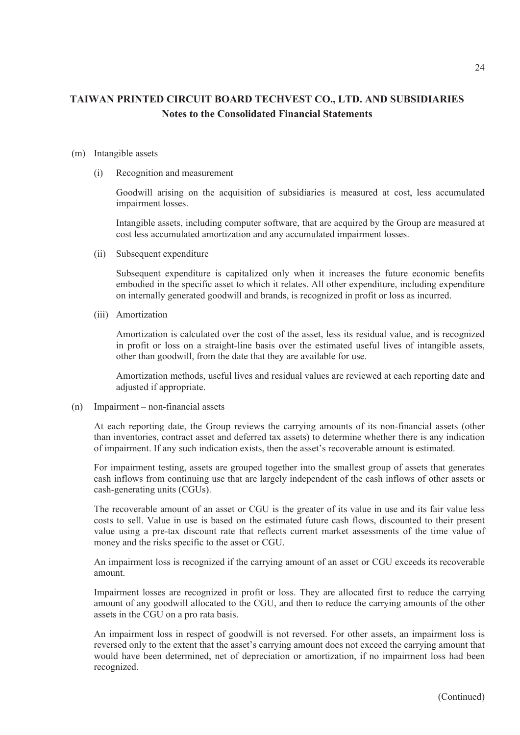#### (m) Intangible assets

(i) Recognition and measurement

Goodwill arising on the acquisition of subsidiaries is measured at cost, less accumulated impairment losses.

Intangible assets, including computer software, that are acquired by the Group are measured at cost less accumulated amortization and any accumulated impairment losses.

(ii) Subsequent expenditure

Subsequent expenditure is capitalized only when it increases the future economic benefits embodied in the specific asset to which it relates. All other expenditure, including expenditure on internally generated goodwill and brands, is recognized in profit or loss as incurred.

(iii) Amortization

Amortization is calculated over the cost of the asset, less its residual value, and is recognized in profit or loss on a straight-line basis over the estimated useful lives of intangible assets, other than goodwill, from the date that they are available for use.

Amortization methods, useful lives and residual values are reviewed at each reporting date and adjusted if appropriate.

(n) Impairment – non-financial assets

At each reporting date, the Group reviews the carrying amounts of its non-financial assets (other than inventories, contract asset and deferred tax assets) to determine whether there is any indication of impairment. If any such indication exists, then the asset's recoverable amount is estimated.

For impairment testing, assets are grouped together into the smallest group of assets that generates cash inflows from continuing use that are largely independent of the cash inflows of other assets or cash-generating units (CGUs).

The recoverable amount of an asset or CGU is the greater of its value in use and its fair value less costs to sell. Value in use is based on the estimated future cash flows, discounted to their present value using a pre-tax discount rate that reflects current market assessments of the time value of money and the risks specific to the asset or CGU.

An impairment loss is recognized if the carrying amount of an asset or CGU exceeds its recoverable amount.

Impairment losses are recognized in profit or loss. They are allocated first to reduce the carrying amount of any goodwill allocated to the CGU, and then to reduce the carrying amounts of the other assets in the CGU on a pro rata basis.

An impairment loss in respect of goodwill is not reversed. For other assets, an impairment loss is reversed only to the extent that the asset's carrying amount does not exceed the carrying amount that would have been determined, net of depreciation or amortization, if no impairment loss had been recognized.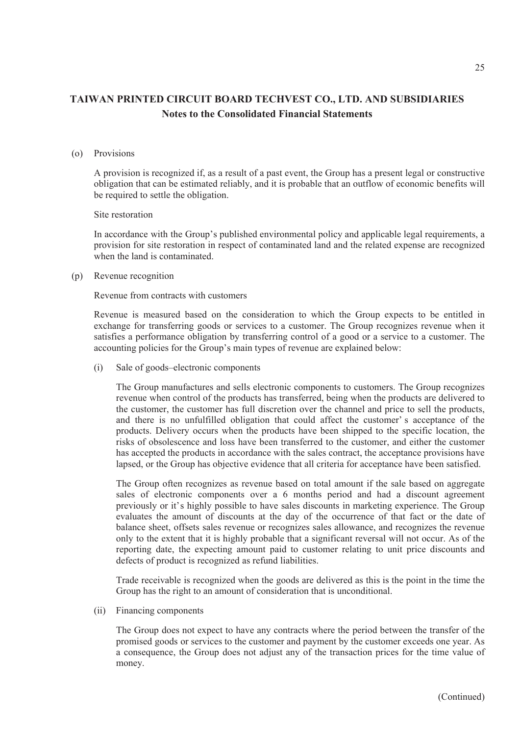#### (o) Provisions

A provision is recognized if, as a result of a past event, the Group has a present legal or constructive obligation that can be estimated reliably, and it is probable that an outflow of economic benefits will be required to settle the obligation.

#### Site restoration

In accordance with the Group's published environmental policy and applicable legal requirements, a provision for site restoration in respect of contaminated land and the related expense are recognized when the land is contaminated.

#### (p) Revenue recognition

### Revenue from contracts with customers

Revenue is measured based on the consideration to which the Group expects to be entitled in exchange for transferring goods or services to a customer. The Group recognizes revenue when it satisfies a performance obligation by transferring control of a good or a service to a customer. The accounting policies for the Group's main types of revenue are explained below:

(i) Sale of goods–electronic components

The Group manufactures and sells electronic components to customers. The Group recognizes revenue when control of the products has transferred, being when the products are delivered to the customer, the customer has full discretion over the channel and price to sell the products, and there is no unfulfilled obligation that could affect the customer' s acceptance of the products. Delivery occurs when the products have been shipped to the specific location, the risks of obsolescence and loss have been transferred to the customer, and either the customer has accepted the products in accordance with the sales contract, the acceptance provisions have lapsed, or the Group has objective evidence that all criteria for acceptance have been satisfied.

The Group often recognizes as revenue based on total amount if the sale based on aggregate sales of electronic components over a 6 months period and had a discount agreement previously or it's highly possible to have sales discounts in marketing experience. The Group evaluates the amount of discounts at the day of the occurrence of that fact or the date of balance sheet, offsets sales revenue or recognizes sales allowance, and recognizes the revenue only to the extent that it is highly probable that a significant reversal will not occur. As of the reporting date, the expecting amount paid to customer relating to unit price discounts and defects of product is recognized as refund liabilities.

Trade receivable is recognized when the goods are delivered as this is the point in the time the Group has the right to an amount of consideration that is unconditional.

(ii) Financing components

The Group does not expect to have any contracts where the period between the transfer of the promised goods or services to the customer and payment by the customer exceeds one year. As a consequence, the Group does not adjust any of the transaction prices for the time value of money.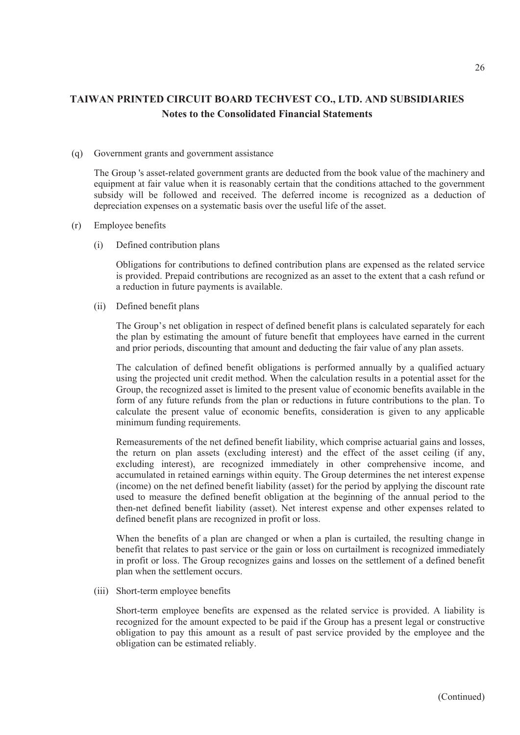#### (q) Government grants and government assistance

The Group 's asset-related government grants are deducted from the book value of the machinery and equipment at fair value when it is reasonably certain that the conditions attached to the government subsidy will be followed and received. The deferred income is recognized as a deduction of depreciation expenses on a systematic basis over the useful life of the asset.

### (r) Employee benefits

(i) Defined contribution plans

Obligations for contributions to defined contribution plans are expensed as the related service is provided. Prepaid contributions are recognized as an asset to the extent that a cash refund or a reduction in future payments is available.

(ii) Defined benefit plans

The Group's net obligation in respect of defined benefit plans is calculated separately for each the plan by estimating the amount of future benefit that employees have earned in the current and prior periods, discounting that amount and deducting the fair value of any plan assets.

The calculation of defined benefit obligations is performed annually by a qualified actuary using the projected unit credit method. When the calculation results in a potential asset for the Group, the recognized asset is limited to the present value of economic benefits available in the form of any future refunds from the plan or reductions in future contributions to the plan. To calculate the present value of economic benefits, consideration is given to any applicable minimum funding requirements.

Remeasurements of the net defined benefit liability, which comprise actuarial gains and losses, the return on plan assets (excluding interest) and the effect of the asset ceiling (if any, excluding interest), are recognized immediately in other comprehensive income, and accumulated in retained earnings within equity. The Group determines the net interest expense (income) on the net defined benefit liability (asset) for the period by applying the discount rate used to measure the defined benefit obligation at the beginning of the annual period to the then-net defined benefit liability (asset). Net interest expense and other expenses related to defined benefit plans are recognized in profit or loss.

When the benefits of a plan are changed or when a plan is curtailed, the resulting change in benefit that relates to past service or the gain or loss on curtailment is recognized immediately in profit or loss. The Group recognizes gains and losses on the settlement of a defined benefit plan when the settlement occurs.

(iii) Short-term employee benefits

Short-term employee benefits are expensed as the related service is provided. A liability is recognized for the amount expected to be paid if the Group has a present legal or constructive obligation to pay this amount as a result of past service provided by the employee and the obligation can be estimated reliably.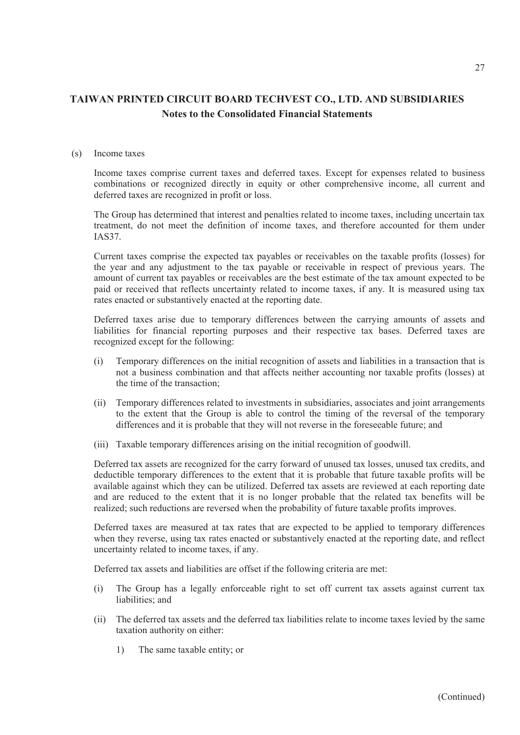#### (s) Income taxes

Income taxes comprise current taxes and deferred taxes. Except for expenses related to business combinations or recognized directly in equity or other comprehensive income, all current and deferred taxes are recognized in profit or loss.

The Group has determined that interest and penalties related to income taxes, including uncertain tax treatment, do not meet the definition of income taxes, and therefore accounted for them under IAS37.

Current taxes comprise the expected tax payables or receivables on the taxable profits (losses) for the year and any adjustment to the tax payable or receivable in respect of previous years. The amount of current tax payables or receivables are the best estimate of the tax amount expected to be paid or received that reflects uncertainty related to income taxes, if any. It is measured using tax rates enacted or substantively enacted at the reporting date.

Deferred taxes arise due to temporary differences between the carrying amounts of assets and liabilities for financial reporting purposes and their respective tax bases. Deferred taxes are recognized except for the following:

- (i) Temporary differences on the initial recognition of assets and liabilities in a transaction that is not a business combination and that affects neither accounting nor taxable profits (losses) at the time of the transaction;
- (ii) Temporary differences related to investments in subsidiaries, associates and joint arrangements to the extent that the Group is able to control the timing of the reversal of the temporary differences and it is probable that they will not reverse in the foreseeable future; and
- (iii) Taxable temporary differences arising on the initial recognition of goodwill.

Deferred tax assets are recognized for the carry forward of unused tax losses, unused tax credits, and deductible temporary differences to the extent that it is probable that future taxable profits will be available against which they can be utilized. Deferred tax assets are reviewed at each reporting date and are reduced to the extent that it is no longer probable that the related tax benefits will be realized; such reductions are reversed when the probability of future taxable profits improves.

Deferred taxes are measured at tax rates that are expected to be applied to temporary differences when they reverse, using tax rates enacted or substantively enacted at the reporting date, and reflect uncertainty related to income taxes, if any.

Deferred tax assets and liabilities are offset if the following criteria are met:

- (i) The Group has a legally enforceable right to set off current tax assets against current tax liabilities; and
- (ii) The deferred tax assets and the deferred tax liabilities relate to income taxes levied by the same taxation authority on either:
	- 1) The same taxable entity; or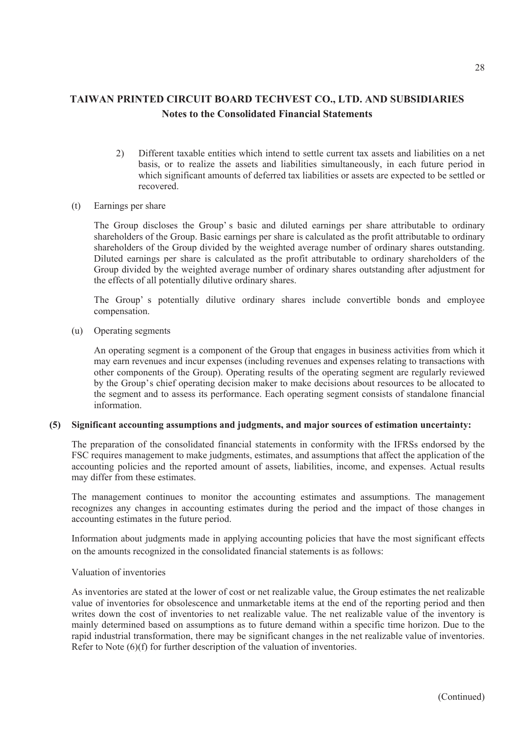- 2) Different taxable entities which intend to settle current tax assets and liabilities on a net basis, or to realize the assets and liabilities simultaneously, in each future period in which significant amounts of deferred tax liabilities or assets are expected to be settled or recovered.
- (t) Earnings per share

The Group discloses the Group's basic and diluted earnings per share attributable to ordinary shareholders of the Group. Basic earnings per share is calculated as the profit attributable to ordinary shareholders of the Group divided by the weighted average number of ordinary shares outstanding. Diluted earnings per share is calculated as the profit attributable to ordinary shareholders of the Group divided by the weighted average number of ordinary shares outstanding after adjustment for the effects of all potentially dilutive ordinary shares.

The Group' s potentially dilutive ordinary shares include convertible bonds and employee compensation.

(u) Operating segments

An operating segment is a component of the Group that engages in business activities from which it may earn revenues and incur expenses (including revenues and expenses relating to transactions with other components of the Group). Operating results of the operating segment are regularly reviewed by the Group's chief operating decision maker to make decisions about resources to be allocated to the segment and to assess its performance. Each operating segment consists of standalone financial information.

### **(5) Significant accounting assumptions and judgments, and major sources of estimation uncertainty:**

The preparation of the consolidated financial statements in conformity with the IFRSs endorsed by the FSC requires management to make judgments, estimates, and assumptions that affect the application of the accounting policies and the reported amount of assets, liabilities, income, and expenses. Actual results may differ from these estimates.

The management continues to monitor the accounting estimates and assumptions. The management recognizes any changes in accounting estimates during the period and the impact of those changes in accounting estimates in the future period.

Information about judgments made in applying accounting policies that have the most significant effects on the amounts recognized in the consolidated financial statements is as follows:

### Valuation of inventories

As inventories are stated at the lower of cost or net realizable value, the Group estimates the net realizable value of inventories for obsolescence and unmarketable items at the end of the reporting period and then writes down the cost of inventories to net realizable value. The net realizable value of the inventory is mainly determined based on assumptions as to future demand within a specific time horizon. Due to the rapid industrial transformation, there may be significant changes in the net realizable value of inventories. Refer to Note (6)(f) for further description of the valuation of inventories.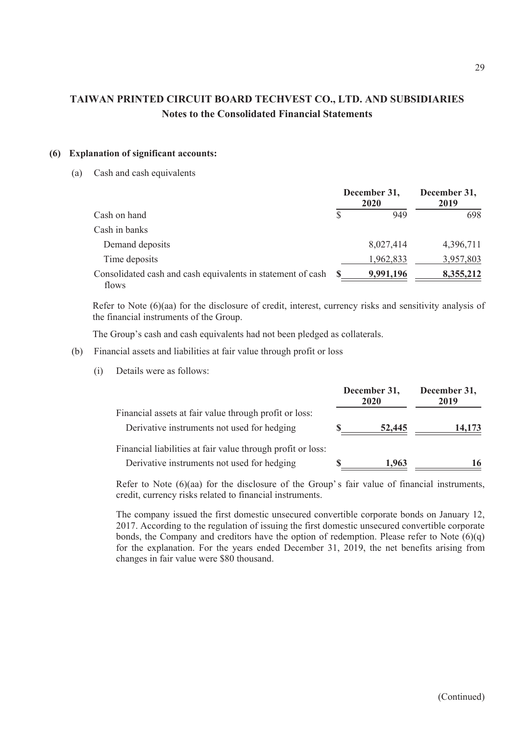### **(6) Explanation of significant accounts:**

(a) Cash and cash equivalents

|                                                                      | December 31,<br>2020 | December 31,<br>2019 |  |
|----------------------------------------------------------------------|----------------------|----------------------|--|
| Cash on hand                                                         | 949                  | 698                  |  |
| Cash in banks                                                        |                      |                      |  |
| Demand deposits                                                      | 8,027,414            | 4,396,711            |  |
| Time deposits                                                        | 1,962,833            | 3,957,803            |  |
| Consolidated cash and cash equivalents in statement of cash<br>flows | 9,991,196            | 8,355,212            |  |

Refer to Note (6)(aa) for the disclosure of credit, interest, currency risks and sensitivity analysis of the financial instruments of the Group.

The Group's cash and cash equivalents had not been pledged as collaterals.

- (b) Financial assets and liabilities at fair value through profit or loss
	- (i) Details were as follows:

|                                                             | December 31,<br>2020 |        | December 31,<br>2019 |
|-------------------------------------------------------------|----------------------|--------|----------------------|
| Financial assets at fair value through profit or loss:      |                      |        |                      |
| Derivative instruments not used for hedging                 |                      | 52,445 | 14,173               |
| Financial liabilities at fair value through profit or loss: |                      |        |                      |
| Derivative instruments not used for hedging                 |                      | 1.963  |                      |

Refer to Note (6)(aa) for the disclosure of the Group's fair value of financial instruments, credit, currency risks related to financial instruments.

The company issued the first domestic unsecured convertible corporate bonds on January 12, 2017. According to the regulation of issuing the first domestic unsecured convertible corporate bonds, the Company and creditors have the option of redemption. Please refer to Note  $(6)(q)$ for the explanation. For the years ended December 31, 2019, the net benefits arising from changes in fair value were \$80 thousand.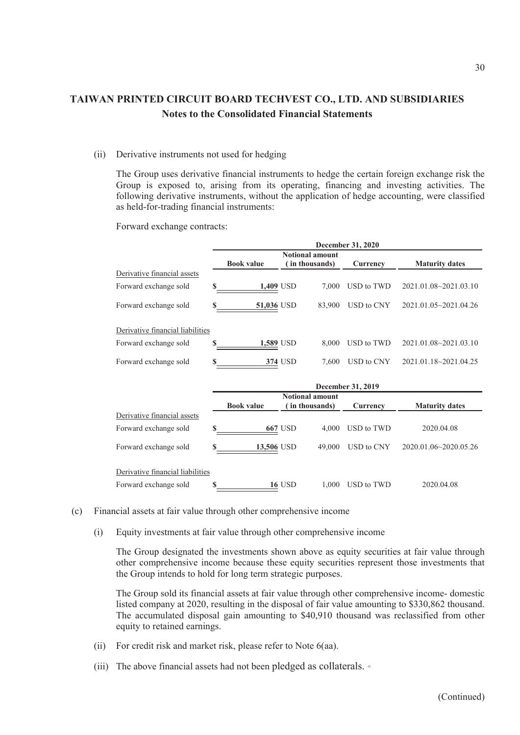#### (ii) Derivative instruments not used for hedging

The Group uses derivative financial instruments to hedge the certain foreign exchange risk the Group is exposed to, arising from its operating, financing and investing activities. The following derivative instruments, without the application of hedge accounting, were classified as held-for-trading financial instruments:

Forward exchange contracts:

|                                  |    |                   |               |                        | December 31, 2020 |                           |
|----------------------------------|----|-------------------|---------------|------------------------|-------------------|---------------------------|
|                                  |    |                   |               | <b>Notional amount</b> |                   |                           |
|                                  |    | <b>Book value</b> |               | (in thousands)         | Currency          | <b>Maturity dates</b>     |
| Derivative financial assets      |    |                   |               |                        |                   |                           |
| Forward exchange sold            | S  | 1,409 USD         |               | 7,000                  | USD to TWD        | 2021.01.08~2021.03.10     |
| Forward exchange sold            |    | 51,036 USD        |               | 83,900                 | USD to CNY        | 2021.01.05~2021.04.26     |
| Derivative financial liabilities |    |                   |               |                        |                   |                           |
| Forward exchange sold            | \$ | 1,589 USD         |               | 8,000                  | USD to TWD        | $2021.01.08 - 2021.03.10$ |
| Forward exchange sold            |    |                   | 374 USD       | 7,600                  | USD to CNY        | 2021.01.18~2021.04.25     |
|                                  |    |                   |               |                        | December 31, 2019 |                           |
|                                  |    |                   |               | <b>Notional amount</b> |                   |                           |
|                                  |    | <b>Book value</b> |               | (in thousands)         | <b>Currency</b>   | <b>Maturity dates</b>     |
| Derivative financial assets      |    |                   |               |                        |                   |                           |
| Forward exchange sold            | \$ |                   | 667 USD       | 4.000                  | USD to TWD        | 2020.04.08                |
| Forward exchange sold            | S  | 13,506 USD        |               | 49,000                 | USD to CNY        | 2020.01.06~2020.05.26     |
| Derivative financial liabilities |    |                   |               |                        |                   |                           |
| Forward exchange sold            | \$ |                   | <b>16 USD</b> | 1,000                  | USD to TWD        | 2020.04.08                |

- (c) Financial assets at fair value through other comprehensive income
	- (i) Equity investments at fair value through other comprehensive income

The Group designated the investments shown above as equity securities at fair value through other comprehensive income because these equity securities represent those investments that the Group intends to hold for long term strategic purposes.

The Group sold its financial assets at fair value through other comprehensive income- domestic listed company at 2020, resulting in the disposal of fair value amounting to \$330,862 thousand. The accumulated disposal gain amounting to \$40,910 thousand was reclassified from other equity to retained earnings.

- (ii) For credit risk and market risk, please refer to Note 6(aa).
- (iii) The above financial assets had not been pledged as collaterals.。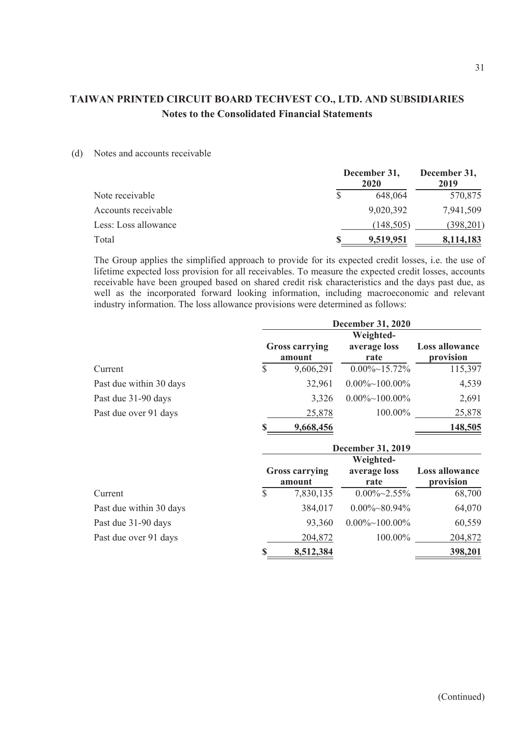#### (d) Notes and accounts receivable

|                      | December 31,<br>2020 |            |  |
|----------------------|----------------------|------------|--|
| Note receivable      | 648,064              | 570,875    |  |
| Accounts receivable  | 9,020,392            | 7,941,509  |  |
| Less: Loss allowance | (148, 505)           | (398, 201) |  |
| Total                | 9,519,951            | 8,114,183  |  |

The Group applies the simplified approach to provide for its expected credit losses, i.e. the use of lifetime expected loss provision for all receivables. To measure the expected credit losses, accounts receivable have been grouped based on shared credit risk characteristics and the days past due, as well as the incorporated forward looking information, including macroeconomic and relevant industry information. The loss allowance provisions were determined as follows:

|                         | <b>December 31, 2020</b> |                                 |                        |                             |
|-------------------------|--------------------------|---------------------------------|------------------------|-----------------------------|
|                         |                          |                                 | Weighted-              |                             |
|                         |                          | <b>Gross carrying</b><br>amount | average loss<br>rate   | Loss allowance<br>provision |
| Current                 |                          | 9,606,291                       | $0.00\% \sim 15.72\%$  | 115,397                     |
| Past due within 30 days |                          | 32,961                          | $0.00\% \sim 100.00\%$ | 4,539                       |
| Past due 31-90 days     |                          | 3,326                           | $0.00\% \sim 100.00\%$ | 2,691                       |
| Past due over 91 days   |                          | 25,878                          | 100.00%                | 25,878                      |
|                         |                          | 9,668,456                       |                        | 148,505                     |

|                         | <b>December 31, 2019</b> |                                 |                                   |                                    |
|-------------------------|--------------------------|---------------------------------|-----------------------------------|------------------------------------|
|                         |                          | <b>Gross carrying</b><br>amount | Weighted-<br>average loss<br>rate | <b>Loss allowance</b><br>provision |
| Current                 | S                        | 7,830,135                       | $0.00\%~2.55\%$                   | 68,700                             |
| Past due within 30 days |                          | 384,017                         | $0.00\% \sim 80.94\%$             | 64,070                             |
| Past due 31-90 days     |                          | 93,360                          | $0.00\% \sim 100.00\%$            | 60,559                             |
| Past due over 91 days   |                          | 204,872                         | 100.00%                           | 204,872                            |
|                         | S                        | 8,512,384                       |                                   | 398,201                            |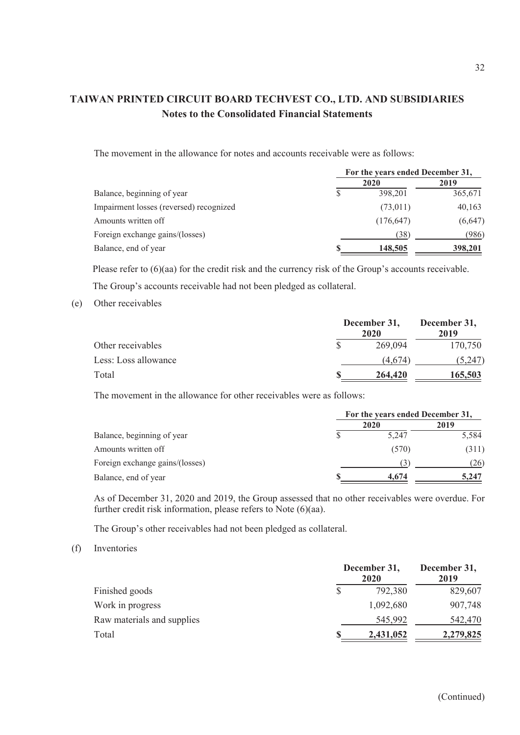The movement in the allowance for notes and accounts receivable were as follows:

|                                         | For the years ended December 31, |            |         |
|-----------------------------------------|----------------------------------|------------|---------|
|                                         |                                  | 2020       | 2019    |
| Balance, beginning of year              |                                  | 398,201    | 365,671 |
| Impairment losses (reversed) recognized |                                  | (73,011)   | 40,163  |
| Amounts written off                     |                                  | (176, 647) | (6,647) |
| Foreign exchange gains/(losses)         |                                  | (38)       | (986)   |
| Balance, end of year                    |                                  | 148,505    | 398,201 |

Please refer to (6)(aa) for the credit risk and the currency risk of the Group's accounts receivable. The Group's accounts receivable had not been pledged as collateral.

#### (e) Other receivables

|                      | December 31,<br>2020 | December 31,<br>2019 |
|----------------------|----------------------|----------------------|
| Other receivables    | 269.094              | 170,750              |
| Less: Loss allowance | (4.674)              | (5,247)              |
| Total                | 264,420              | 165,503              |

The movement in the allowance for other receivables were as follows:

|                                 | For the years ended December 31, |       |
|---------------------------------|----------------------------------|-------|
|                                 | 2020                             | 2019  |
| Balance, beginning of year      | 5.247                            | 5,584 |
| Amounts written off             | (570)                            | (311) |
| Foreign exchange gains/(losses) | $\mathfrak{Z}$                   | (26)  |
| Balance, end of year            | 4.674                            | 5,247 |

As of December 31, 2020 and 2019, the Group assessed that no other receivables were overdue. For further credit risk information, please refers to Note (6)(aa).

The Group's other receivables had not been pledged as collateral.

### (f) Inventories

|                            | December 31,<br>2020 | December 31,<br>2019 |
|----------------------------|----------------------|----------------------|
| Finished goods             | 792,380              | 829,607              |
| Work in progress           | 1,092,680            | 907,748              |
| Raw materials and supplies | 545,992              | 542,470              |
| Total                      | 2,431,052            | 2,279,825            |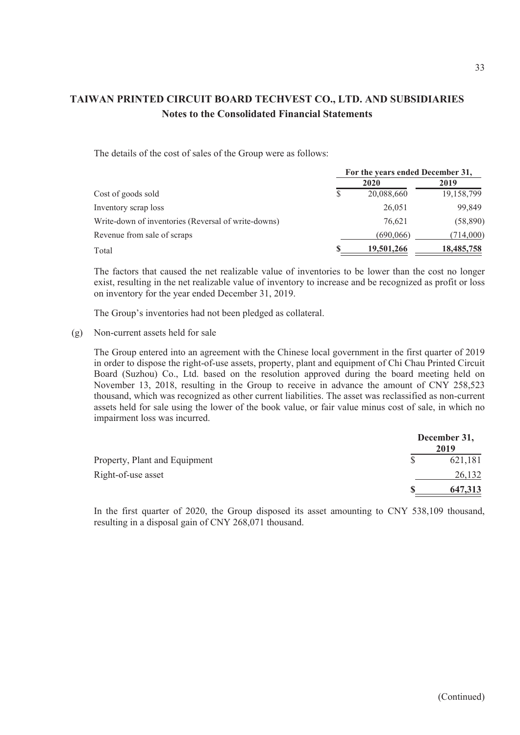The details of the cost of sales of the Group were as follows:

|                                                     | For the years ended December 31, |            |            |
|-----------------------------------------------------|----------------------------------|------------|------------|
|                                                     |                                  | 2020       | 2019       |
| Cost of goods sold                                  |                                  | 20,088,660 | 19,158,799 |
| Inventory scrap loss                                |                                  | 26,051     | 99,849     |
| Write-down of inventories (Reversal of write-downs) |                                  | 76,621     | (58, 890)  |
| Revenue from sale of scraps                         |                                  | (690,066)  | (714,000)  |
| Total                                               |                                  | 19,501,266 | 18,485,758 |

The factors that caused the net realizable value of inventories to be lower than the cost no longer exist, resulting in the net realizable value of inventory to increase and be recognized as profit or loss on inventory for the year ended December 31, 2019.

The Group's inventories had not been pledged as collateral.

#### (g) Non-current assets held for sale

The Group entered into an agreement with the Chinese local government in the first quarter of 2019 in order to dispose the right-of-use assets, property, plant and equipment of Chi Chau Printed Circuit Board (Suzhou) Co., Ltd. based on the resolution approved during the board meeting held on November 13, 2018, resulting in the Group to receive in advance the amount of CNY 258,523 thousand, which was recognized as other current liabilities. The asset was reclassified as non-current assets held for sale using the lower of the book value, or fair value minus cost of sale, in which no impairment loss was incurred.

|                               | December 31,<br>2019 |
|-------------------------------|----------------------|
| Property, Plant and Equipment | 621,181              |
| Right-of-use asset            | 26,132               |
|                               | 647,313              |

In the first quarter of 2020, the Group disposed its asset amounting to CNY 538,109 thousand, resulting in a disposal gain of CNY 268,071 thousand.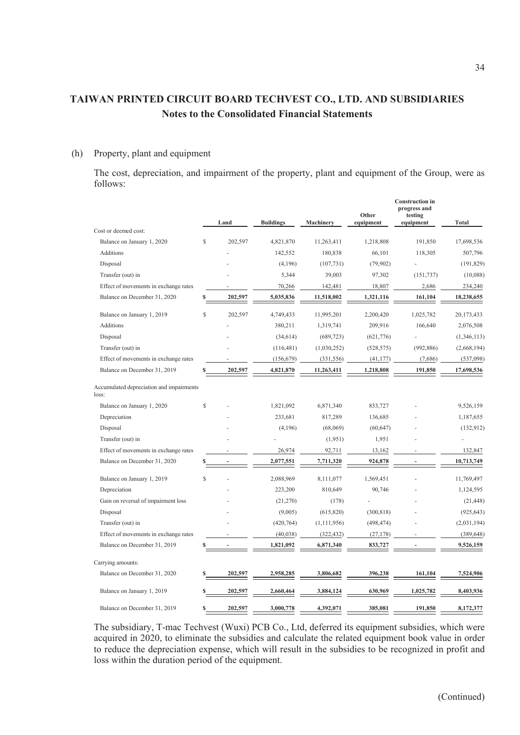### (h) Property, plant and equipment

The cost, depreciation, and impairment of the property, plant and equipment of the Group, were as follows:

|                                                   |    | Land    | <b>Buildings</b> | Machinery     | Other<br>equipment | <b>Construction</b> in<br>progress and<br>testing<br>equipment | <b>Total</b> |
|---------------------------------------------------|----|---------|------------------|---------------|--------------------|----------------------------------------------------------------|--------------|
| Cost or deemed cost:                              |    |         |                  |               |                    |                                                                |              |
| Balance on January 1, 2020                        | \$ | 202,597 | 4,821,870        | 11,263,411    | 1,218,808          | 191,850                                                        | 17,698,536   |
| <b>Additions</b>                                  |    |         | 142,552          | 180,838       | 66,101             | 118,305                                                        | 507,796      |
| Disposal                                          |    |         | (4,196)          | (107, 731)    | (79,902)           |                                                                | (191, 829)   |
| Transfer (out) in                                 |    |         | 5,344            | 39,003        | 97,302             | (151, 737)                                                     | (10,088)     |
| Effect of movements in exchange rates             |    |         | 70,266           | 142,481       | 18,807             | 2,686                                                          | 234,240      |
| Balance on December 31, 2020                      |    | 202,597 | 5,035,836        | 11,518,002    | 1,321,116          | 161,104                                                        | 18,238,655   |
| Balance on January 1, 2019                        | S  | 202,597 | 4,749,433        | 11,995,201    | 2,200,420          | 1,025,782                                                      | 20,173,433   |
| <b>Additions</b>                                  |    |         | 380,211          | 1,319,741     | 209,916            | 166,640                                                        | 2,076,508    |
| Disposal                                          |    |         | (34, 614)        | (689, 723)    | (621, 776)         |                                                                | (1,346,113)  |
| Transfer (out) in                                 |    |         | (116, 481)       | (1,030,252)   | (528, 575)         | (992, 886)                                                     | (2,668,194)  |
| Effect of movements in exchange rates             |    |         | (156, 679)       | (331, 556)    | (41, 177)          | (7,686)                                                        | (537,098)    |
| Balance on December 31, 2019                      |    | 202,597 | 4,821,870        | 11,263,411    | 1,218,808          | 191,850                                                        | 17,698,536   |
| Accumulated depreciation and impairments<br>loss: |    |         |                  |               |                    |                                                                |              |
| Balance on January 1, 2020                        | S  |         | 1,821,092        | 6,871,340     | 833,727            |                                                                | 9,526,159    |
| Depreciation                                      |    |         | 233,681          | 817,289       | 136,685            |                                                                | 1,187,655    |
| Disposal                                          |    |         | (4,196)          | (68,069)      | (60, 647)          |                                                                | (132, 912)   |
| Transfer (out) in                                 |    |         |                  | (1,951)       | 1,951              |                                                                |              |
| Effect of movements in exchange rates             |    |         | 26,974           | 92,711        | 13,162             |                                                                | 132,847      |
| Balance on December 31, 2020                      |    |         | 2,077,551        | 7,711,320     | 924,878            |                                                                | 10,713,749   |
| Balance on January 1, 2019                        | \$ |         | 2,088,969        | 8,111,077     | 1,569,451          |                                                                | 11,769,497   |
| Depreciation                                      |    |         | 223,200          | 810,649       | 90,746             |                                                                | 1,124,595    |
| Gain on reversal of impairment loss               |    |         | (21,270)         | (178)         |                    |                                                                | (21, 448)    |
| Disposal                                          |    |         | (9,005)          | (615, 820)    | (300, 818)         |                                                                | (925, 643)   |
| Transfer (out) in                                 |    |         | (420, 764)       | (1, 111, 956) | (498, 474)         |                                                                | (2,031,194)  |
| Effect of movements in exchange rates             |    |         | (40, 038)        | (322, 432)    | (27, 178)          |                                                                | (389, 648)   |
| Balance on December 31, 2019                      |    |         | 1,821,092        | 6,871,340     | 833,727            |                                                                | 9,526,159    |
| Carrying amounts:                                 |    |         |                  |               |                    |                                                                |              |
| Balance on December 31, 2020                      |    | 202,597 | 2,958,285        | 3,806,682     | 396,238            | 161,104                                                        | 7,524,906    |
| Balance on January 1, 2019                        |    | 202,597 | 2,660,464        | 3,884,124     | 630,969            | 1,025,782                                                      | 8,403,936    |
| Balance on December 31, 2019                      | Ś  | 202,597 | 3,000,778        | 4,392,071     | 385,081            | 191,850                                                        | 8,172,377    |

The subsidiary, T-mac Techvest (Wuxi) PCB Co., Ltd, deferred its equipment subsidies, which were acquired in 2020, to eliminate the subsidies and calculate the related equipment book value in order to reduce the depreciation expense, which will result in the subsidies to be recognized in profit and loss within the duration period of the equipment.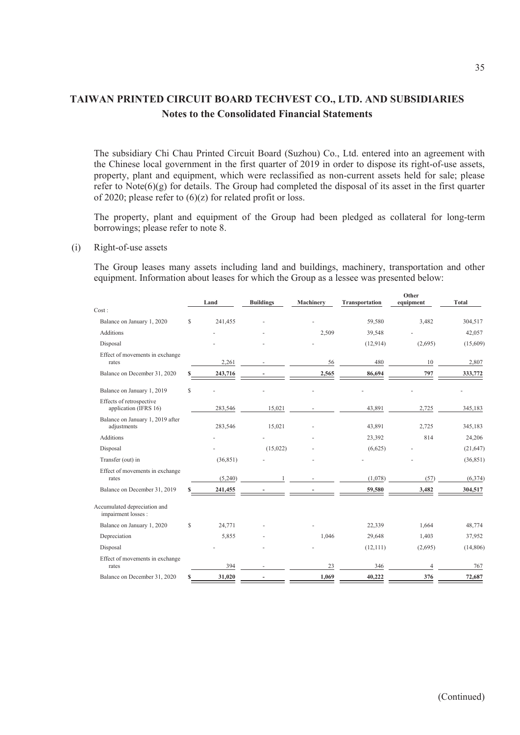The subsidiary Chi Chau Printed Circuit Board (Suzhou) Co., Ltd. entered into an agreement with the Chinese local government in the first quarter of 2019 in order to dispose its right-of-use assets, property, plant and equipment, which were reclassified as non-current assets held for sale; please refer to  $\text{Note}(6)(g)$  for details. The Group had completed the disposal of its asset in the first quarter of 2020; please refer to  $(6)(z)$  for related profit or loss.

The property, plant and equipment of the Group had been pledged as collateral for long-term borrowings; please refer to note 8.

#### (i) Right-of-use assets

The Group leases many assets including land and buildings, machinery, transportation and other equipment. Information about leases for which the Group as a lessee was presented below:

|                                                     |              | Land      | <b>Buildings</b> | Machinery | Transportation | Uther<br>equipment | <b>Total</b> |
|-----------------------------------------------------|--------------|-----------|------------------|-----------|----------------|--------------------|--------------|
| Cost:                                               |              |           |                  |           |                |                    |              |
| Balance on January 1, 2020                          | S            | 241,455   |                  |           | 59,580         | 3,482              | 304,517      |
| Additions                                           |              |           |                  | 2,509     | 39,548         |                    | 42,057       |
| Disposal                                            |              |           |                  |           | (12, 914)      | (2,695)            | (15,609)     |
| Effect of movements in exchange<br>rates            |              | 2,261     |                  | 56        | 480            | 10                 | 2,807        |
| Balance on December 31, 2020                        | s            | 243,716   |                  | 2,565     | 86,694         | 797                | 333,772      |
| Balance on January 1, 2019                          | \$           |           |                  |           |                |                    |              |
| Effects of retrospective<br>application (IFRS 16)   |              | 283,546   | 15,021           |           | 43,891         | 2,725              | 345,183      |
| Balance on January 1, 2019 after<br>adjustments     |              | 283,546   | 15,021           |           | 43,891         | 2,725              | 345,183      |
| Additions                                           |              |           |                  |           | 23,392         | 814                | 24,206       |
| Disposal                                            |              |           | (15,022)         |           | (6,625)        |                    | (21, 647)    |
| Transfer (out) in                                   |              | (36, 851) |                  |           |                |                    | (36, 851)    |
| Effect of movements in exchange<br>rates            |              | (5,240)   |                  |           | (1,078)        | (57)               | (6, 374)     |
| Balance on December 31, 2019                        | S            | 241,455   |                  |           | 59,580         | 3,482              | 304,517      |
| Accumulated depreciation and<br>impairment losses : |              |           |                  |           |                |                    |              |
| Balance on January 1, 2020                          | $\mathbb{S}$ | 24,771    |                  |           | 22,339         | 1,664              | 48,774       |
| Depreciation                                        |              | 5,855     |                  | 1,046     | 29,648         | 1,403              | 37,952       |
| Disposal                                            |              |           |                  |           | (12,111)       | (2,695)            | (14,806)     |
| Effect of movements in exchange<br>rates            |              | 394       |                  | 23        | 346            | $\overline{4}$     | 767          |
| Balance on December 31, 2020                        | S            | 31,020    | $\overline{a}$   | 1,069     | 40,222         | 376                | 72,687       |

**Other**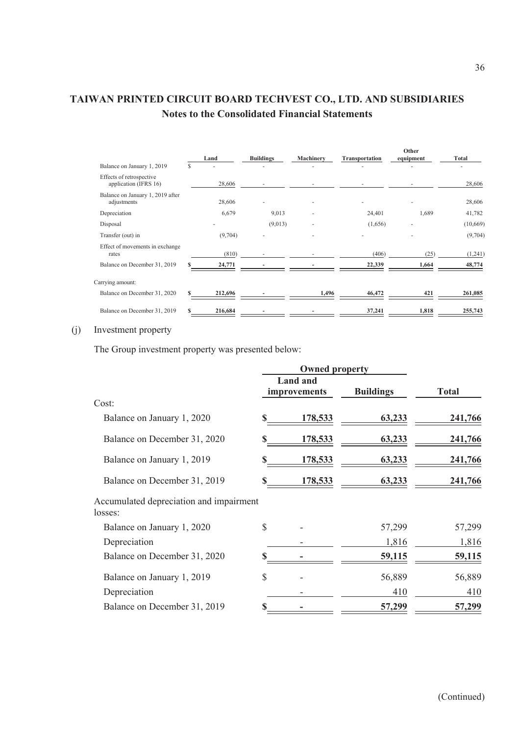|                                                   |     | Land    | <b>Buildings</b> | Machinery | Transportation | Other<br>equipment | <b>Total</b> |
|---------------------------------------------------|-----|---------|------------------|-----------|----------------|--------------------|--------------|
| Balance on January 1, 2019                        | \$  |         |                  |           |                |                    |              |
| Effects of retrospective<br>application (IFRS 16) |     | 28,606  |                  |           |                |                    | 28,606       |
| Balance on January 1, 2019 after<br>adjustments   |     | 28,606  |                  |           |                |                    | 28,606       |
| Depreciation                                      |     | 6,679   | 9,013            |           | 24,401         | 1,689              | 41,782       |
| Disposal                                          |     |         | (9,013)          |           | (1,656)        |                    | (10,669)     |
| Transfer (out) in                                 |     | (9,704) |                  |           |                |                    | (9,704)      |
| Effect of movements in exchange<br>rates          |     | (810)   |                  |           | (406)          | (25)               | (1,241)      |
| Balance on December 31, 2019                      | \$. | 24,771  |                  |           | 22,339         | 1,664              | 48,774       |
| Carrying amount:                                  |     |         |                  |           |                |                    |              |
| Balance on December 31, 2020                      | S   | 212,696 |                  | 1,496     | 46,472         | 421                | 261,085      |
| Balance on December 31, 2019                      | s   | 216,684 |                  |           | 37,241         | 1,818              | 255,743      |

### (j) Investment property

The Group investment property was presented below:

|                                                    |                                 | <b>Owned property</b> |                  |              |
|----------------------------------------------------|---------------------------------|-----------------------|------------------|--------------|
|                                                    | <b>Land and</b><br>improvements |                       | <b>Buildings</b> | <b>Total</b> |
| Cost:                                              |                                 |                       |                  |              |
| Balance on January 1, 2020                         |                                 | 178,533               | 63,233           | 241,766      |
| Balance on December 31, 2020                       |                                 | 178,533               | 63,233           | 241,766      |
| Balance on January 1, 2019                         |                                 | <u>178,533</u>        | 63,233           | 241,766      |
| Balance on December 31, 2019                       |                                 | 178,533               | 63,233           | 241,766      |
| Accumulated depreciation and impairment<br>losses: |                                 |                       |                  |              |
| Balance on January 1, 2020                         | \$                              |                       | 57,299           | 57,299       |
| Depreciation                                       |                                 |                       | 1,816            | 1,816        |
| Balance on December 31, 2020                       |                                 |                       | 59,115           | 59,115       |
| Balance on January 1, 2019                         | \$                              |                       | 56,889           | 56,889       |
| Depreciation                                       |                                 |                       | 410              | 410          |
| Balance on December 31, 2019                       |                                 |                       | 57,299           | 57,299       |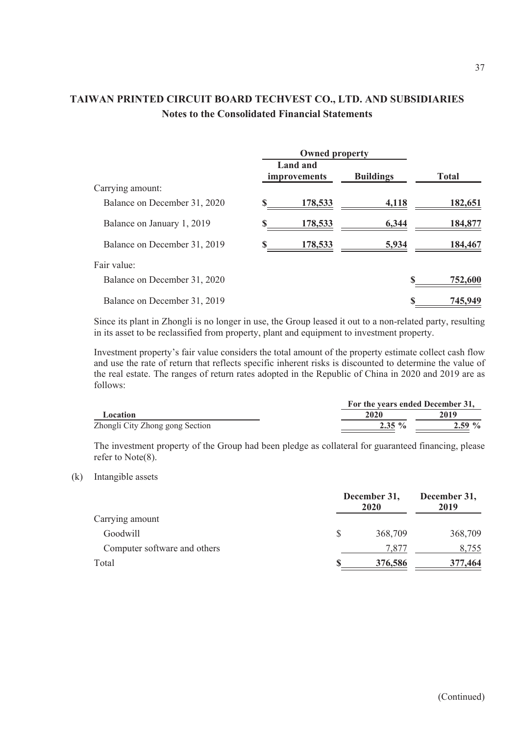|         | <b>Buildings</b>         | <b>Total</b>          |
|---------|--------------------------|-----------------------|
|         |                          |                       |
| 178,533 | 4,118                    | 182,651               |
| 178,533 | 6,344                    | 184,877               |
| 178,533 | 5,934                    | 184,467               |
|         |                          |                       |
|         |                          | 752,600               |
|         |                          | 745,949               |
|         | Land and<br>improvements | <b>Owned property</b> |

Since its plant in Zhongli is no longer in use, the Group leased it out to a non-related party, resulting in its asset to be reclassified from property, plant and equipment to investment property.

Investment property's fair value considers the total amount of the property estimate collect cash flow and use the rate of return that reflects specific inherent risks is discounted to determine the value of the real estate. The ranges of return rates adopted in the Republic of China in 2020 and 2019 are as follows:

|                                 | For the years ended December 31, |          |
|---------------------------------|----------------------------------|----------|
| Location                        | 2020                             | 2019     |
| Zhongli City Zhong gong Section | $2.35\%$                         | $2.59\%$ |

The investment property of the Group had been pledge as collateral for guaranteed financing, please refer to Note(8).

(k) Intangible assets

|                              | December 31,<br>2020 | December 31,<br>2019 |
|------------------------------|----------------------|----------------------|
| Carrying amount              |                      |                      |
| Goodwill                     | 368,709              | 368,709              |
| Computer software and others | 7.877                | 8,755                |
| Total                        | 376,586              | 377,464              |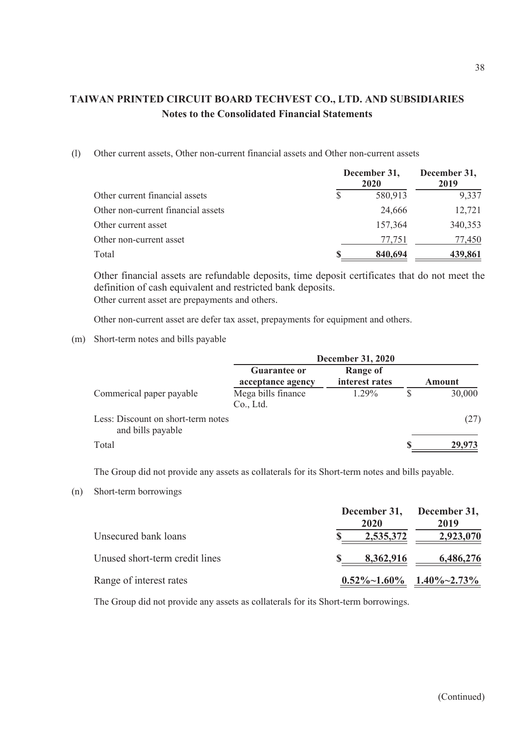(l) Other current assets, Other non-current financial assets and Other non-current assets

|                                    | December 31, | December 31,<br>2019 |         |
|------------------------------------|--------------|----------------------|---------|
| Other current financial assets     |              | 580,913              | 9,337   |
| Other non-current financial assets |              | 24,666               | 12,721  |
| Other current asset                |              | 157,364              | 340,353 |
| Other non-current asset            |              | 77,751               | 77,450  |
| Total                              |              | 840,694              | 439,861 |

Other financial assets are refundable deposits, time deposit certificates that do not meet the definition of cash equivalent and restricted bank deposits. Other current asset are prepayments and others.

Other non-current asset are defer tax asset, prepayments for equipment and others.

(m) Short-term notes and bills payable

|                                                         | <b>December 31, 2020</b>                 |                                   |  |               |
|---------------------------------------------------------|------------------------------------------|-----------------------------------|--|---------------|
|                                                         | <b>Guarantee or</b><br>acceptance agency | <b>Range of</b><br>interest rates |  | <b>Amount</b> |
| Commerical paper payable                                | Mega bills finance<br>Co., Ltd.          | $1.29\%$                          |  | 30,000        |
| Less: Discount on short-term notes<br>and bills payable |                                          |                                   |  | (27)          |
| Total                                                   |                                          |                                   |  | 29,973        |

The Group did not provide any assets as collaterals for its Short-term notes and bills payable.

(n) Short-term borrowings

|                                | December 31, December 31,<br>2020 | 2019      |  |
|--------------------------------|-----------------------------------|-----------|--|
| Unsecured bank loans           | 2,535,372                         | 2,923,070 |  |
| Unused short-term credit lines | 8,362,916                         | 6,486,276 |  |
| Range of interest rates        | $0.52\%~1.60\%$ $1.40\%~2.73\%$   |           |  |

The Group did not provide any assets as collaterals for its Short-term borrowings.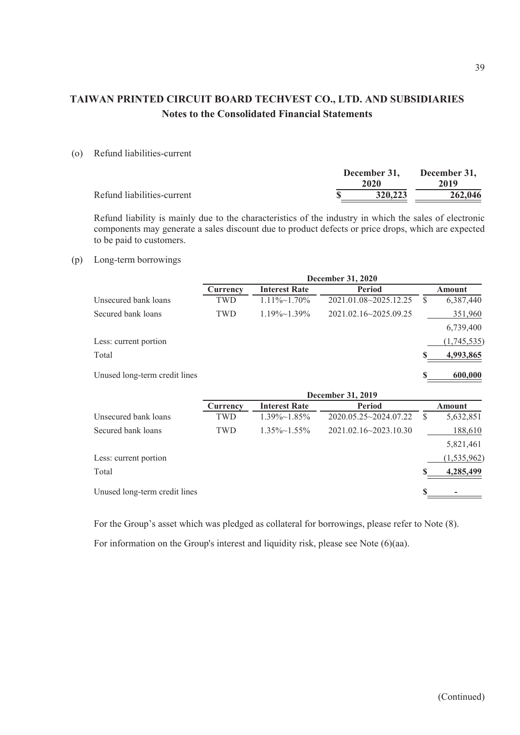(o) Refund liabilities-current

|                            | December 31, | December 31, |
|----------------------------|--------------|--------------|
|                            | 2020         | 2019         |
| Refund liabilities-current | 320,223      | 262,046      |

Refund liability is mainly due to the characteristics of the industry in which the sales of electronic components may generate a sales discount due to product defects or price drops, which are expected to be paid to customers.

(p) Long-term borrowings

|                               | <b>December 31, 2020</b> |                      |                                |   |             |
|-------------------------------|--------------------------|----------------------|--------------------------------|---|-------------|
|                               | Currency                 | <b>Interest Rate</b> | <b>Period</b>                  |   | Amount      |
| Unsecured bank loans          | TWD                      | $1.11\% \sim 1.70\%$ | 2021.01.08~2025.12.25          | S | 6,387,440   |
| Secured bank loans            | TWD                      | $1.19\% \sim 1.39\%$ | $2021.02.16 \times 2025.09.25$ |   | 351,960     |
|                               |                          |                      |                                |   | 6,739,400   |
| Less: current portion         |                          |                      |                                |   | (1,745,535) |
| Total                         |                          |                      |                                |   | 4,993,865   |
| Unused long-term credit lines |                          |                      |                                | ¢ | 600,000     |
|                               | <b>December 31, 2019</b> |                      |                                |   |             |

|                               | Detember $J_1, 201J$ |                      |                                |  |             |
|-------------------------------|----------------------|----------------------|--------------------------------|--|-------------|
|                               | Currency             | <b>Interest Rate</b> | Period                         |  | Amount      |
| Unsecured bank loans          | TWD                  | $1.39\% \sim 1.85\%$ | 2020.05.25~2024.07.22          |  | 5,632,851   |
| Secured bank loans            | TWD                  | $1.35\% \sim 1.55\%$ | $2021.02.16 \times 2023.10.30$ |  | 188,610     |
|                               |                      |                      |                                |  | 5,821,461   |
| Less: current portion         |                      |                      |                                |  | (1,535,962) |
| Total                         |                      |                      |                                |  | 4,285,499   |
| Unused long-term credit lines |                      |                      |                                |  | -           |

For the Group's asset which was pledged as collateral for borrowings, please refer to Note (8).

For information on the Group's interest and liquidity risk, please see Note (6)(aa).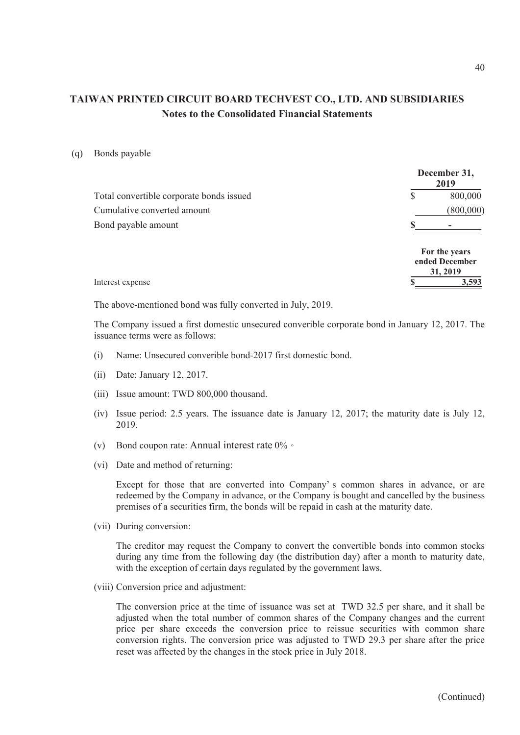#### (q) Bonds payable

|                                          | December 31,<br>2019                        |
|------------------------------------------|---------------------------------------------|
| Total convertible corporate bonds issued | 800,000                                     |
| Cumulative converted amount              | (800,000)                                   |
| Bond payable amount                      |                                             |
|                                          | For the years<br>ended December<br>31, 2019 |
| Interest expense                         | 3,593                                       |

The above-mentioned bond was fully converted in July, 2019.

The Company issued a first domestic unsecured converible corporate bond in January 12, 2017. The issuance terms were as follows:

- (i) Name: Unsecured converible bond-2017 first domestic bond.
- (ii) Date: January 12, 2017.
- (iii) Issue amount: TWD 800,000 thousand.
- (iv) Issue period: 2.5 years. The issuance date is January 12, 2017; the maturity date is July 12, 2019.
- (v) Bond coupon rate: Annual interest rate  $0\%$
- (vi) Date and method of returning:

Except for those that are converted into Company' s common shares in advance, or are redeemed by the Company in advance, or the Company is bought and cancelled by the business premises of a securities firm, the bonds will be repaid in cash at the maturity date.

(vii) During conversion:

The creditor may request the Company to convert the convertible bonds into common stocks during any time from the following day (the distribution day) after a month to maturity date, with the exception of certain days regulated by the government laws.

(viii) Conversion price and adjustment:

The conversion price at the time of issuance was set at TWD 32.5 per share, and it shall be adjusted when the total number of common shares of the Company changes and the current price per share exceeds the conversion price to reissue securities with common share conversion rights. The conversion price was adjusted to TWD 29.3 per share after the price reset was affected by the changes in the stock price in July 2018.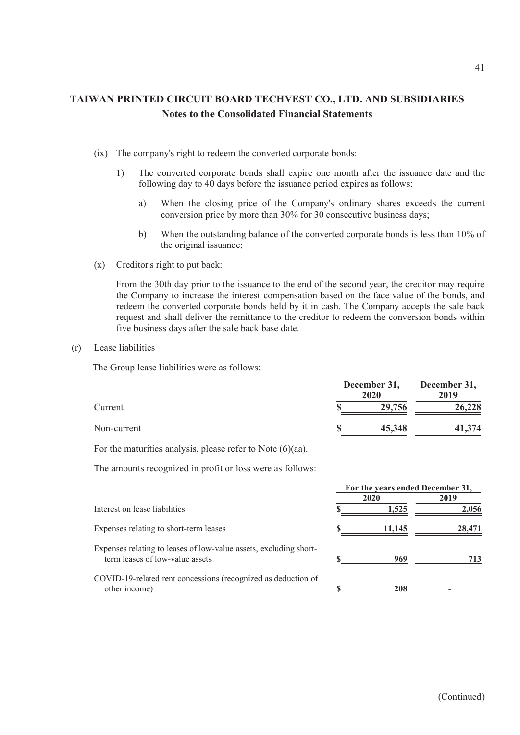- (ix) The company's right to redeem the converted corporate bonds:
	- 1) The converted corporate bonds shall expire one month after the issuance date and the following day to 40 days before the issuance period expires as follows:
		- a) When the closing price of the Company's ordinary shares exceeds the current conversion price by more than 30% for 30 consecutive business days;
		- b) When the outstanding balance of the converted corporate bonds is less than 10% of the original issuance;
- (x) Creditor's right to put back:

From the 30th day prior to the issuance to the end of the second year, the creditor may require the Company to increase the interest compensation based on the face value of the bonds, and redeem the converted corporate bonds held by it in cash. The Company accepts the sale back request and shall deliver the remittance to the creditor to redeem the conversion bonds within five business days after the sale back base date.

(r) Lease liabilities

The Group lease liabilities were as follows:

|             | December 31,<br>2020 | December 31,<br>2019 |
|-------------|----------------------|----------------------|
| Current     | 29,756               | 26,228               |
| Non-current | 45,348               | 41,374               |

For the maturities analysis, please refer to Note (6)(aa).

The amounts recognized in profit or loss were as follows:

|                                                                                                      | 2020   | 2019   |
|------------------------------------------------------------------------------------------------------|--------|--------|
| Interest on lease liabilities                                                                        | 1,525  | 2,056  |
| Expenses relating to short-term leases                                                               | 11,145 | 28,471 |
| Expenses relating to leases of low-value assets, excluding short-<br>term leases of low-value assets | 969    | 713    |
| COVID-19-related rent concessions (recognized as deduction of<br>other income)                       | 208    |        |

**For the years ended December 31,**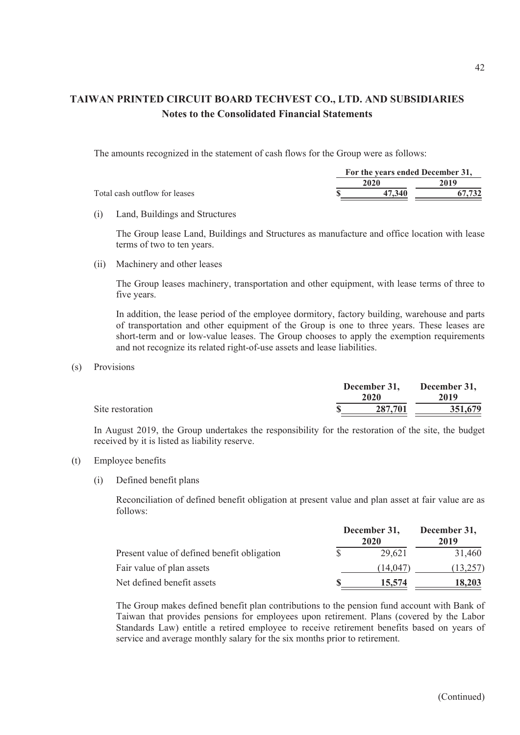The amounts recognized in the statement of cash flows for the Group were as follows:

|                               | For the vears ended December 31. |        |      |
|-------------------------------|----------------------------------|--------|------|
|                               |                                  | 2020   | 2019 |
| Total cash outflow for leases |                                  | 47.340 |      |

(i) Land, Buildings and Structures

The Group lease Land, Buildings and Structures as manufacture and office location with lease terms of two to ten years.

(ii) Machinery and other leases

The Group leases machinery, transportation and other equipment, with lease terms of three to five years.

In addition, the lease period of the employee dormitory, factory building, warehouse and parts of transportation and other equipment of the Group is one to three years. These leases are short-term and or low-value leases. The Group chooses to apply the exemption requirements and not recognize its related right-of-use assets and lease liabilities.

(s) Provisions

|                  | December 31,<br>2020 | December 31,<br>2019 |
|------------------|----------------------|----------------------|
| Site restoration | 287,701              | 351,679              |

In August 2019, the Group undertakes the responsibility for the restoration of the site, the budget received by it is listed as liability reserve.

### (t) Employee benefits

(i) Defined benefit plans

Reconciliation of defined benefit obligation at present value and plan asset at fair value are as follows:

|                                             | December 31,<br>2020 | December 31,<br>2019 |
|---------------------------------------------|----------------------|----------------------|
| Present value of defined benefit obligation | 29.621               | 31,460               |
| Fair value of plan assets                   | (14.047)             | (13,257)             |
| Net defined benefit assets                  | 15,574               | 18,203               |

The Group makes defined benefit plan contributions to the pension fund account with Bank of Taiwan that provides pensions for employees upon retirement. Plans (covered by the Labor Standards Law) entitle a retired employee to receive retirement benefits based on years of service and average monthly salary for the six months prior to retirement.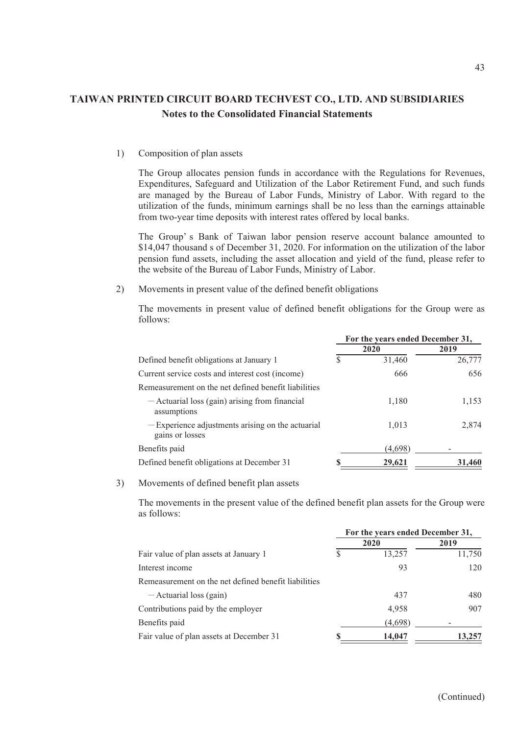#### 1) Composition of plan assets

The Group allocates pension funds in accordance with the Regulations for Revenues, Expenditures, Safeguard and Utilization of the Labor Retirement Fund, and such funds are managed by the Bureau of Labor Funds, Ministry of Labor. With regard to the utilization of the funds, minimum earnings shall be no less than the earnings attainable from two-year time deposits with interest rates offered by local banks.

The Group' s Bank of Taiwan labor pension reserve account balance amounted to \$14,047 thousand s of December 31, 2020. For information on the utilization of the labor pension fund assets, including the asset allocation and yield of the fund, please refer to the website of the Bureau of Labor Funds, Ministry of Labor.

2) Movements in present value of the defined benefit obligations

The movements in present value of defined benefit obligations for the Group were as follows:

|                                                                        | For the years ended December 31, |         |        |
|------------------------------------------------------------------------|----------------------------------|---------|--------|
|                                                                        |                                  | 2020    | 2019   |
| Defined benefit obligations at January 1                               |                                  | 31,460  | 26,777 |
| Current service costs and interest cost (income)                       |                                  | 666     | 656    |
| Remeasurement on the net defined benefit liabilities                   |                                  |         |        |
| $-$ Actuarial loss (gain) arising from financial<br>assumptions        |                                  | 1,180   | 1.153  |
| $-$ Experience adjustments arising on the actuarial<br>gains or losses |                                  | 1,013   | 2.874  |
| Benefits paid                                                          |                                  | (4,698) |        |
| Defined benefit obligations at December 31                             |                                  | 29,621  | 31,460 |

3) Movements of defined benefit plan assets

The movements in the present value of the defined benefit plan assets for the Group were as follows:

|                                                      | For the years ended December 31, |         |        |
|------------------------------------------------------|----------------------------------|---------|--------|
|                                                      |                                  | 2020    | 2019   |
| Fair value of plan assets at January 1               |                                  | 13,257  | 11,750 |
| Interest income                                      |                                  | 93      | 120    |
| Remeasurement on the net defined benefit liabilities |                                  |         |        |
| $-$ Actuarial loss (gain)                            |                                  | 437     | 480    |
| Contributions paid by the employer                   |                                  | 4,958   | 907    |
| Benefits paid                                        |                                  | (4,698) |        |
| Fair value of plan assets at December 31             |                                  | 14,047  | 13.257 |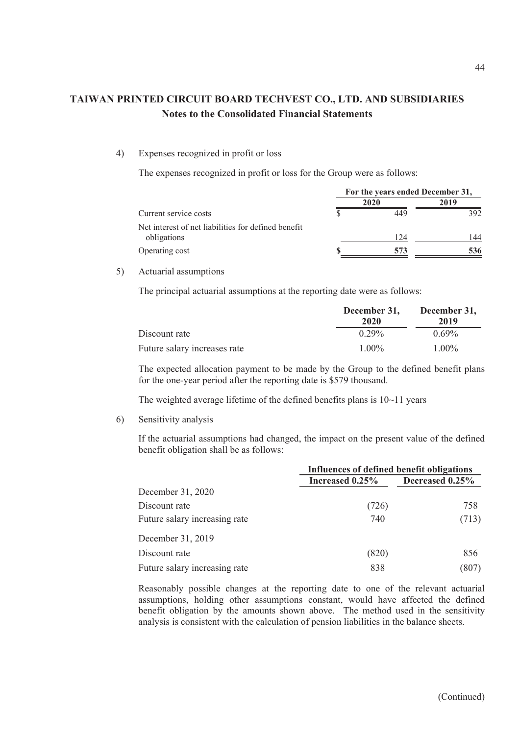4) Expenses recognized in profit or loss

The expenses recognized in profit or loss for the Group were as follows:

|                                                                    | For the years ended December 31, |      |      |
|--------------------------------------------------------------------|----------------------------------|------|------|
|                                                                    |                                  | 2020 | 2019 |
| Current service costs                                              |                                  | 449  | 392  |
| Net interest of net liabilities for defined benefit<br>obligations |                                  | 124  | 144  |
| Operating cost                                                     |                                  | 573  | 536  |

#### 5) Actuarial assumptions

The principal actuarial assumptions at the reporting date were as follows:

|                              | December 31, | December 31, |  |
|------------------------------|--------------|--------------|--|
|                              | 2020         | 2019         |  |
| Discount rate                | $0.29\%$     | $0.69\%$     |  |
| Future salary increases rate | $1.00\%$     | $1.00\%$     |  |

The expected allocation payment to be made by the Group to the defined benefit plans for the one-year period after the reporting date is \$579 thousand.

The weighted average lifetime of the defined benefits plans is  $10~11$  years

6) Sensitivity analysis

If the actuarial assumptions had changed, the impact on the present value of the defined benefit obligation shall be as follows:

|                               | <b>Influences of defined benefit obligations</b> |                 |  |
|-------------------------------|--------------------------------------------------|-----------------|--|
|                               | Increased 0.25%                                  | Decreased 0.25% |  |
| December 31, 2020             |                                                  |                 |  |
| Discount rate                 | (726)                                            | 758             |  |
| Future salary increasing rate | 740                                              | (713)           |  |
| December 31, 2019             |                                                  |                 |  |
| Discount rate                 | (820)                                            | 856             |  |
| Future salary increasing rate | 838                                              | (807)           |  |

Reasonably possible changes at the reporting date to one of the relevant actuarial assumptions, holding other assumptions constant, would have affected the defined benefit obligation by the amounts shown above. The method used in the sensitivity analysis is consistent with the calculation of pension liabilities in the balance sheets.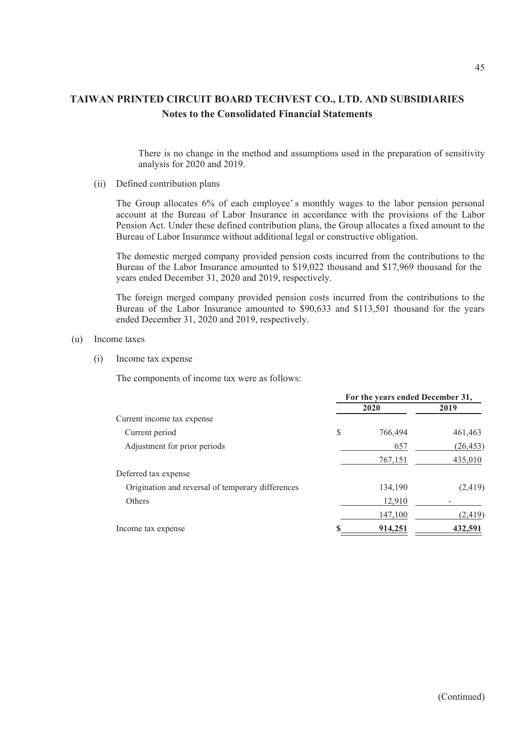There is no change in the method and assumptions used in the preparation of sensitivity analysis for 2020 and 2019.

(ii) Defined contribution plans

The Group allocates 6% of each employee' s monthly wages to the labor pension personal account at the Bureau of Labor Insurance in accordance with the provisions of the Labor Pension Act. Under these defined contribution plans, the Group allocates a fixed amount to the Bureau of Labor Insurance without additional legal or constructive obligation.

The domestic merged company provided pension costs incurred from the contributions to the Bureau of the Labor Insurance amounted to \$19,022 thousand and \$17,969 thousand for the years ended December 31, 2020 and 2019, respectively.

The foreign merged company provided pension costs incurred from the contributions to the Bureau of the Labor Insurance amounted to \$90,633 and \$113,501 thousand for the years ended December 31, 2020 and 2019, respectively.

### (u) Income taxes

(i) Income tax expense

The components of income tax were as follows:

|                                                   | For the years ended December 31, |         |           |  |
|---------------------------------------------------|----------------------------------|---------|-----------|--|
|                                                   |                                  | 2020    | 2019      |  |
| Current income tax expense                        |                                  |         |           |  |
| Current period                                    | \$                               | 766,494 | 461,463   |  |
| Adjustment for prior periods                      |                                  | 657     | (26, 453) |  |
|                                                   |                                  | 767,151 | 435,010   |  |
| Deferred tax expense                              |                                  |         |           |  |
| Origination and reversal of temporary differences |                                  | 134,190 | (2, 419)  |  |
| Others                                            |                                  | 12,910  |           |  |
|                                                   |                                  | 147,100 | (2, 419)  |  |
| Income tax expense                                |                                  | 914,251 | 432,591   |  |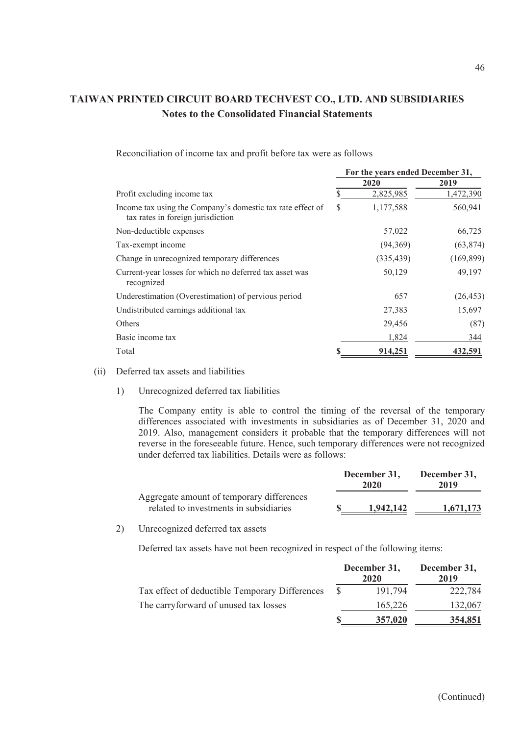|                                                                                                 |               | For the years ended December 31, |            |  |  |
|-------------------------------------------------------------------------------------------------|---------------|----------------------------------|------------|--|--|
|                                                                                                 |               | 2020                             | 2019       |  |  |
| Profit excluding income tax                                                                     |               | 2,825,985                        | 1,472,390  |  |  |
| Income tax using the Company's domestic tax rate effect of<br>tax rates in foreign jurisdiction | <sup>\$</sup> | 1,177,588                        | 560,941    |  |  |
| Non-deductible expenses                                                                         |               | 57,022                           | 66,725     |  |  |
| Tax-exempt income                                                                               |               | (94,369)                         | (63, 874)  |  |  |
| Change in unrecognized temporary differences                                                    |               | (335, 439)                       | (169, 899) |  |  |
| Current-year losses for which no deferred tax asset was<br>recognized                           |               | 50,129                           | 49,197     |  |  |
| Underestimation (Overestimation) of pervious period                                             |               | 657                              | (26, 453)  |  |  |
| Undistributed earnings additional tax                                                           |               | 27,383                           | 15,697     |  |  |
| <b>Others</b>                                                                                   |               | 29,456                           | (87)       |  |  |
| Basic income tax                                                                                |               | 1,824                            | 344        |  |  |
| Total                                                                                           |               | 914,251                          | 432,591    |  |  |

Reconciliation of income tax and profit before tax were as follows

### (ii) Deferred tax assets and liabilities

### 1) Unrecognized deferred tax liabilities

The Company entity is able to control the timing of the reversal of the temporary differences associated with investments in subsidiaries as of December 31, 2020 and 2019. Also, management considers it probable that the temporary differences will not reverse in the foreseeable future. Hence, such temporary differences were not recognized under deferred tax liabilities. Details were as follows:

|                                                                                     | December 31,<br>2020 |           | December 31,<br>2019 |
|-------------------------------------------------------------------------------------|----------------------|-----------|----------------------|
| Aggregate amount of temporary differences<br>related to investments in subsidiaries |                      | 1.942.142 | 1.671.173            |

#### 2) Unrecognized deferred tax assets

Deferred tax assets have not been recognized in respect of the following items:

|    | 2020    | December 31,<br>2019 |  |
|----|---------|----------------------|--|
| -S | 191,794 | 222,784              |  |
|    | 165,226 | 132,067              |  |
|    | 357,020 | 354,851              |  |
|    |         | December 31,         |  |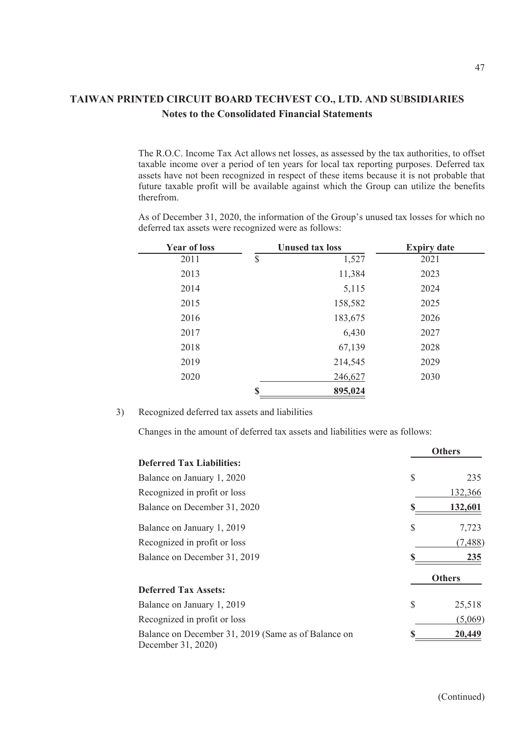The R.O.C. Income Tax Act allows net losses, as assessed by the tax authorities, to offset taxable income over a period of ten years for local tax reporting purposes. Deferred tax assets have not been recognized in respect of these items because it is not probable that future taxable profit will be available against which the Group can utilize the benefits therefrom.

| <b>Year of loss</b> |    | <b>Unused tax loss</b> | <b>Expiry date</b> |
|---------------------|----|------------------------|--------------------|
| 2011                | \$ | 1,527                  | 2021               |
| 2013                |    | 11,384                 | 2023               |
| 2014                |    | 5,115                  | 2024               |
| 2015                |    | 158,582                | 2025               |
| 2016                |    | 183,675                | 2026               |
| 2017                |    | 6,430                  | 2027               |
| 2018                |    | 67,139                 | 2028               |
| 2019                |    | 214,545                | 2029               |
| 2020                |    | 246,627                | 2030               |
|                     | S  | 895,024                |                    |

As of December 31, 2020, the information of the Group's unused tax losses for which no deferred tax assets were recognized were as follows:

3) Recognized deferred tax assets and liabilities

Changes in the amount of deferred tax assets and liabilities were as follows:

|                                                                           |               | <b>Others</b> |
|---------------------------------------------------------------------------|---------------|---------------|
| <b>Deferred Tax Liabilities:</b>                                          |               |               |
| Balance on January 1, 2020                                                | \$            | 235           |
| Recognized in profit or loss                                              |               | 132,366       |
| Balance on December 31, 2020                                              |               | 132,601       |
| Balance on January 1, 2019                                                | S             | 7,723         |
| Recognized in profit or loss                                              |               | (7, 488)      |
| Balance on December 31, 2019                                              |               | 235           |
|                                                                           |               | <b>Others</b> |
| <b>Deferred Tax Assets:</b>                                               |               |               |
| Balance on January 1, 2019                                                | $\mathcal{S}$ | 25,518        |
| Recognized in profit or loss                                              |               | (5,069)       |
| Balance on December 31, 2019 (Same as of Balance on<br>December 31, 2020) |               | 20,449        |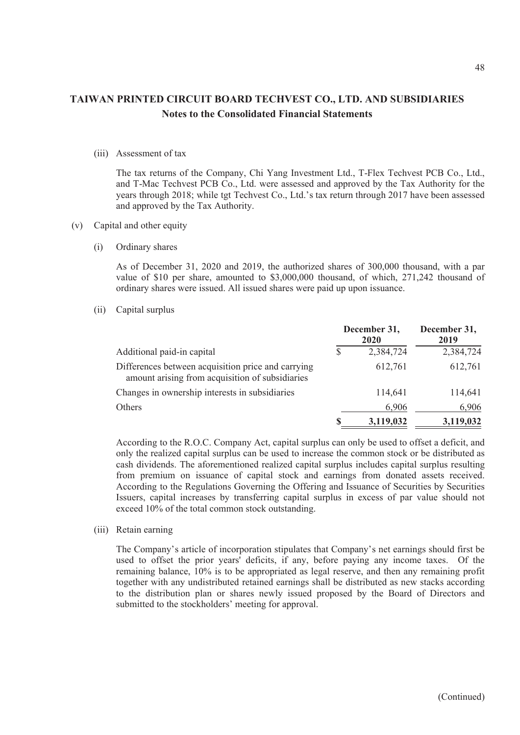(iii) Assessment of tax

The tax returns of the Company, Chi Yang Investment Ltd., T-Flex Techvest PCB Co., Ltd., and T-Mac Techvest PCB Co., Ltd. were assessed and approved by the Tax Authority for the years through 2018; while tgt Techvest Co., Ltd.'s tax return through 2017 have been assessed and approved by the Tax Authority.

- (v) Capital and other equity
	- (i) Ordinary shares

As of December 31, 2020 and 2019, the authorized shares of 300,000 thousand, with a par value of \$10 per share, amounted to \$3,000,000 thousand, of which, 271,242 thousand of ordinary shares were issued. All issued shares were paid up upon issuance.

(ii) Capital surplus

|                                                                                                       |  | December 31,<br>2020 | December 31,<br>2019 |  |
|-------------------------------------------------------------------------------------------------------|--|----------------------|----------------------|--|
| Additional paid-in capital                                                                            |  | 2,384,724            | 2,384,724            |  |
| Differences between acquisition price and carrying<br>amount arising from acquisition of subsidiaries |  | 612,761              | 612,761              |  |
| Changes in ownership interests in subsidiaries                                                        |  | 114,641              | 114,641              |  |
| Others                                                                                                |  | 6,906                | 6,906                |  |
|                                                                                                       |  | 3,119,032            | 3,119,032            |  |

According to the R.O.C. Company Act, capital surplus can only be used to offset a deficit, and only the realized capital surplus can be used to increase the common stock or be distributed as cash dividends. The aforementioned realized capital surplus includes capital surplus resulting from premium on issuance of capital stock and earnings from donated assets received. According to the Regulations Governing the Offering and Issuance of Securities by Securities Issuers, capital increases by transferring capital surplus in excess of par value should not exceed 10% of the total common stock outstanding.

(iii) Retain earning

The Company's article of incorporation stipulates that Company's net earnings should first be used to offset the prior years' deficits, if any, before paying any income taxes. Of the remaining balance, 10% is to be appropriated as legal reserve, and then any remaining profit together with any undistributed retained earnings shall be distributed as new stacks according to the distribution plan or shares newly issued proposed by the Board of Directors and submitted to the stockholders' meeting for approval.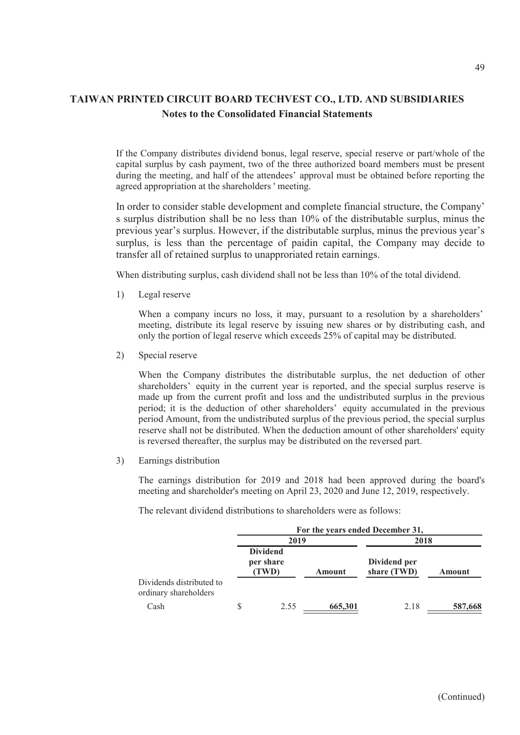If the Company distributes dividend bonus, legal reserve, special reserve or part/whole of the capital surplus by cash payment, two of the three authorized board members must be present during the meeting, and half of the attendees' approval must be obtained before reporting the agreed appropriation at the shareholders ' meeting.

In order to consider stable development and complete financial structure, the Company' s surplus distribution shall be no less than 10% of the distributable surplus, minus the previous year's surplus. However, if the distributable surplus, minus the previous year's surplus, is less than the percentage of paidin capital, the Company may decide to transfer all of retained surplus to unapproriated retain earnings.

When distributing surplus, cash dividend shall not be less than 10% of the total dividend.

1) Legal reserve

When a company incurs no loss, it may, pursuant to a resolution by a shareholders' meeting, distribute its legal reserve by issuing new shares or by distributing cash, and only the portion of legal reserve which exceeds 25% of capital may be distributed.

2) Special reserve

When the Company distributes the distributable surplus, the net deduction of other shareholders' equity in the current year is reported, and the special surplus reserve is made up from the current profit and loss and the undistributed surplus in the previous period; it is the deduction of other shareholders' equity accumulated in the previous period Amount, from the undistributed surplus of the previous period, the special surplus reserve shall not be distributed. When the deduction amount of other shareholders' equity is reversed thereafter, the surplus may be distributed on the reversed part.

3) Earnings distribution

The earnings distribution for 2019 and 2018 had been approved during the board's meeting and shareholder's meeting on April 23, 2020 and June 12, 2019, respectively.

The relevant dividend distributions to shareholders were as follows:

|                                                   | For the years ended December 31, |                                      |         |                             |         |  |
|---------------------------------------------------|----------------------------------|--------------------------------------|---------|-----------------------------|---------|--|
|                                                   | 2019                             |                                      | 2018    |                             |         |  |
|                                                   |                                  | <b>Dividend</b><br>per share<br>TWD) | Amount  | Dividend per<br>share (TWD) | Amount  |  |
| Dividends distributed to<br>ordinary shareholders |                                  |                                      |         |                             |         |  |
| Cash                                              | S                                | 2.55                                 | 665,301 | 2.18                        | 587,668 |  |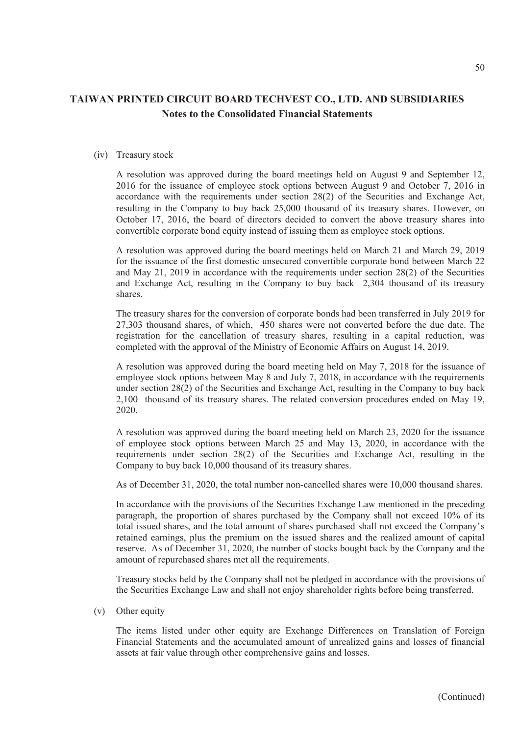#### (iv) Treasury stock

A resolution was approved during the board meetings held on August 9 and September 12, 2016 for the issuance of employee stock options between August 9 and October 7, 2016 in accordance with the requirements under section 28(2) of the Securities and Exchange Act, resulting in the Company to buy back 25,000 thousand of its treasury shares. However, on October 17, 2016, the board of directors decided to convert the above treasury shares into convertible corporate bond equity instead of issuing them as employee stock options.

A resolution was approved during the board meetings held on March 21 and March 29, 2019 for the issuance of the first domestic unsecured convertible corporate bond between March 22 and May 21, 2019 in accordance with the requirements under section 28(2) of the Securities and Exchange Act, resulting in the Company to buy back 2,304 thousand of its treasury shares.

The treasury shares for the conversion of corporate bonds had been transferred in July 2019 for 27,303 thousand shares, of which, 450 shares were not converted before the due date. The registration for the cancellation of treasury shares, resulting in a capital reduction, was completed with the approval of the Ministry of Economic Affairs on August 14, 2019.

A resolution was approved during the board meeting held on May 7, 2018 for the issuance of employee stock options between May 8 and July 7, 2018, in accordance with the requirements under section 28(2) of the Securities and Exchange Act, resulting in the Company to buy back 2,100 thousand of its treasury shares. The related conversion procedures ended on May 19, 2020.

A resolution was approved during the board meeting held on March 23, 2020 for the issuance of employee stock options between March 25 and May 13, 2020, in accordance with the requirements under section 28(2) of the Securities and Exchange Act, resulting in the Company to buy back 10,000 thousand of its treasury shares.

As of December 31, 2020, the total number non-cancelled shares were 10,000 thousand shares.

In accordance with the provisions of the Securities Exchange Law mentioned in the preceding paragraph, the proportion of shares purchased by the Company shall not exceed 10% of its total issued shares, and the total amount of shares purchased shall not exceed the Company's retained earnings, plus the premium on the issued shares and the realized amount of capital reserve. As of December 31, 2020, the number of stocks bought back by the Company and the amount of repurchased shares met all the requirements.

Treasury stocks held by the Company shall not be pledged in accordance with the provisions of the Securities Exchange Law and shall not enjoy shareholder rights before being transferred.

### (v) Other equity

The items listed under other equity are Exchange Differences on Translation of Foreign Financial Statements and the accumulated amount of unrealized gains and losses of financial assets at fair value through other comprehensive gains and losses.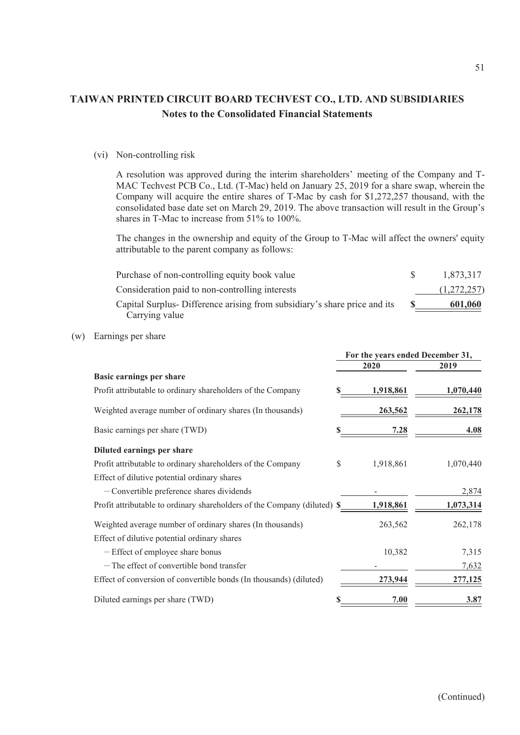### (vi) Non-controlling risk

A resolution was approved during the interim shareholders' meeting of the Company and T-MAC Techvest PCB Co., Ltd. (T-Mac) held on January 25, 2019 for a share swap, wherein the Company will acquire the entire shares of T-Mac by cash for \$1,272,257 thousand, with the consolidated base date set on March 29, 2019. The above transaction will result in the Group's shares in T-Mac to increase from 51% to 100%.

The changes in the ownership and equity of the Group to T-Mac will affect the owners' equity attributable to the parent company as follows:

| Purchase of non-controlling equity book value                             | 1,873,317   |
|---------------------------------------------------------------------------|-------------|
| Consideration paid to non-controlling interests                           | (1,272,257) |
| Capital Surplus- Difference arising from subsidiary's share price and its | 601,060     |
| Carrying value                                                            |             |

(w) Earnings per share

|                                                                          | For the years ended December 31, |           |           |
|--------------------------------------------------------------------------|----------------------------------|-----------|-----------|
|                                                                          |                                  | 2020      | 2019      |
| <b>Basic earnings per share</b>                                          |                                  |           |           |
| Profit attributable to ordinary shareholders of the Company              |                                  | 1,918,861 | 1,070,440 |
| Weighted average number of ordinary shares (In thousands)                |                                  | 263,562   | 262,178   |
| Basic earnings per share (TWD)                                           |                                  | 7.28      | 4.08      |
| Diluted earnings per share                                               |                                  |           |           |
| Profit attributable to ordinary shareholders of the Company              | \$                               | 1,918,861 | 1,070,440 |
| Effect of dilutive potential ordinary shares                             |                                  |           |           |
| $-$ Convertible preference shares dividends                              |                                  |           | 2,874     |
| Profit attributable to ordinary shareholders of the Company (diluted) \$ |                                  | 1,918,861 | 1,073,314 |
| Weighted average number of ordinary shares (In thousands)                |                                  | 263,562   | 262,178   |
| Effect of dilutive potential ordinary shares                             |                                  |           |           |
| -Effect of employee share bonus                                          |                                  | 10,382    | 7,315     |
| -The effect of convertible bond transfer                                 |                                  |           | 7,632     |
| Effect of conversion of convertible bonds (In thousands) (diluted)       |                                  | 273,944   | 277,125   |
| Diluted earnings per share (TWD)                                         |                                  | 7.00      | 3.87      |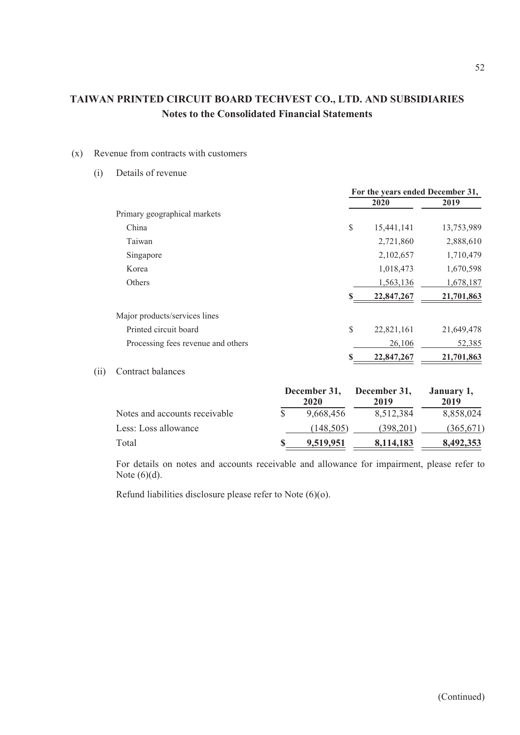### (x) Revenue from contracts with customers

(i) Details of revenue

|                                    | For the years ended December 31, |            |            |
|------------------------------------|----------------------------------|------------|------------|
|                                    |                                  | 2020       | 2019       |
| Primary geographical markets       |                                  |            |            |
| China                              | \$                               | 15,441,141 | 13,753,989 |
| Taiwan                             |                                  | 2,721,860  | 2,888,610  |
| Singapore                          |                                  | 2,102,657  | 1,710,479  |
| Korea                              |                                  | 1,018,473  | 1,670,598  |
| Others                             |                                  | 1,563,136  | 1,678,187  |
|                                    |                                  | 22,847,267 | 21,701,863 |
| Major products/services lines      |                                  |            |            |
| Printed circuit board              | \$                               | 22,821,161 | 21,649,478 |
| Processing fees revenue and others |                                  | 26,106     | 52,385     |
|                                    |                                  | 22,847,267 | 21,701,863 |
| Contract balances<br>(i)           |                                  |            |            |

|                               | December 31,<br>2020 | December 31,<br>2019 | January 1,<br>2019 |  |
|-------------------------------|----------------------|----------------------|--------------------|--|
| Notes and accounts receivable | 9,668,456            | 8,512,384            | 8,858,024          |  |
| Less: Loss allowance          | (148.505)            | (398.201)            | (365, 671)         |  |
| Total                         | 9.519.951            | 8,114,183            | 8,492,353          |  |

For details on notes and accounts receivable and allowance for impairment, please refer to Note  $(6)(d)$ .

Refund liabilities disclosure please refer to Note (6)(o).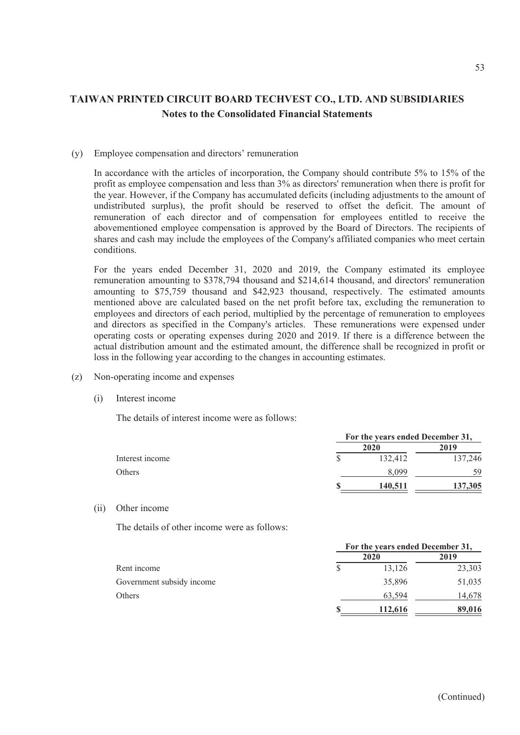### (y) Employee compensation and directors' remuneration

In accordance with the articles of incorporation, the Company should contribute 5% to 15% of the profit as employee compensation and less than 3% as directors' remuneration when there is profit for the year. However, if the Company has accumulated deficits (including adjustments to the amount of undistributed surplus), the profit should be reserved to offset the deficit. The amount of remuneration of each director and of compensation for employees entitled to receive the abovementioned employee compensation is approved by the Board of Directors. The recipients of shares and cash may include the employees of the Company's affiliated companies who meet certain conditions.

For the years ended December 31, 2020 and 2019, the Company estimated its employee remuneration amounting to \$378,794 thousand and \$214,614 thousand, and directors' remuneration amounting to \$75,759 thousand and \$42,923 thousand, respectively. The estimated amounts mentioned above are calculated based on the net profit before tax, excluding the remuneration to employees and directors of each period, multiplied by the percentage of remuneration to employees and directors as specified in the Company's articles. These remunerations were expensed under operating costs or operating expenses during 2020 and 2019. If there is a difference between the actual distribution amount and the estimated amount, the difference shall be recognized in profit or loss in the following year according to the changes in accounting estimates.

- (z) Non-operating income and expenses
	- (i) Interest income

The details of interest income were as follows:

|                 | For the years ended December 31, |         |  |  |
|-----------------|----------------------------------|---------|--|--|
|                 | 2020                             | 2019    |  |  |
| Interest income | 132,412                          | 137,246 |  |  |
| Others          | 8.099                            | 59      |  |  |
|                 | 140.511                          | 137,305 |  |  |

(ii) Other income

The details of other income were as follows:

|                           | For the years ended December 31, |         |        |  |
|---------------------------|----------------------------------|---------|--------|--|
|                           |                                  | 2020    | 2019   |  |
| Rent income               |                                  | 13.126  | 23,303 |  |
| Government subsidy income |                                  | 35,896  | 51,035 |  |
| Others                    |                                  | 63.594  | 14,678 |  |
|                           |                                  | 112,616 | 89,016 |  |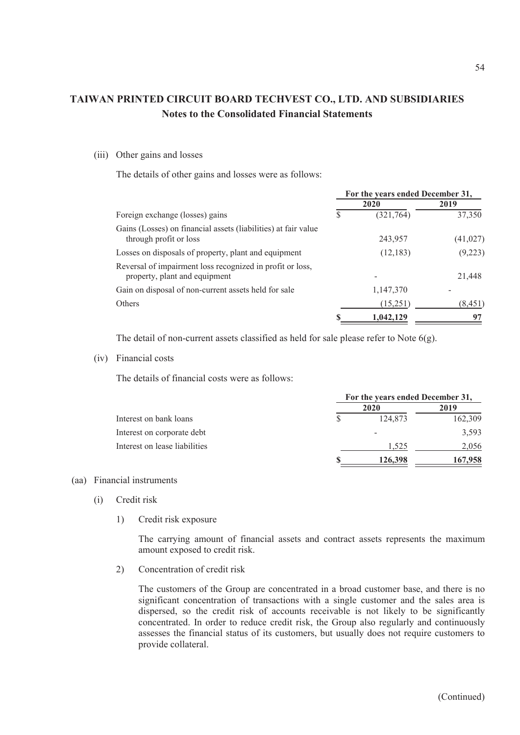#### (iii) Other gains and losses

The details of other gains and losses were as follows:

|                                                                                            | For the years ended December 31, |           |  |
|--------------------------------------------------------------------------------------------|----------------------------------|-----------|--|
|                                                                                            | 2020                             | 2019      |  |
| Foreign exchange (losses) gains                                                            | (321,764)                        | 37,350    |  |
| Gains (Losses) on financial assets (liabilities) at fair value<br>through profit or loss   | 243,957                          | (41, 027) |  |
| Losses on disposals of property, plant and equipment                                       | (12, 183)                        | (9,223)   |  |
| Reversal of impairment loss recognized in profit or loss,<br>property, plant and equipment |                                  | 21,448    |  |
| Gain on disposal of non-current assets held for sale                                       | 1,147,370                        |           |  |
| <b>Others</b>                                                                              | (15,251)                         | (8, 451)  |  |
|                                                                                            | 1,042,129                        | 97        |  |

The detail of non-current assets classified as held for sale please refer to Note  $6(g)$ .

### (iv) Financial costs

The details of financial costs were as follows:

|                               | For the years ended December 31, |         |         |  |
|-------------------------------|----------------------------------|---------|---------|--|
|                               |                                  | 2020    | 2019    |  |
| Interest on bank loans        |                                  | 124,873 | 162,309 |  |
| Interest on corporate debt    |                                  |         | 3,593   |  |
| Interest on lease liabilities |                                  | 1.525   | 2,056   |  |
|                               |                                  | 126,398 | 167,958 |  |

#### (aa) Financial instruments

- (i) Credit risk
	- 1) Credit risk exposure

The carrying amount of financial assets and contract assets represents the maximum amount exposed to credit risk.

2) Concentration of credit risk

The customers of the Group are concentrated in a broad customer base, and there is no significant concentration of transactions with a single customer and the sales area is dispersed, so the credit risk of accounts receivable is not likely to be significantly concentrated. In order to reduce credit risk, the Group also regularly and continuously assesses the financial status of its customers, but usually does not require customers to provide collateral.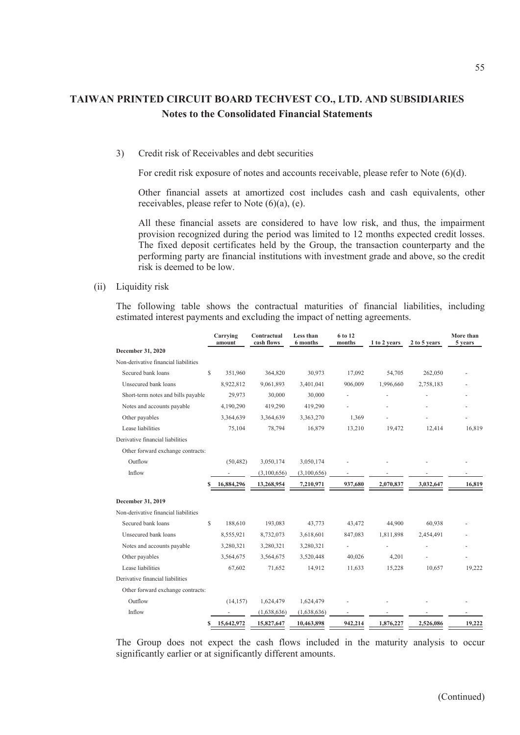#### 3) Credit risk of Receivables and debt securities

For credit risk exposure of notes and accounts receivable, please refer to Note (6)(d).

Other financial assets at amortized cost includes cash and cash equivalents, other receivables, please refer to Note (6)(a), (e).

All these financial assets are considered to have low risk, and thus, the impairment provision recognized during the period was limited to 12 months expected credit losses. The fixed deposit certificates held by the Group, the transaction counterparty and the performing party are financial institutions with investment grade and above, so the credit risk is deemed to be low.

#### (ii) Liquidity risk

The following table shows the contractual maturities of financial liabilities, including estimated interest payments and excluding the impact of netting agreements.

|                                      |    | Carrying<br>amount | Contractual<br>cash flows | Less than<br>6 months | 6 to 12<br>months | 1 to 2 years | 2 to 5 years | More than<br>5 years |
|--------------------------------------|----|--------------------|---------------------------|-----------------------|-------------------|--------------|--------------|----------------------|
| December 31, 2020                    |    |                    |                           |                       |                   |              |              |                      |
| Non-derivative financial liabilities |    |                    |                           |                       |                   |              |              |                      |
| Secured bank loans                   | S. | 351,960            | 364,820                   | 30,973                | 17,092            | 54,705       | 262,050      |                      |
| Unsecured bank loans                 |    | 8,922,812          | 9,061,893                 | 3,401,041             | 906,009           | 1,996,660    | 2,758,183    |                      |
| Short-term notes and bills payable   |    | 29,973             | 30,000                    | 30,000                |                   |              |              |                      |
| Notes and accounts payable           |    | 4,190,290          | 419,290                   | 419,290               |                   |              |              |                      |
| Other payables                       |    | 3,364,639          | 3,364,639                 | 3,363,270             | 1.369             |              |              |                      |
| Lease liabilities                    |    | 75,104             | 78,794                    | 16,879                | 13,210            | 19,472       | 12,414       | 16,819               |
| Derivative financial liabilities     |    |                    |                           |                       |                   |              |              |                      |
| Other forward exchange contracts:    |    |                    |                           |                       |                   |              |              |                      |
| Outflow                              |    | (50, 482)          | 3,050,174                 | 3,050,174             |                   |              |              |                      |
| Inflow                               |    | -                  | (3,100,656)               | (3,100,656)           |                   |              |              |                      |
|                                      | s  | 16,884,296         | 13,268,954                | 7,210,971             | 937,680           | 2,070,837    | 3,032,647    | 16,819               |
| December 31, 2019                    |    |                    |                           |                       |                   |              |              |                      |
| Non-derivative financial liabilities |    |                    |                           |                       |                   |              |              |                      |
| Secured bank loans                   | S. | 188,610            | 193,083                   | 43,773                | 43,472            | 44,900       | 60,938       |                      |
| Unsecured bank loans                 |    | 8,555,921          | 8,732,073                 | 3,618,601             | 847,083           | 1,811,898    | 2,454,491    |                      |
| Notes and accounts payable           |    | 3,280,321          | 3,280,321                 | 3,280,321             |                   |              |              |                      |
| Other payables                       |    | 3,564,675          | 3,564,675                 | 3,520,448             | 40.026            | 4,201        |              |                      |
| Lease liabilities                    |    | 67,602             | 71,652                    | 14,912                | 11,633            | 15,228       | 10,657       | 19,222               |
| Derivative financial liabilities     |    |                    |                           |                       |                   |              |              |                      |
| Other forward exchange contracts:    |    |                    |                           |                       |                   |              |              |                      |
| Outflow                              |    | (14, 157)          | 1,624,479                 | 1,624,479             |                   |              |              |                      |
| Inflow                               |    |                    | (1,638,636)               | (1,638,636)           |                   |              |              |                      |
|                                      |    | 15,642,972         | 15,827,647                | 10,463,898            | 942,214           | 1,876,227    | 2,526,086    | 19,222               |

The Group does not expect the cash flows included in the maturity analysis to occur significantly earlier or at significantly different amounts.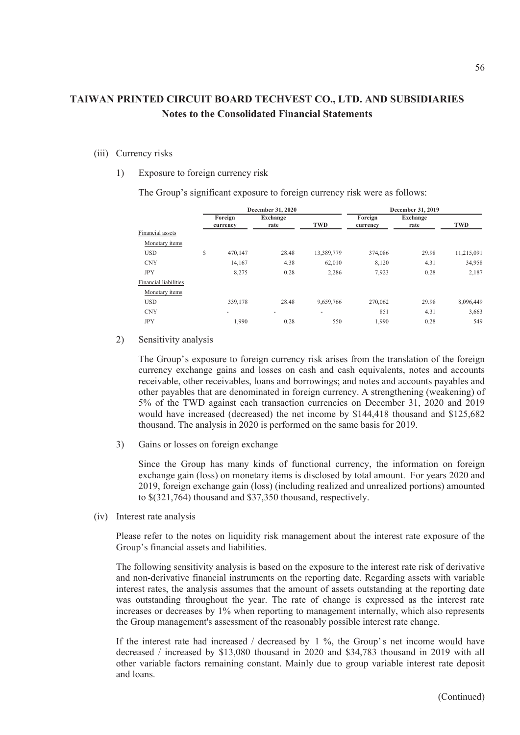### (iii) Currency risks

#### 1) Exposure to foreign currency risk

The Group's significant exposure to foreign currency risk were as follows:

|                              |                          | December 31, 2020       |            | December 31, 2019   |                  |            |  |
|------------------------------|--------------------------|-------------------------|------------|---------------------|------------------|------------|--|
|                              | Foreign<br>currency      | <b>Exchange</b><br>rate | <b>TWD</b> | Foreign<br>currency | Exchange<br>rate | <b>TWD</b> |  |
| Financial assets             |                          |                         |            |                     |                  |            |  |
| Monetary items               |                          |                         |            |                     |                  |            |  |
| <b>USD</b>                   | \$<br>470,147            | 28.48                   | 13,389,779 | 374,086             | 29.98            | 11,215,091 |  |
| <b>CNY</b>                   | 14,167                   | 4.38                    | 62,010     | 8,120               | 4.31             | 34,958     |  |
| <b>JPY</b>                   | 8,275                    | 0.28                    | 2,286      | 7,923               | 0.28             | 2,187      |  |
| <b>Financial liabilities</b> |                          |                         |            |                     |                  |            |  |
| Monetary items               |                          |                         |            |                     |                  |            |  |
| <b>USD</b>                   | 339,178                  | 28.48                   | 9,659,766  | 270,062             | 29.98            | 8,096,449  |  |
| <b>CNY</b>                   | $\overline{\phantom{a}}$ |                         | ۰          | 851                 | 4.31             | 3,663      |  |
| <b>JPY</b>                   | 1,990                    | 0.28                    | 550        | 1,990               | 0.28             | 549        |  |

2) Sensitivity analysis

The Group's exposure to foreign currency risk arises from the translation of the foreign currency exchange gains and losses on cash and cash equivalents, notes and accounts receivable, other receivables, loans and borrowings; and notes and accounts payables and other payables that are denominated in foreign currency. A strengthening (weakening) of 5% of the TWD against each transaction currencies on December 31, 2020 and 2019 would have increased (decreased) the net income by \$144,418 thousand and \$125,682 thousand. The analysis in 2020 is performed on the same basis for 2019.

3) Gains or losses on foreign exchange

Since the Group has many kinds of functional currency, the information on foreign exchange gain (loss) on monetary items is disclosed by total amount. For years 2020 and 2019, foreign exchange gain (loss) (including realized and unrealized portions) amounted to \$(321,764) thousand and \$37,350 thousand, respectively.

(iv) Interest rate analysis

Please refer to the notes on liquidity risk management about the interest rate exposure of the Group's financial assets and liabilities.

The following sensitivity analysis is based on the exposure to the interest rate risk of derivative and non-derivative financial instruments on the reporting date. Regarding assets with variable interest rates, the analysis assumes that the amount of assets outstanding at the reporting date was outstanding throughout the year. The rate of change is expressed as the interest rate increases or decreases by 1% when reporting to management internally, which also represents the Group management's assessment of the reasonably possible interest rate change.

If the interest rate had increased / decreased by  $1\%$ , the Group's net income would have decreased / increased by \$13,080 thousand in 2020 and \$34,783 thousand in 2019 with all other variable factors remaining constant. Mainly due to group variable interest rate deposit and loans.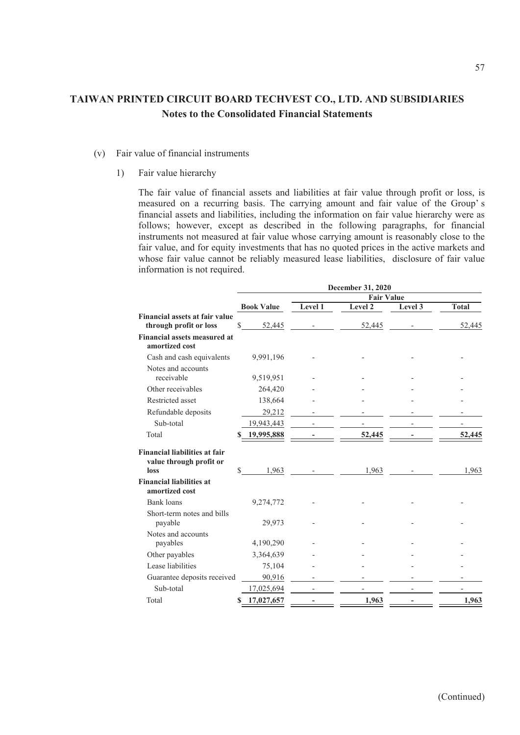#### (v) Fair value of financial instruments

1) Fair value hierarchy

The fair value of financial assets and liabilities at fair value through profit or loss, is measured on a recurring basis. The carrying amount and fair value of the Group' s financial assets and liabilities, including the information on fair value hierarchy were as follows; however, except as described in the following paragraphs, for financial instruments not measured at fair value whose carrying amount is reasonably close to the fair value, and for equity investments that has no quoted prices in the active markets and whose fair value cannot be reliably measured lease liabilities, disclosure of fair value information is not required.

|                                                                         | December 31, 2020 |                   |         |         |              |  |  |  |
|-------------------------------------------------------------------------|-------------------|-------------------|---------|---------|--------------|--|--|--|
|                                                                         |                   | <b>Fair Value</b> |         |         |              |  |  |  |
|                                                                         | <b>Book Value</b> | Level 1           | Level 2 | Level 3 | <b>Total</b> |  |  |  |
| <b>Financial assets at fair value</b><br>through profit or loss         | \$<br>52,445      |                   | 52,445  |         | 52,445       |  |  |  |
| <b>Financial assets measured at</b><br>amortized cost                   |                   |                   |         |         |              |  |  |  |
| Cash and cash equivalents                                               | 9,991,196         |                   |         |         |              |  |  |  |
| Notes and accounts<br>receivable                                        | 9,519,951         |                   |         |         |              |  |  |  |
| Other receivables                                                       | 264,420           |                   |         |         |              |  |  |  |
| Restricted asset                                                        | 138,664           |                   |         |         |              |  |  |  |
| Refundable deposits                                                     | 29,212            |                   |         |         |              |  |  |  |
| Sub-total                                                               | 19,943,443        |                   |         |         |              |  |  |  |
| Total                                                                   | 19,995,888        |                   | 52,445  |         | 52,445       |  |  |  |
| <b>Financial liabilities at fair</b><br>value through profit or<br>loss | \$<br>1,963       | $\sim$            | 1,963   |         | 1,963        |  |  |  |
| <b>Financial liabilities at</b><br>amortized cost                       |                   |                   |         |         |              |  |  |  |
| Bank loans                                                              | 9,274,772         |                   |         |         |              |  |  |  |
| Short-term notes and bills<br>payable                                   | 29,973            |                   |         |         |              |  |  |  |
| Notes and accounts<br>payables                                          | 4,190,290         |                   |         |         |              |  |  |  |
| Other payables                                                          | 3,364,639         |                   |         |         |              |  |  |  |
| Lease liabilities                                                       | 75,104            |                   |         |         |              |  |  |  |
| Guarantee deposits received                                             | 90,916            |                   |         |         |              |  |  |  |
| Sub-total                                                               | 17,025,694        |                   |         |         |              |  |  |  |
| Total                                                                   | 17,027,657<br>S   |                   | 1,963   |         | 1,963        |  |  |  |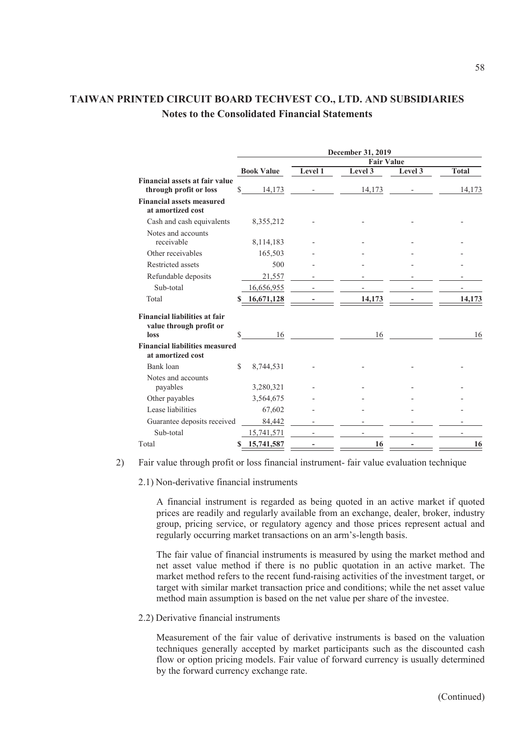|                                                                         | December 31, 2019 |                   |         |         |         |              |  |
|-------------------------------------------------------------------------|-------------------|-------------------|---------|---------|---------|--------------|--|
|                                                                         | <b>Fair Value</b> |                   |         |         |         |              |  |
|                                                                         |                   | <b>Book Value</b> | Level 1 | Level 3 | Level 3 | <b>Total</b> |  |
| Financial assets at fair value<br>through profit or loss                | \$.               | 14,173            |         | 14,173  |         | 14,173       |  |
| <b>Financial assets measured</b><br>at amortized cost                   |                   |                   |         |         |         |              |  |
| Cash and cash equivalents                                               |                   | 8,355,212         |         |         |         |              |  |
| Notes and accounts<br>receivable                                        |                   | 8,114,183         |         |         |         |              |  |
| Other receivables                                                       |                   | 165,503           |         |         |         |              |  |
| <b>Restricted assets</b>                                                |                   | 500               |         |         |         |              |  |
| Refundable deposits                                                     |                   | 21,557            |         |         |         |              |  |
| Sub-total                                                               |                   | 16,656,955        |         |         |         |              |  |
| Total                                                                   |                   | 16,671,128        |         | 14,173  |         | 14,173       |  |
| <b>Financial liabilities at fair</b><br>value through profit or<br>loss | \$                | 16                |         | 16      |         | 16           |  |
| <b>Financial liabilities measured</b><br>at amortized cost              |                   |                   |         |         |         |              |  |
| Bank loan                                                               | $\mathcal{S}$     | 8,744,531         |         |         |         |              |  |
| Notes and accounts<br>payables                                          |                   | 3,280,321         |         |         |         |              |  |
| Other payables                                                          |                   | 3,564,675         |         |         |         |              |  |
| Lease liabilities                                                       |                   | 67,602            |         |         |         |              |  |
| Guarantee deposits received                                             |                   | 84,442            |         |         |         |              |  |
| Sub-total                                                               |                   | 15,741,571        |         |         |         |              |  |
| Total                                                                   | \$                | 15,741,587        | ۰       | 16      |         | 16           |  |

2) Fair value through profit or loss financial instrument- fair value evaluation technique

2.1) Non-derivative financial instruments

A financial instrument is regarded as being quoted in an active market if quoted prices are readily and regularly available from an exchange, dealer, broker, industry group, pricing service, or regulatory agency and those prices represent actual and regularly occurring market transactions on an arm's-length basis.

The fair value of financial instruments is measured by using the market method and net asset value method if there is no public quotation in an active market. The market method refers to the recent fund-raising activities of the investment target, or target with similar market transaction price and conditions; while the net asset value method main assumption is based on the net value per share of the investee.

2.2) Derivative financial instruments

Measurement of the fair value of derivative instruments is based on the valuation techniques generally accepted by market participants such as the discounted cash flow or option pricing models. Fair value of forward currency is usually determined by the forward currency exchange rate.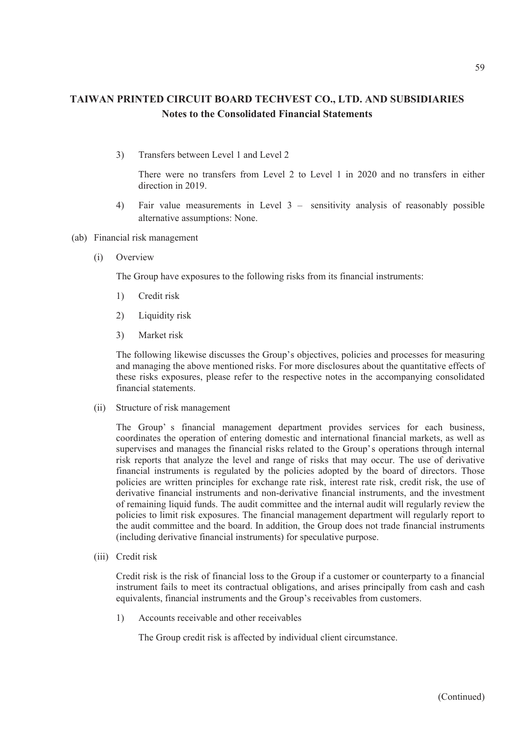3) Transfers between Level 1 and Level 2

There were no transfers from Level 2 to Level 1 in 2020 and no transfers in either direction in 2019.

- 4) Fair value measurements in Level 3 sensitivity analysis of reasonably possible alternative assumptions: None.
- (ab) Financial risk management
	- (i) Overview

The Group have exposures to the following risks from its financial instruments:

- 1) Credit risk
- 2) Liquidity risk
- 3) Market risk

The following likewise discusses the Group's objectives, policies and processes for measuring and managing the above mentioned risks. For more disclosures about the quantitative effects of these risks exposures, please refer to the respective notes in the accompanying consolidated financial statements.

(ii) Structure of risk management

The Group' s financial management department provides services for each business, coordinates the operation of entering domestic and international financial markets, as well as supervises and manages the financial risks related to the Group's operations through internal risk reports that analyze the level and range of risks that may occur. The use of derivative financial instruments is regulated by the policies adopted by the board of directors. Those policies are written principles for exchange rate risk, interest rate risk, credit risk, the use of derivative financial instruments and non-derivative financial instruments, and the investment of remaining liquid funds. The audit committee and the internal audit will regularly review the policies to limit risk exposures. The financial management department will regularly report to the audit committee and the board. In addition, the Group does not trade financial instruments (including derivative financial instruments) for speculative purpose.

(iii) Credit risk

Credit risk is the risk of financial loss to the Group if a customer or counterparty to a financial instrument fails to meet its contractual obligations, and arises principally from cash and cash equivalents, financial instruments and the Group's receivables from customers.

1) Accounts receivable and other receivables

The Group credit risk is affected by individual client circumstance.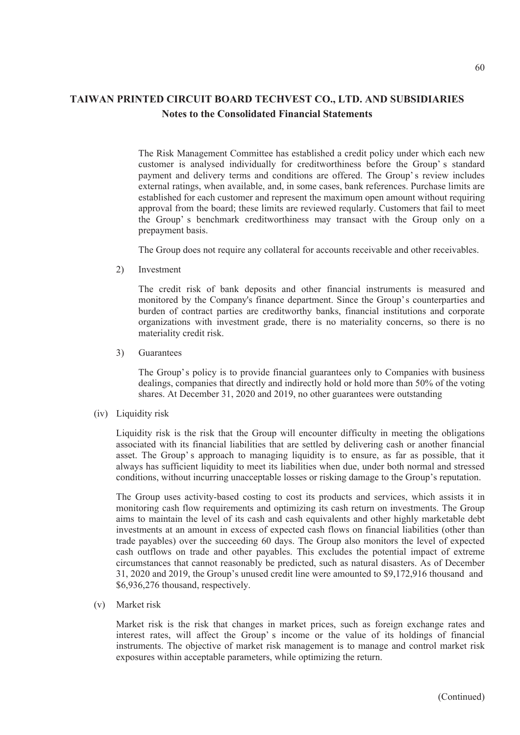The Risk Management Committee has established a credit policy under which each new customer is analysed individually for creditworthiness before the Group' s standard payment and delivery terms and conditions are offered. The Group's review includes external ratings, when available, and, in some cases, bank references. Purchase limits are established for each customer and represent the maximum open amount without requiring approval from the board; these limits are reviewed reqularly. Customers that fail to meet the Group' s benchmark creditworthiness may transact with the Group only on a prepayment basis.

The Group does not require any collateral for accounts receivable and other receivables.

2) Investment

The credit risk of bank deposits and other financial instruments is measured and monitored by the Company's finance department. Since the Group's counterparties and burden of contract parties are creditworthy banks, financial institutions and corporate organizations with investment grade, there is no materiality concerns, so there is no materiality credit risk.

3) Guarantees

The Group's policy is to provide financial guarantees only to Companies with business dealings, companies that directly and indirectly hold or hold more than 50% of the voting shares. At December 31, 2020 and 2019, no other guarantees were outstanding

(iv) Liquidity risk

Liquidity risk is the risk that the Group will encounter difficulty in meeting the obligations associated with its financial liabilities that are settled by delivering cash or another financial asset. The Group' s approach to managing liquidity is to ensure, as far as possible, that it always has sufficient liquidity to meet its liabilities when due, under both normal and stressed conditions, without incurring unacceptable losses or risking damage to the Group's reputation.

The Group uses activity-based costing to cost its products and services, which assists it in monitoring cash flow requirements and optimizing its cash return on investments. The Group aims to maintain the level of its cash and cash equivalents and other highly marketable debt investments at an amount in excess of expected cash flows on financial liabilities (other than trade payables) over the succeeding 60 days. The Group also monitors the level of expected cash outflows on trade and other payables. This excludes the potential impact of extreme circumstances that cannot reasonably be predicted, such as natural disasters. As of December 31, 2020 and 2019, the Group's unused credit line were amounted to \$9,172,916 thousand and \$6,936,276 thousand, respectively.

(v) Market risk

Market risk is the risk that changes in market prices, such as foreign exchange rates and interest rates, will affect the Group' s income or the value of its holdings of financial instruments. The objective of market risk management is to manage and control market risk exposures within acceptable parameters, while optimizing the return.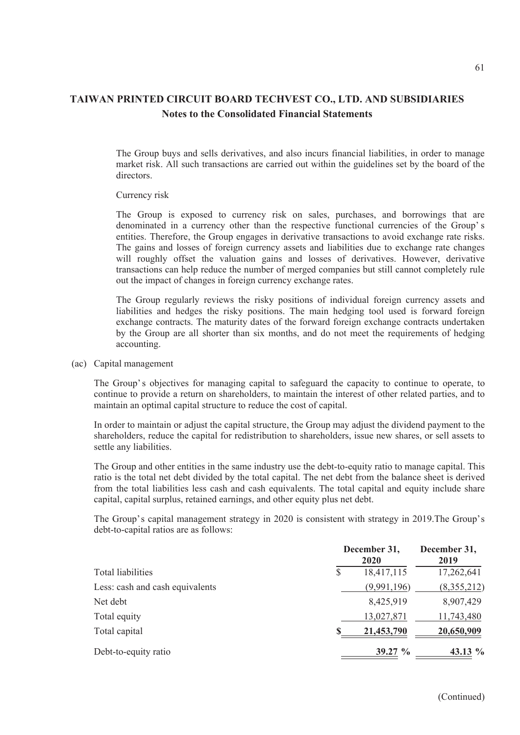The Group buys and sells derivatives, and also incurs financial liabilities, in order to manage market risk. All such transactions are carried out within the guidelines set by the board of the directors.

Currency risk

The Group is exposed to currency risk on sales, purchases, and borrowings that are denominated in a currency other than the respective functional currencies of the Group' s entities. Therefore, the Group engages in derivative transactions to avoid exchange rate risks. The gains and losses of foreign currency assets and liabilities due to exchange rate changes will roughly offset the valuation gains and losses of derivatives. However, derivative transactions can help reduce the number of merged companies but still cannot completely rule out the impact of changes in foreign currency exchange rates.

The Group regularly reviews the risky positions of individual foreign currency assets and liabilities and hedges the risky positions. The main hedging tool used is forward foreign exchange contracts. The maturity dates of the forward foreign exchange contracts undertaken by the Group are all shorter than six months, and do not meet the requirements of hedging accounting.

#### (ac) Capital management

The Group' s objectives for managing capital to safeguard the capacity to continue to operate, to continue to provide a return on shareholders, to maintain the interest of other related parties, and to maintain an optimal capital structure to reduce the cost of capital.

In order to maintain or adjust the capital structure, the Group may adjust the dividend payment to the shareholders, reduce the capital for redistribution to shareholders, issue new shares, or sell assets to settle any liabilities.

The Group and other entities in the same industry use the debt-to-equity ratio to manage capital. This ratio is the total net debt divided by the total capital. The net debt from the balance sheet is derived from the total liabilities less cash and cash equivalents. The total capital and equity include share capital, capital surplus, retained earnings, and other equity plus net debt.

The Group's capital management strategy in 2020 is consistent with strategy in 2019.The Group's debt-to-capital ratios are as follows:

|                                 | December 31,<br>2020 |             | December 31,<br>2019 |  |
|---------------------------------|----------------------|-------------|----------------------|--|
| Total liabilities               | S                    | 18,417,115  | 17,262,641           |  |
| Less: cash and cash equivalents |                      | (9,991,196) | (8,355,212)          |  |
| Net debt                        |                      | 8,425,919   | 8,907,429            |  |
| Total equity                    |                      | 13,027,871  | 11,743,480           |  |
| Total capital                   |                      | 21,453,790  | 20,650,909           |  |
| Debt-to-equity ratio            |                      | 39.27 %     | 43.13 %              |  |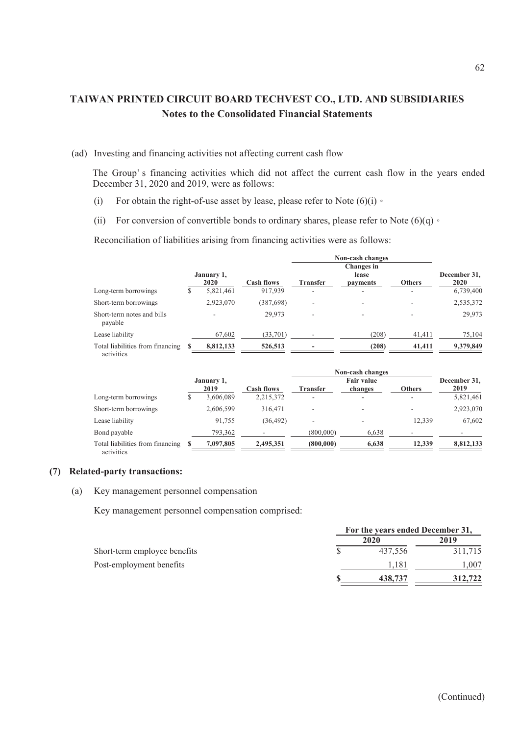(ad) Investing and financing activities not affecting current cash flow

The Group's financing activities which did not affect the current cash flow in the years ended December 31, 2020 and 2019, were as follows:

- (i) For obtain the right-of-use asset by lease, please refer to Note  $(6)(i)$ .
- (ii) For conversion of convertible bonds to ordinary shares, please refer to Note  $(6)(q)$ .

Reconciliation of liabilities arising from financing activities were as follows:

|                                                |                    |                   |                 | Non-cash changes                              |               |                      |
|------------------------------------------------|--------------------|-------------------|-----------------|-----------------------------------------------|---------------|----------------------|
|                                                | January 1,<br>2020 | <b>Cash flows</b> | <b>Transfer</b> | <b>Changes</b> in<br>lease<br><b>payments</b> | <b>Others</b> | December 31,<br>2020 |
| Long-term borrowings                           | 5,821,461          | 917,939           |                 |                                               |               | 6,739,400            |
| Short-term borrowings                          | 2,923,070          | (387, 698)        | ۰               |                                               |               | 2,535,372            |
| Short-term notes and bills<br>payable          |                    | 29.973            |                 |                                               |               | 29.973               |
| Lease liability                                | 67,602             | (33,701)          |                 | (208)                                         | 41,411        | 75,104               |
| Total liabilities from financing<br>activities | 8,812,133          | 526,513           |                 | (208)                                         | 41,411        | 9,379,849            |

|                                                |            |                   |            | Non-cash changes  |               |              |
|------------------------------------------------|------------|-------------------|------------|-------------------|---------------|--------------|
|                                                | January 1, |                   |            | <b>Fair value</b> |               | December 31, |
|                                                | 2019       | <b>Cash flows</b> | Transfer   | changes           | <b>Others</b> | 2019         |
| Long-term borrowings                           | 3,606,089  | 2,215,372         |            |                   |               | 5,821,461    |
| Short-term borrowings                          | 2,606,599  | 316,471           |            |                   |               | 2,923,070    |
| Lease liability                                | 91.755     | (36, 492)         | ۰          |                   | 12.339        | 67,602       |
| Bond payable                                   | 793,362    |                   | (800,000)  | 6,638             |               |              |
| Total liabilities from financing<br>activities | 7,097,805  | 2,495,351         | (800, 000) | 6,638             | 12,339        | 8,812,133    |

### **(7) Related-party transactions:**

(a) Key management personnel compensation

Key management personnel compensation comprised:

|                              | For the years ended December 31, |         |         |  |
|------------------------------|----------------------------------|---------|---------|--|
|                              |                                  | 2020    | 2019    |  |
| Short-term employee benefits |                                  | 437,556 | 311,715 |  |
| Post-employment benefits     |                                  | 1.181   | 1,007   |  |
|                              |                                  | 438,737 | 312,722 |  |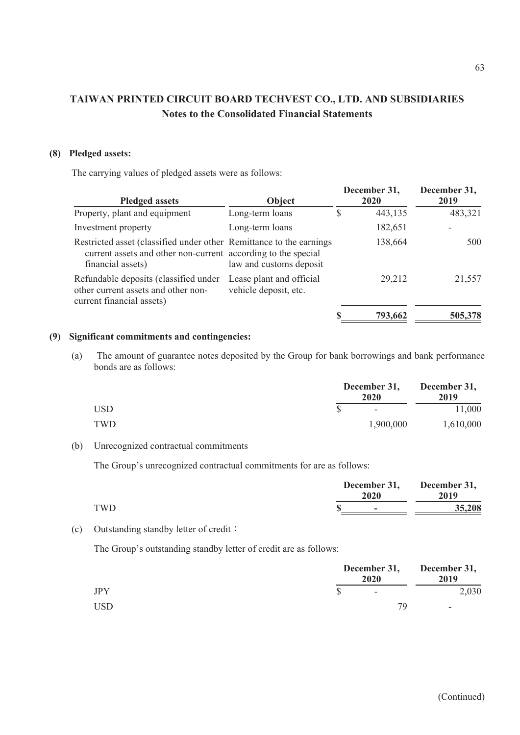### **(8) Pledged assets:**

The carrying values of pledged assets were as follows:

| <b>Pledged assets</b>                                                                                                                                     | Object                                            | December 31,<br>2020 | December 31,<br>2019 |
|-----------------------------------------------------------------------------------------------------------------------------------------------------------|---------------------------------------------------|----------------------|----------------------|
| Property, plant and equipment                                                                                                                             | Long-term loans                                   | 443,135              | 483,321              |
| Investment property                                                                                                                                       | Long-term loans                                   | 182,651              |                      |
| Restricted asset (classified under other Remittance to the earnings<br>current assets and other non-current according to the special<br>financial assets) | law and customs deposit                           | 138,664              | 500                  |
| Refundable deposits (classified under<br>other current assets and other non-<br>current financial assets)                                                 | Lease plant and official<br>vehicle deposit, etc. | 29,212               | 21,557               |
|                                                                                                                                                           |                                                   | 793,662              | 505,378              |

### **(9) Significant commitments and contingencies:**

(a) The amount of guarantee notes deposited by the Group for bank borrowings and bank performance bonds are as follows:

|            | December 31,             | December 31, |
|------------|--------------------------|--------------|
|            | 2020                     | 2019         |
| <b>USD</b> | $\overline{\phantom{a}}$ | 11,000       |
| <b>TWD</b> | 1,900,000                | 1,610,000    |

### (b) Unrecognized contractual commitments

The Group's unrecognized contractual commitments for are as follows:

|     | December 31, | December 31, |
|-----|--------------|--------------|
|     | 2020         | 2019         |
| TWD | ۰            | 35,208       |

(c) Outstanding standby letter of credit:

The Group's outstanding standby letter of credit are as follows:

|            | December 31,<br>2020     | December 31,<br>2019     |
|------------|--------------------------|--------------------------|
| <b>JPY</b> | $\overline{\phantom{0}}$ | 2,030                    |
| USD        | 70                       | $\overline{\phantom{0}}$ |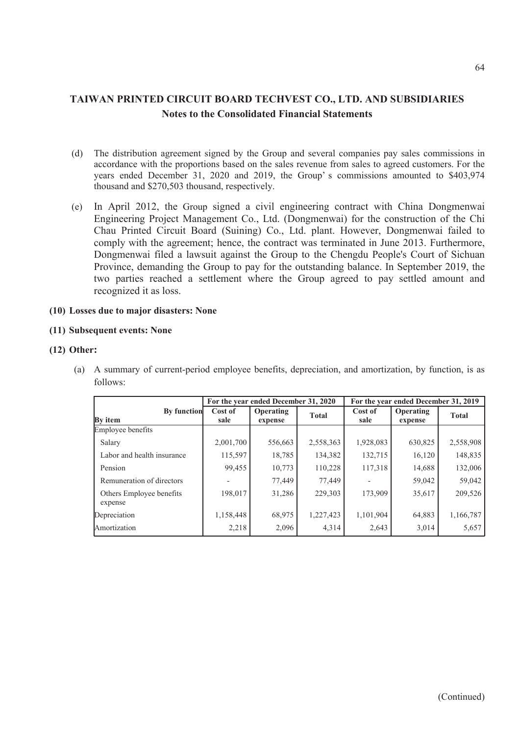- (d) The distribution agreement signed by the Group and several companies pay sales commissions in accordance with the proportions based on the sales revenue from sales to agreed customers. For the years ended December 31, 2020 and 2019, the Group' s commissions amounted to \$403,974 thousand and \$270,503 thousand, respectively.
- (e) In April 2012, the Group signed a civil engineering contract with China Dongmenwai Engineering Project Management Co., Ltd. (Dongmenwai) for the construction of the Chi Chau Printed Circuit Board (Suining) Co., Ltd. plant. However, Dongmenwai failed to comply with the agreement; hence, the contract was terminated in June 2013. Furthermore, Dongmenwai filed a lawsuit against the Group to the Chengdu People's Court of Sichuan Province, demanding the Group to pay for the outstanding balance. In September 2019, the two parties reached a settlement where the Group agreed to pay settled amount and recognized it as loss.

### **(10) Losses due to major disasters: None**

### **(11) Subsequent events: None**

### **(12) Other:**

(a) A summary of current-period employee benefits, depreciation, and amortization, by function, is as follows:

|                                     |                 | For the year ended December 31, 2020 |              |                 | For the year ended December 31, 2019 |              |
|-------------------------------------|-----------------|--------------------------------------|--------------|-----------------|--------------------------------------|--------------|
| By function<br><b>By</b> item       | Cost of<br>sale | Operating<br>expense                 | <b>Total</b> | Cost of<br>sale | <b>Operating</b><br>expense          | <b>Total</b> |
| Employee benefits                   |                 |                                      |              |                 |                                      |              |
| Salary                              | 2,001,700       | 556,663                              | 2,558,363    | 1,928,083       | 630,825                              | 2,558,908    |
| Labor and health insurance          | 115,597         | 18,785                               | 134,382      | 132,715         | 16,120                               | 148,835      |
| Pension                             | 99,455          | 10,773                               | 110,228      | 117,318         | 14,688                               | 132,006      |
| Remuneration of directors           |                 | 77,449                               | 77.449       |                 | 59,042                               | 59,042       |
| Others Employee benefits<br>expense | 198,017         | 31,286                               | 229,303      | 173,909         | 35,617                               | 209,526      |
| Depreciation                        | 1,158,448       | 68,975                               | 1,227,423    | 1,101,904       | 64,883                               | 1,166,787    |
| Amortization                        | 2,218           | 2,096                                | 4,314        | 2,643           | 3,014                                | 5,657        |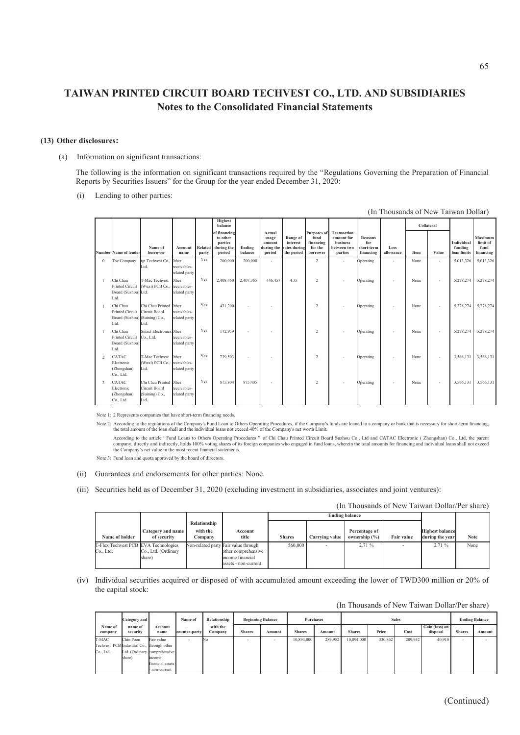#### **(13) Other disclosures:**

(a) Information on significant transactions:

The following is the information on significant transactions required by the "Regulations Governing the Preparation of Financial Reports by Securities Issuers" for the Group for the year ended December 31, 2020:

(i) Lending to other parties:

|                |                                                                      |                                                                   |                                        |                  |                                                             |                   |                                     |                                                               |                                                                |                                                                 |                                                  | (In Thousands of New Taiwan Dollar) |            |       |                                      |                                          |
|----------------|----------------------------------------------------------------------|-------------------------------------------------------------------|----------------------------------------|------------------|-------------------------------------------------------------|-------------------|-------------------------------------|---------------------------------------------------------------|----------------------------------------------------------------|-----------------------------------------------------------------|--------------------------------------------------|-------------------------------------|------------|-------|--------------------------------------|------------------------------------------|
|                |                                                                      |                                                                   |                                        |                  | Highest<br>balance                                          |                   |                                     |                                                               |                                                                |                                                                 |                                                  |                                     | Collateral |       |                                      |                                          |
|                | Number Name of lender                                                | Name of<br>borrower                                               | Account<br>name                        | Related<br>party | of financing<br>to other<br>parties<br>during the<br>period | Ending<br>balance | Actual<br>usage<br>amount<br>period | Range of<br>interest<br>during the rates during<br>the period | <b>Purposes of</b><br>fund<br>financing<br>for the<br>borrower | Transaction<br>amount for<br>business<br>between two<br>parties | <b>Reasons</b><br>for<br>short-term<br>financing | Loss<br>allowance                   | Item       | Value | Individual<br>funding<br>loan limits | Maximum<br>limit of<br>fund<br>financing |
| $\theta$       | The Company                                                          | tgt Techvest Co.,<br>Ltd.                                         | Other<br>receivables-<br>related party | Yes              | 200,000                                                     | 200,000           | $\sim$                              |                                                               | 2                                                              | ٠                                                               | Operating                                        | $\sim$                              | None       | ٠     | 5,013,326                            | 5,013,326                                |
| $\mathbf{1}$   | Chi Chau<br>Printed Circuit<br>Board (Suzhou) Ltd.<br>Ltd.           | T-Mac Techvest<br>(Wuxi) PCB Co.,                                 | Other<br>receivables-<br>related party | Yes              | 2,408,460                                                   | 2,407,365         | 446,457                             | 4.35                                                          | 2                                                              | $\sim$                                                          | Operating                                        | $\overline{\phantom{a}}$            | None       | ٠     | 5,278,274                            | 5,278,274                                |
|                | Chi Chau<br>Printed Circuit<br>Board (Suzhou) (Suining) Co.,<br>Ltd. | Chi Chau Printed 0ther<br>Circuit Board<br>Ltd.                   | receivables-<br>related party          | Yes              | 431,200                                                     | ٠                 | $\sim$                              |                                                               | 2                                                              | $\sim$                                                          | Operating                                        | $\sim$                              | None       | ٠     | 5,278,274                            | 5,278,274                                |
| $\blacksquare$ | Chi Chau<br><b>Printed Circuit</b><br>Board (Suzhou)<br>Ltd.         | Sinact Electronics Other<br>Co., Ltd.                             | receivables-<br>related party          | Yes              | 172,959                                                     |                   |                                     |                                                               | 2                                                              |                                                                 | Operating                                        |                                     | None       | ٠     | 5,278,274                            | 5,278,274                                |
| 2              | CATAC<br>Electronic<br>(Zhongshan)<br>Co., Ltd.                      | T-Mac Techvest<br>(Wuxi) PCB Co., receivables-<br>Ltd.            | Other<br>related party                 | Yes              | 739,503                                                     | ٠                 |                                     |                                                               | $\overline{c}$                                                 |                                                                 | Operating                                        |                                     | None       | ٠     | 3,566,131                            | 3,566,131                                |
| 2              | CATAC<br>Electronic<br>(Zhongshan)<br>Co., Ltd.                      | Chi Chau Printed Other<br>Circuit Board<br>(Suining) Co.,<br>Ltd. | receivables-<br>related party          | Yes              | 875,804                                                     | 875,405           | $\sim$                              |                                                               | 2                                                              |                                                                 | Operating                                        | $\overline{\phantom{a}}$            | None       | ٠     | 3,566,131                            | 3.566.131                                |

Note 1: 2 Represents companies that have short-term financing needs.

Note 2: According to the regulations of the Company's Fund Loan to Others Operating Procedures, if the Company's funds are loaned to a company or bank that is necessary for short-term financing<br>the total amount of the loan

According to the article "Fund Loans to Others Operating Procedures " of Chi Chau Printed Circuit Board Suzhou Co., Ltd and CATAC Electronic ( Zhongshan) Co., Ltd, the parent of parent of the state of the company, directly

Note 3: Fund loan and quota approved by the board of directors.

#### (ii) Guarantees and endorsements for other parties: None.

(iii) Securities held as of December 31, 2020 (excluding investment in subsidiaries, associates and joint ventures):

(In Thousands of New Taiwan Dollar/Per share)

|                                                   |                               |                          |                                                                                                         |               | <b>Ending balance</b> |                   |                          |                        |             |
|---------------------------------------------------|-------------------------------|--------------------------|---------------------------------------------------------------------------------------------------------|---------------|-----------------------|-------------------|--------------------------|------------------------|-------------|
|                                                   | Category and name             | Relationship<br>with the | Account                                                                                                 |               |                       | Percentage of     |                          | <b>Highest balance</b> |             |
| Name of holder                                    | of security                   | Company                  | title                                                                                                   | <b>Shares</b> | Carrying value        | ownership $(\% )$ | Fair value               | during the year        | <b>Note</b> |
| T-Flex Techvest PCB EVA Technologies<br>Co., Ltd. | Co., Ltd. (Ordinary<br>share) |                          | Non-related party Fair value through<br>other comprehensive<br>income financial<br>assets - non-current | 560,000       |                       | 2.71 %            | $\overline{\phantom{0}}$ | 2.71 %                 | None        |

(iv) Individual securities acquired or disposed of with accumulated amount exceeding the lower of TWD300 million or 20% of the capital stock:

| (In Thousands of New Taiwan Dollar/Per share) |  |  |  |  |
|-----------------------------------------------|--|--|--|--|
|-----------------------------------------------|--|--|--|--|

|                    | Category and                               |                  | Name of       | Relationship        | <b>Beginning Balance</b><br>Purchases<br><b>Sales</b> |        |               |         | <b>Ending Balance</b> |         |         |                            |               |        |
|--------------------|--------------------------------------------|------------------|---------------|---------------------|-------------------------------------------------------|--------|---------------|---------|-----------------------|---------|---------|----------------------------|---------------|--------|
| Name of<br>company | name of<br>security                        | Account<br>name  | counter-party | with the<br>Company | <b>Shares</b>                                         | Amount | <b>Shares</b> | Amount  | <b>Shares</b>         | Price   | Cost    | Gain (loss) on<br>disposal | <b>Shares</b> | Amount |
| T-MAC              | Chin Poon                                  | Fair value       |               | No                  |                                                       |        | 10,894,000    | 289,952 | 10,894,000            | 330,862 | 289,952 | 40.910                     | $\sim$        |        |
|                    | Techvest PCB Industrial Co., through other |                  |               |                     |                                                       |        |               |         |                       |         |         |                            |               |        |
| Co., Ltd.          | Ltd. (Ordinary comprehensive               |                  |               |                     |                                                       |        |               |         |                       |         |         |                            |               |        |
|                    | share)                                     | income           |               |                     |                                                       |        |               |         |                       |         |         |                            |               |        |
|                    |                                            | financial assets |               |                     |                                                       |        |               |         |                       |         |         |                            |               |        |
|                    |                                            | non-current      |               |                     |                                                       |        |               |         |                       |         |         |                            |               |        |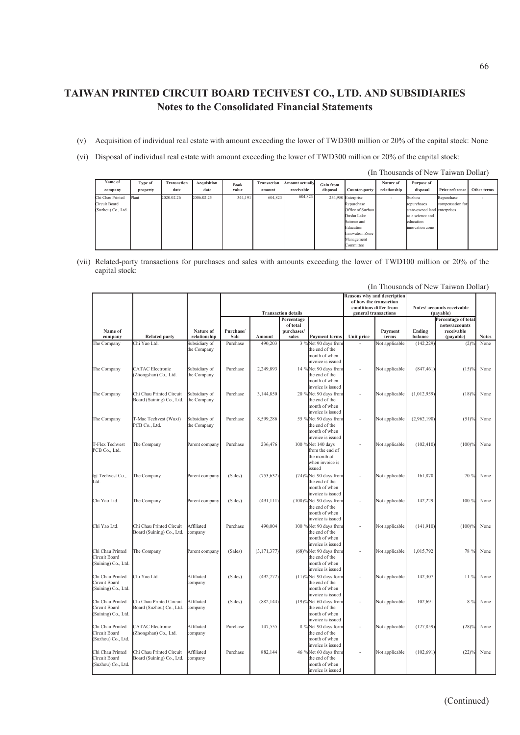- (v) Acquisition of individual real estate with amount exceeding the lower of TWD300 million or 20% of the capital stock: None
- (vi) Disposal of individual real estate with amount exceeding the lower of TWD300 million or 20% of the capital stock:

| (In Thousands of New Taiwan Dollar)                     |                     |                     |                     |                      |                       |                               |                              |                                                                                                                                              |                           |                                                                                                           |                                |             |
|---------------------------------------------------------|---------------------|---------------------|---------------------|----------------------|-----------------------|-------------------------------|------------------------------|----------------------------------------------------------------------------------------------------------------------------------------------|---------------------------|-----------------------------------------------------------------------------------------------------------|--------------------------------|-------------|
| Name of<br>company                                      | Type of<br>property | Transaction<br>date | Acquisition<br>date | <b>Book</b><br>value | Transaction<br>amount | Amount actually<br>receivable | <b>Gain from</b><br>disposal | Counter-party                                                                                                                                | Nature of<br>relationship | Purpose of<br>disposal                                                                                    | Price reference                | Other terms |
| Chi Chau Printed<br>Circuit Board<br>(Suzhou) Co., Ltd. | Plant               | 2020.02.26          | 2006.02.25          | 344,191              | 604,823               | 604,823                       |                              | 254,950 Enterprise<br>Repurchase<br>Office of Suzhou<br>Dushu Lake<br>Science and<br>Education<br>Innovation Zone<br>Management<br>Committee |                           | Suzhou<br>repurchases<br>state-owned land enterprises<br>as a science and<br>education<br>innovation zone | Repurchase<br>compensation for |             |

(vii) Related-party transactions for purchases and sales with amounts exceeding the lower of TWD100 million or 20% of the capital stock:

|                                                          |                                                       |                              |                   |               | <b>Transaction details</b>                    |                                                                                                   |            | <b>Reasons why and description</b><br>of how the transaction<br>conditions differ from<br>general transactions | Notes/ accounts receivable<br>(payable) |                                                                  |              |
|----------------------------------------------------------|-------------------------------------------------------|------------------------------|-------------------|---------------|-----------------------------------------------|---------------------------------------------------------------------------------------------------|------------|----------------------------------------------------------------------------------------------------------------|-----------------------------------------|------------------------------------------------------------------|--------------|
| Name of<br>company                                       | <b>Related party</b>                                  | Nature of<br>relationship    | Purchase/<br>Sale | Amount        | Percentage<br>of total<br>purchases/<br>sales | <b>Payment terms</b>                                                                              | Unit price | Payment<br>terms                                                                                               | Ending<br>balance                       | Percentage of total<br>notes/accounts<br>receivable<br>(payable) | <b>Notes</b> |
| The Company                                              | Chi Yao Ltd.                                          | Subsidiary of<br>the Company | Purchase          | 490,203       |                                               | 3 %Net 90 days from<br>the end of the<br>month of when<br>invoice is issued                       |            | Not applicable                                                                                                 | (142, 229)                              | $(2)$ <sup>0</sup> /                                             | None         |
| The Company                                              | <b>CATAC</b> Electronic<br>(Zhongshan) Co., Ltd.      | Subsidiary of<br>the Company | Purchase          | 2,249,893     |                                               | 14 % Net 90 days from<br>the end of the<br>month of when<br>invoice is issued                     |            | Not applicable                                                                                                 | (847, 461)                              | (15)%                                                            | None         |
| The Company                                              | Chi Chau Printed Circuit<br>Board (Suining) Co., Ltd. | Subsidiary of<br>the Company | Purchase          | 3,144,850     |                                               | 20 %Net 90 days from<br>the end of the<br>month of when<br>invoice is issued                      |            | Not applicable                                                                                                 | (1,012,959)                             | (18)%                                                            | None         |
| The Company                                              | T-Mac Techvest (Wuxi)<br>PCB Co., Ltd.                | Subsidiary of<br>the Company | Purchase          | 8,599,286     |                                               | 55 %Net 90 days from<br>the end of the<br>month of when<br>invoice is issued                      |            | Not applicable                                                                                                 | (2,962,190)                             | (51)%                                                            | None         |
| T-Flex Techvest<br>PCB Co., Ltd.                         | The Company                                           | Parent company               | Purchase          | 236,476       |                                               | 100 %Net 140 days<br>from the end of<br>the month of<br>when invoice is<br>issued                 |            | Not applicable                                                                                                 | (102, 410)                              | (100)%                                                           | None         |
| tgt Techvest Co.,<br>Ltd.                                | The Company                                           | Parent company               | (Sales)           | (753, 632)    |                                               | (74)%Net 90 days from<br>the end of the<br>month of when<br>invoice is issued                     |            | Not applicable                                                                                                 | 161,870                                 | 70 %                                                             | None         |
| Chi Yao Ltd.                                             | The Company                                           | Parent company               | (Sales)           | (491, 111)    |                                               | $(100)$ %Net 90 days from<br>the end of the<br>month of when<br>invoice is issued                 |            | Not applicable                                                                                                 | 142,229                                 | 100 %                                                            | None         |
| Chi Yao Ltd.                                             | Chi Chau Printed Circuit<br>Board (Suining) Co., Ltd. | Affiliated<br>company        | Purchase          | 490,004       |                                               | 100 %Net 90 days from<br>the end of the<br>month of when<br>invoice is issued                     |            | Not applicable                                                                                                 | (141, 910)                              | (100)%                                                           | None         |
| Chi Chau Printed<br>Circuit Board<br>(Suining) Co., Ltd. | The Company                                           | Parent company               | (Sales)           | (3, 171, 377) |                                               | $(68)$ %Net 90 days from<br>the end of the<br>month of when<br>invoice is issued                  |            | Not applicable                                                                                                 | 1,015,792                               | 78 %                                                             | None         |
| Chi Chau Printed<br>Circuit Board<br>(Suining) Co., Ltd. | Chi Yao Ltd.                                          | Affiliated<br>company        | (Sales)           | (492, 772)    |                                               | $(11)$ %Net 90 days form<br>the end of the<br>month of when<br>invoice is issued                  |            | Not applicable                                                                                                 | 142,307                                 | 11 %                                                             | None         |
| Chi Chau Printed<br>Circuit Board<br>(Suining) Co., Ltd. | Chi Chau Printed Circuit<br>Board (Suzhou) Co., Ltd.  | Affiliated<br>company        | (Sales)           | (882, 144)    |                                               | (19)%Net 60 days from<br>the end of the<br>month of when<br>invoice is issued                     |            | Not applicable                                                                                                 | 102,691                                 | 8 %                                                              | None         |
| Chi Chau Printed<br>Circuit Board<br>Suzhou) Co., Ltd.   | <b>CATAC</b> Electronic<br>(Zhongshan) Co., Ltd.      | Affiliated<br>company        | Purchase          | 147,555       |                                               | 8 %Net 90 days form<br>the end of the<br>month of when                                            |            | Not applicable                                                                                                 | (127, 859)                              | (28)%                                                            | None         |
| Chi Chau Printed<br>Circuit Board<br>(Suzhou) Co., Ltd.  | Chi Chau Printed Circuit<br>Board (Suining) Co., Ltd. | Affiliated<br>company        | Purchase          | 882,144       |                                               | invoice is issued<br>46 %Net 60 days from<br>the end of the<br>month of when<br>invoice is issued |            | Not applicable                                                                                                 | (102, 691)                              | (22)%                                                            | None         |

#### (In Thousands of New Taiwan Dollar)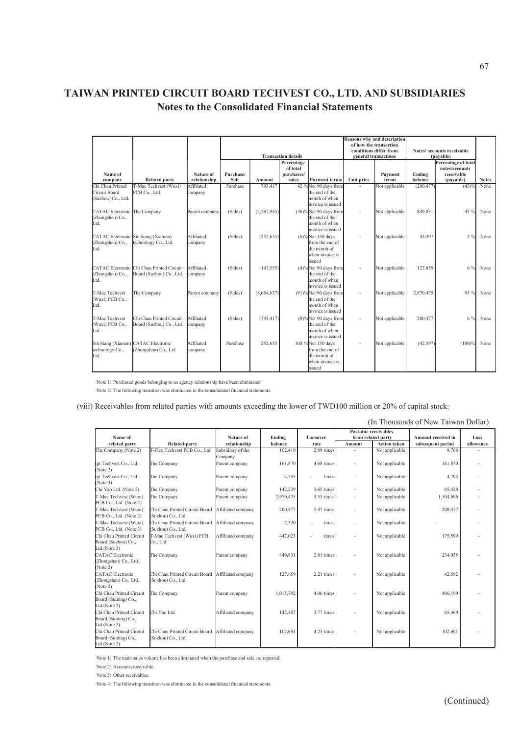|                                                                 |                                                      |                       |           |               | <b>Transaction details</b>           |                                                                                      |            | Reasons why and description<br>of how the transaction<br>conditions differ from<br>general transactions | Notes/accounts receivable<br>(payable) |                                                     |              |
|-----------------------------------------------------------------|------------------------------------------------------|-----------------------|-----------|---------------|--------------------------------------|--------------------------------------------------------------------------------------|------------|---------------------------------------------------------------------------------------------------------|----------------------------------------|-----------------------------------------------------|--------------|
| Name of                                                         |                                                      | Nature of             | Purchase/ |               | Percentage<br>of total<br>purchases/ |                                                                                      |            | Payment                                                                                                 | Ending                                 | Percentage of total<br>notes/accounts<br>receivable |              |
| company                                                         | <b>Related party</b>                                 | relationship          | Sale      | Amount        | sales                                | <b>Payment terms</b>                                                                 | Unit price | terms                                                                                                   | balance                                | (payable)                                           | <b>Notes</b> |
| Chi Chau Printed                                                | T-Mac Techvest (Wuxi)                                | Affiliated            | Purchase  | 793.417       |                                      | 42 %Net 90 days from                                                                 |            | Not applicable                                                                                          | (200, 477)                             | (43)%                                               | None         |
| Circuit Board<br>(Suzhou) Co., Ltd.                             | PCB Co., Ltd.                                        | company               |           |               |                                      | the end of the<br>month of when<br>invoice is issued                                 |            |                                                                                                         |                                        |                                                     |              |
| <b>CATAC</b> Electronic<br>(Zhongshan) Co.,<br>Ltd.             | The Company                                          | Parent company        | (Sales)   | (2, 267, 943) |                                      | $(56)\%$ Net 90 days from<br>the end of the<br>month of when<br>invoice is issued    |            | Not applicable                                                                                          | 849,831                                | 43 %                                                | None         |
| CATAC Electronic Sin Siang (Xiamen)<br>(Zhongshan) Co.,<br>Ltd. | technology Co., Ltd.                                 | Affiliated<br>company | (Sales)   | (252, 655)    |                                      | $(6)\%$ Net 150 days<br>from the end of<br>the month of<br>when invoice is<br>issued |            | Not applicable                                                                                          | 42,397                                 | $2\frac{9}{6}$                                      | None         |
| <b>CATAC</b> Electronic<br>(Zhongshan) Co.,<br>Ltd.             | Chi Chau Printed Circuit<br>Board (Suzhou) Co., Ltd. | Affiliated<br>company | (Sales)   | (147, 555)    |                                      | $(4)$ %Net 90 days from<br>the end of the<br>month of when<br>invoice is issued      |            | Not applicable                                                                                          | 127,859                                | 6 %                                                 | None         |
| T-Mac Techvest<br>(Wuxi) PCB Co.,<br>Ltd.                       | The Company                                          | Parent company        | (Sales)   | (8,664,637)   |                                      | $(91)$ % Net 90 days from<br>the end of the<br>month of when<br>invoice is issued    |            | Not applicable                                                                                          | 2,970,475                              | 93 %                                                | None         |
| T-Mac Techvest<br>(Wuxi) PCB Co.,<br>Ltd.                       | Chi Chau Printed Circuit<br>Board (Suzhou) Co., Ltd. | Affiliated<br>company | (Sales)   | (793, 417)    |                                      | $(8)$ %Net 90 days from<br>the end of the<br>month of when<br>invoice is issued      |            | Not applicable                                                                                          | 200,477                                | $6\%$                                               | None         |
| Sin Siang (Xiamen) CATAC Electronic<br>technology Co.,<br>Ltd.  | (Zhongshan) Co., Ltd.                                | Affiliated<br>company | Purchase  | 252,655       |                                      | 100 %Net 150 days<br>from the end of<br>the month of<br>when invoice is<br>issued    |            | Not applicable                                                                                          | (42, 397)                              | (100)%                                              | None         |

Note 1: Purchased goods belonging to an agency relationship have been eliminated.

Note 2: The following transition was eliminated in the consolidated financial statements.

(viii) Receivables from related parties with amounts exceeding the lower of TWD100 million or 20% of capital stock:

| (In Thousands of New Taiwan Dollar)                              |                                                      |                              |           |                 |        |                                            |                    |           |
|------------------------------------------------------------------|------------------------------------------------------|------------------------------|-----------|-----------------|--------|--------------------------------------------|--------------------|-----------|
| Name of                                                          |                                                      | Nature of                    | Ending    | <b>Turnover</b> |        | Past-due receivables<br>from related party | Amount received in | Loss      |
| related party                                                    | Related-party                                        | relationship                 | balance   | rate            | Amount | <b>Action</b> taken                        | subsequent period  | allowance |
| The Company.(Note 2)                                             | T-Flex Techvest PCB Co., Ltd.                        | Subsidiary of the<br>Company | 102,410   | 2.89 times      |        | Not applicable                             | 9.768              |           |
| tgt Techvest Co., Ltd.<br>(Note 2)                               | The Company                                          | Parent company               | 161,870   | 4.68 times      |        | Not applicable                             | 161,870            |           |
| tgt Techvest Co., Ltd.<br>(Note 3)                               | The Company                                          | Parent company               | 4,795     | times           | ä,     | Not applicable                             | 4,795              |           |
| Chi Yao Ltd. (Note 2)                                            | The Company                                          | Parent company               | 142,229   | $3.65$ times    |        | Not applicable                             | 65,428             |           |
| T-Mac Techvest (Wuxi)<br>PCB Co., Ltd. (Note 2)                  | The Company                                          | Parent company               | 2,970,475 | 3.55 times      |        | Not applicable                             | 1,504,696          |           |
| T-Mac Techvest (Wuxi)<br>PCB Co., Ltd. (Note 2)                  | Chi Chau Printed Circuit Board<br>(Suzhou) Co., Ltd. | Affiliated company           | 200,477   | 5.47 times      |        | Not applicable                             | 200,477            |           |
| T-Mac Techvest (Wuxi)<br>PCB Co., Ltd. (Note 3)                  | Chi Chau Printed Circuit Board<br>(Suzhou) Co., Ltd. | Affiliated company           | 2,320     | times           |        | Not applicable                             |                    |           |
| Chi Chau Printed Circuit<br>Board (Suzhou) Co.,<br>Ltd.(Note 3)  | T-Mac Techvest (Wuxi) PCB<br>Co., Ltd.               | Affiliated company           | 447,023   | times           |        | Not applicable                             | 175,599            |           |
| CATAC Electronic<br>(Zhongshan) Co., Ltd.<br>(Note 2)            | The Company                                          | Parent company               | 849,831   | 2.81 times      |        | Not applicable                             | 234,055            |           |
| CATAC Electronic<br>(Zhongshan) Co., Ltd.<br>(Note 2)            | Chi Chau Printed Circuit Board<br>(Suzhou) Co., Ltd. | Affiliated company           | 127,859   | 2.21 times      |        | Not applicable                             | 42,582             |           |
| Chi Chau Printed Circuit<br>Board (Suining) Co.,<br>Ltd.(Note 2) | The Company                                          | Parent company               | 1,015,792 | 4.06 times      |        | Not applicable                             | 406,199            |           |
| Chi Chau Printed Circuit<br>Board (Suining) Co.,<br>Ltd.(Note 2) | Chi Yao Ltd.                                         | Affiliated company           | 142,307   | 3.77 times      |        | Not applicable                             | 65,469             |           |
| Chi Chau Printed Circuit<br>Board (Suining) Co.,<br>Ltd.(Note 2) | Chi Chau Printed Circuit Board<br>(Suzhou) Co., Ltd. | Affiliated company           | 102,691   | 4.23 times      |        | Not applicable                             | 102,691            |           |

Note 1: The main sales volume has been eliminated when the purchase and sale are repeated.

Note 2: Accounts receivable.

Note 3: Other receivables.

Note 4: The following transition was eliminated in the consolidated financial statements.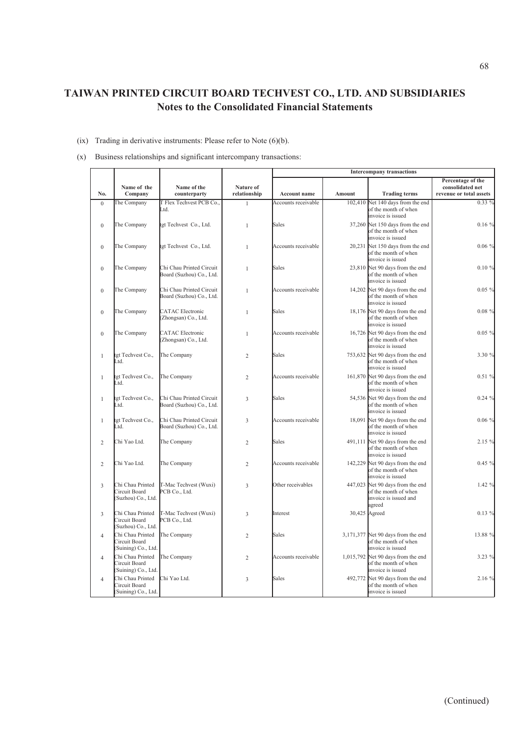- (ix) Trading in derivative instruments: Please refer to Note (6)(b).
- (x) Business relationships and significant intercompany transactions:

|                  |                                                          |                                                      |                           | <b>Intercompany transactions</b>               |  |                                                                                             |           |
|------------------|----------------------------------------------------------|------------------------------------------------------|---------------------------|------------------------------------------------|--|---------------------------------------------------------------------------------------------|-----------|
| No.              | Name of the<br>Company                                   | Name of the<br>counterparty                          | Nature of<br>relationship | Amount<br>Account name<br><b>Trading terms</b> |  | Percentage of the<br>consolidated net<br>revenue or total assets                            |           |
| $\Omega$         | The Company                                              | T Flex Techvest PCB Co.,<br>Ltd.                     | $\mathbf{1}$              | Accounts receivable                            |  | 102,410 Net 140 days from the end<br>of the month of when<br>invoice is issued              | $0.33\%$  |
| $\mathbf{0}$     | The Company                                              | tgt Techvest Co., Ltd.                               | $\mathbf{1}$              | Sales                                          |  | 37,260 Net 150 days from the end<br>of the month of when<br>invoice is issued               | 0.16%     |
| $\mathbf{0}$     | The Company                                              | tgt Techvest Co., Ltd.                               | $\mathbf{1}$              | Accounts receivable                            |  | 20,231 Net 150 days from the end<br>of the month of when<br>invoice is issued               | 0.06%     |
| $\boldsymbol{0}$ | The Company                                              | Chi Chau Printed Circuit<br>Board (Suzhou) Co., Ltd. | $\mathbf{1}$              | Sales                                          |  | 23,810 Net 90 days from the end<br>of the month of when<br>invoice is issued                | $0.10 \%$ |
| $\boldsymbol{0}$ | The Company                                              | Chi Chau Printed Circuit<br>Board (Suzhou) Co., Ltd. | $\mathbf{1}$              | Accounts receivable                            |  | 14,202 Net 90 days from the end<br>of the month of when<br>invoice is issued                | $0.05 \%$ |
| $\overline{0}$   | The Company                                              | <b>CATAC</b> Electronic<br>(Zhongsan) Co., Ltd.      | $\mathbf{1}$              | Sales                                          |  | 18,176 Net 90 days from the end<br>of the month of when<br>invoice is issued                | 0.08%     |
| $\mathbf{0}$     | The Company                                              | <b>CATAC</b> Electronic<br>(Zhongsan) Co., Ltd.      | $\mathbf{1}$              | Accounts receivable                            |  | 16,726 Net 90 days from the end<br>of the month of when<br>invoice is issued                | $0.05 \%$ |
| $\mathbf{1}$     | tgt Techvest Co.,<br>Ltd.                                | The Company                                          | $\overline{c}$            | Sales                                          |  | 753,632 Net 90 days from the end<br>of the month of when<br>invoice is issued               | 3.30 %    |
| $\mathbf{1}$     | tgt Techvest Co.,<br>Ltd.                                | The Company                                          | $\overline{c}$            | Accounts receivable                            |  | 161,870 Net 90 days from the end<br>of the month of when<br>invoice is issued               | 0.51%     |
| $\mathbf{1}$     | tgt Techvest Co.,<br>Ltd.                                | Chi Chau Printed Circuit<br>Board (Suzhou) Co., Ltd. | 3                         | Sales                                          |  | 54,536 Net 90 days from the end<br>of the month of when<br>invoice is issued                | 0.24%     |
| $\mathbf{1}$     | tgt Techvest Co.,<br>Ltd.                                | Chi Chau Printed Circuit<br>Board (Suzhou) Co., Ltd. | 3                         | Accounts receivable                            |  | 18,091 Net 90 days from the end<br>of the month of when<br>invoice is issued                | $0.06 \%$ |
| $\overline{2}$   | Chi Yao Ltd.                                             | The Company                                          | $\overline{c}$            | Sales                                          |  | 491,111 Net 90 days from the end<br>of the month of when<br>invoice is issued               | 2.15 %    |
| $\overline{2}$   | Chi Yao Ltd.                                             | The Company                                          | $\overline{2}$            | Accounts receivable                            |  | 142,229 Net 90 days from the end<br>of the month of when<br>invoice is issued               | 0.45%     |
| $\overline{3}$   | Chi Chau Printed<br>Circuit Board<br>(Suzhou) Co., Ltd.  | T-Mac Techvest (Wuxi)<br>PCB Co., Ltd.               | $\overline{\mathbf{3}}$   | Other receivables                              |  | 447,023 Net 90 days from the end<br>of the month of when<br>invoice is issued and<br>agreed | 1.42 %    |
| 3                | Chi Chau Printed<br>Circuit Board<br>(Suzhou) Co., Ltd.  | T-Mac Techvest (Wuxi)<br>PCB Co., Ltd.               | 3                         | Interest                                       |  | 30,425 Agreed                                                                               | 0.13%     |
| $\overline{4}$   | Chi Chau Printed<br>Circuit Board<br>(Suining) Co., Ltd. | The Company                                          | $\sqrt{2}$                | Sales                                          |  | $3,171,377$ Net 90 days from the end<br>of the month of when<br>invoice is issued           | 13.88 %   |
| $\overline{4}$   | Chi Chau Printed<br>Circuit Board<br>(Suining) Co., Ltd. | The Company                                          | $\sqrt{2}$                | Accounts receivable                            |  | $1,015,792$ Net 90 days from the end<br>of the month of when<br>invoice is issued           | 3.23 %    |
| $\overline{4}$   | Chi Chau Printed<br>Circuit Board<br>(Suining) Co., Ltd. | Chi Yao Ltd.                                         | 3                         | Sales                                          |  | 492,772 Net 90 days from the end<br>of the month of when<br>invoice is issued               | 2.16 %    |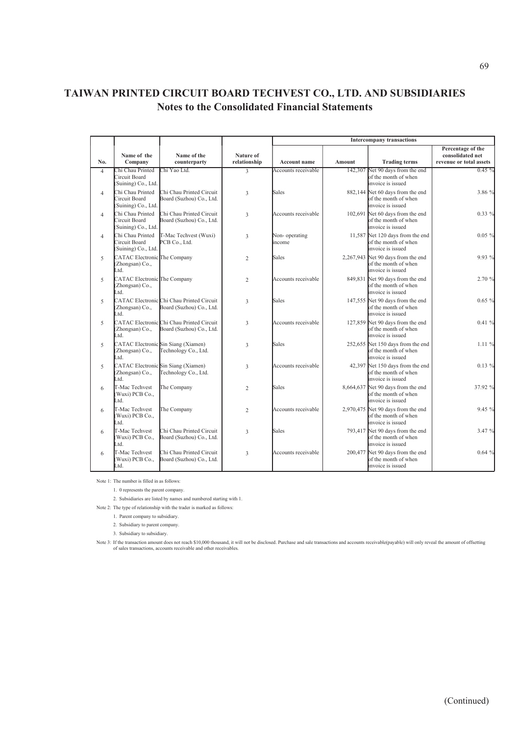|                |                                                          |                                                                       |                           | <b>Intercompany transactions</b> |        |                                                                                   |                                                                  |
|----------------|----------------------------------------------------------|-----------------------------------------------------------------------|---------------------------|----------------------------------|--------|-----------------------------------------------------------------------------------|------------------------------------------------------------------|
| No.            | Name of the<br>Company                                   | Name of the<br>counterparty                                           | Nature of<br>relationship | Account name                     | Amount | <b>Trading terms</b>                                                              | Percentage of the<br>consolidated net<br>revenue or total assets |
| $\overline{4}$ | Chi Chau Printed<br>Circuit Board<br>(Suining) Co., Ltd. | Chi Yao Ltd.                                                          | $\overline{3}$            | Accounts receivable              |        | 142,307 Net 90 days from the end<br>of the month of when<br>invoice is issued     | 0.45%                                                            |
| $\overline{4}$ | Chi Chau Printed<br>Circuit Board<br>(Suining) Co., Ltd. | Chi Chau Printed Circuit<br>Board (Suzhou) Co., Ltd.                  | 3                         | Sales                            |        | 882,144 Net 60 days from the end<br>of the month of when<br>invoice is issued     | 3.86 %                                                           |
| $\overline{4}$ | Chi Chau Printed<br>Circuit Board<br>(Suining) Co., Ltd. | Chi Chau Printed Circuit<br>Board (Suzhou) Co., Ltd.                  | 3                         | Accounts receivable              |        | 102,691 Net 60 days from the end<br>of the month of when<br>invoice is issued     | $0.33\%$                                                         |
| $\overline{4}$ | Chi Chau Printed<br>Circuit Board<br>(Suining) Co., Ltd. | T-Mac Techvest (Wuxi)<br>PCB Co., Ltd.                                | 3                         | Non-operating<br>income          |        | 11,587 Net 120 days from the end<br>of the month of when<br>invoice is issued     | $0.05\%$                                                         |
| 5              | CATAC Electronic The Company<br>(Zhongsan) Co.,<br>Ltd.  |                                                                       | $\overline{c}$            | Sales                            |        | 2,267,943 Net 90 days from the end<br>of the month of when<br>invoice is issued   | 9.93 %                                                           |
| 5              | CATAC Electronic The Company<br>(Zhongsan) Co.,<br>Ltd.  |                                                                       | $\overline{c}$            | Accounts receivable              |        | 849,831 Net 90 days from the end<br>of the month of when<br>invoice is issued     | 2.70 %                                                           |
| 5              | (Zhongsan) Co.,<br>Ltd.                                  | CATAC Electronic Chi Chau Printed Circuit<br>Board (Suzhou) Co., Ltd. | 3                         | Sales                            |        | 147,555 Net 90 days from the end<br>of the month of when<br>invoice is issued     | 0.65%                                                            |
| $\overline{5}$ | (Zhongsan) Co.,<br>Ltd.                                  | CATAC Electronic Chi Chau Printed Circuit<br>Board (Suzhou) Co., Ltd. | 3                         | Accounts receivable              |        | 127,859 Net 90 days from the end<br>of the month of when<br>invoice is issued     | 0.41%                                                            |
| 5              | (Zhongsan) Co.,<br>Ltd.                                  | CATAC Electronic Sin Siang (Xiamen)<br>Technology Co., Ltd.           | 3                         | Sales                            |        | 252,655 Net 150 days from the end<br>of the month of when<br>invoice is issued    | 1.11 %                                                           |
| 5              | (Zhongsan) Co.,<br>Ltd.                                  | CATAC Electronic Sin Siang (Xiamen)<br>Technology Co., Ltd.           | 3                         | Accounts receivable              |        | 42,397 Net 150 days from the end<br>of the month of when<br>invoice is issued     | 0.13%                                                            |
| 6              | T-Mac Techvest<br>(Wuxi) PCB Co.,<br>Ltd.                | The Company                                                           | $\overline{c}$            | Sales                            |        | 8,664,637 Net 90 days from the end<br>of the month of when<br>invoice is issued   | 37.92 %                                                          |
| 6              | T-Mac Techvest<br>(Wuxi) PCB Co.,<br>Ltd.                | The Company                                                           | $\overline{c}$            | Accounts receivable              |        | $2,970,475$ Net 90 days from the end<br>of the month of when<br>invoice is issued | 9.45 %                                                           |
| 6              | T-Mac Techvest<br>(Wuxi) PCB Co.,<br>Ltd.                | Chi Chau Printed Circuit<br>Board (Suzhou) Co., Ltd.                  | 3                         | Sales                            |        | 793,417 Net 90 days from the end<br>of the month of when<br>invoice is issued     | 3.47 %                                                           |
| 6              | T-Mac Techvest<br>(Wuxi) PCB Co.,<br>Ltd.                | Chi Chau Printed Circuit<br>Board (Suzhou) Co., Ltd.                  | $\overline{\mathbf{3}}$   | Accounts receivable              |        | 200,477 Net 90 days from the end<br>of the month of when<br>invoice is issued     | 0.64%                                                            |

Note 1: The number is filled in as follows:

1. 0 represents the parent company.

2. Subsidiaries are listed by names and numbered starting with 1.

Note 2: The type of relationship with the trader is marked as follows:

1. Parent company to subsidiary.

2. Subsidiary to parent company.

3. Subsidiary to subsidiary.

Note 3: If the transaction amount does not reach \$10,000 thousand, it will not be disclosed. Purchase and sale transactions and accounts receivable(payable) will only reveal the amount of offsetting<br>of sales transactions,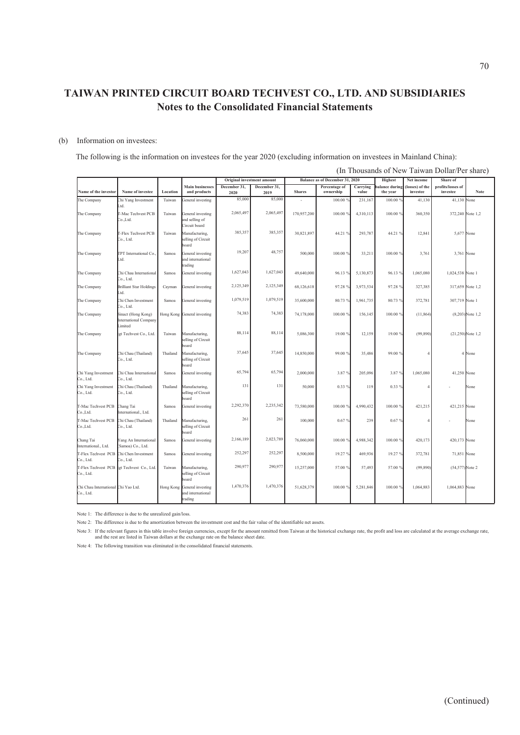#### (b) Information on investees:

The following is the information on investees for the year 2020 (excluding information on investees in Mainland China):

|                                                         |                                                        |          |                                                             | Balance as of December 31, 2020<br>Original investment amount |                      |               | Highest                    | Net income        | Share of                   | --                          |                               |                    |
|---------------------------------------------------------|--------------------------------------------------------|----------|-------------------------------------------------------------|---------------------------------------------------------------|----------------------|---------------|----------------------------|-------------------|----------------------------|-----------------------------|-------------------------------|--------------------|
| Name of the investor                                    | Name of investee                                       | Location | <b>Main businesses</b><br>and products                      | December 31,<br>2020                                          | December 31,<br>2019 | <b>Shares</b> | Percentage of<br>ownership | Carrying<br>value | balance during<br>the year | (losses) of the<br>investee | profits/losses of<br>investee | Note               |
| The Company                                             | Chi Yang Investment<br>Ltd.                            | Taiwan   | General investing                                           | 85,000                                                        | 85,000               |               | 100.00 %                   | 231,167           | 100.00 %                   | 41,130                      | 41,130 None                   |                    |
| The Company                                             | T-Mac Techvest PCB<br>Co.,Ltd.                         | Taiwan   | General investing<br>and selling of<br>Circuit board        | 2,065,497                                                     | 2,065,497            | 170,957,200   | 100.00 %                   | 4,310,113         | 100.00 %                   | 360,350                     | 372,240 Note 1,2              |                    |
| The Company                                             | T-Flex Techvest PCB<br>Co., Ltd.                       | Taiwan   | Manufacturing,<br>selling of Circuit<br>board               | 385,357                                                       | 385,357              | 30,821,897    | 44.21 %                    | 293,787           | 44.21 %                    | 12,841                      | 5,677 None                    |                    |
| The Company                                             | TPT International Co.<br>Ltd.                          | Samoa    | General investing<br>and international<br>trading           | 19,207                                                        | 48,757               | 500,000       | 100.00 %                   | 33,211            | 100.00 %                   | 3,761                       | 3,761 None                    |                    |
| The Company                                             | Chi Chau International<br>Co., Ltd.                    | Samoa    | General investing                                           | 1,627,043                                                     | 1,627,043            | 49,640,000    | 96.13%                     | 5,130,873         | 96.13 %                    | 1,065,080                   | 1,024,538 Note 1              |                    |
| The Company                                             | <b>Brilliant Star Holdings</b><br>Ltd.                 | Cayman   | General investing                                           | 2,125,349                                                     | 2,125,349            | 68,126,618    | 97.28 %                    | 3,973,534         | 97.28 %                    | 327,385                     | 317,659 Note 1,2              |                    |
| The Company                                             | Chi Chen Investment<br>Co., Ltd.                       | Samoa    | General investing                                           | 1,079,519                                                     | 1,079,519            | 35,600,000    | 80.73 %                    | 1,961,735         | 80.73 %                    | 372,781                     | 307,719 Note 1                |                    |
| The Company                                             | Sinact (Hong Kong)<br>International Company<br>Limited |          | Hong Kong General investing                                 | 74,383                                                        | 74,383               | 74,178,000    | 100.00 %                   | 156,145           | 100.00 %                   | (11, 864)                   |                               | $(8,203)$ Note 1,2 |
| The Company                                             | tgt Techvest Co., Ltd.                                 | Taiwan   | Manufacturing,<br>selling of Circuit<br>board               | 88,114                                                        | 88,114               | 5,086,300     | 19.00 %                    | 12,159            | 19.00 %                    | (99, 890)                   |                               | (21,250) Note 1,2  |
| The Company                                             | Chi Chau (Thailand)<br>Co., Ltd.                       | Thailand | Manufacturing,<br>selling of Circuit<br>board               | 37,645                                                        | 37,645               | 14,850,000    | 99.00 %                    | 35,486            | 99.00 %                    | $\Delta$                    |                               | 4 None             |
| Chi Yang Investment<br>Co., Ltd.                        | Chi Chau International<br>Co., Ltd.                    | Samoa    | General investing                                           | 65,794                                                        | 65,794               | 2,000,000     | 3.87 %                     | 205,096           | 3.87 %                     | 1,065,080                   | 41,250 None                   |                    |
| Chi Yang Investment<br>Co., Ltd.                        | Chi Chau (Thailand)<br>Co., Ltd.                       | Thailand | Manufacturing,<br>selling of Circuit<br>board               | 131                                                           | 131                  | 50,000        | 0.33%                      | 119               | 0.33%                      | $\overline{4}$              |                               | None               |
| T-Mac Techvest PCB Chang Tai<br>Co.,Ltd.                | International., Ltd.                                   | Samoa    | General investing                                           | 2,292,370                                                     | 2,235,342            | 73,580,000    | 100.00 %                   | 4,990,432         | 100.00 %                   | 421,215                     | 421,215 None                  |                    |
| T-Mac Techvest PCB<br>Co.,Ltd.                          | Chi Chau (Thailand)<br>Co., Ltd.                       | Thailand | Manufacturing,<br>selling of Circuit<br>board               | 261                                                           | 261                  | 100,000       | $0.67$ %                   | 239               | 0.67%                      | 4                           |                               | None               |
| Chang Tai<br>International., Ltd.                       | Yang An International<br>(Samoa) Co., Ltd.             | Samoa    | General investing                                           | 2,166,189                                                     | 2,023,789            | 76,060,000    | 100.00 %                   | 4,988,342         | 100.00 %                   | 420,173                     | 420,173 None                  |                    |
| T-Flex Techvest PCB<br>Co., Ltd.                        | Chi Chen Investment<br>Co., Ltd.                       | Samoa    | General investing                                           | 252,297                                                       | 252,297              | 8,500,000     | 19.27 %                    | 469,936           | 19.27 %                    | 372,781                     | 71,851 None                   |                    |
| T-Flex Techvest PCB tgt Techvest Co., Ltd.<br>Co., Ltd. |                                                        | Taiwan   | Manufacturing,<br>selling of Circuit<br>board               | 290,977                                                       | 290,977              | 15,257,000    | 57.00 %                    | 57,493            | 57.00 %                    | (99, 890)                   | (54,577) Note 2               |                    |
| Chi Chau International Chi Yao Ltd.<br>Co., Ltd.        |                                                        |          | Hong Kong General investing<br>and international<br>trading | 1,470,376                                                     | 1,470,376            | 51,628,379    | 100.00 %                   | 5,281,846         | 100.00 %                   | 1,064,883                   | 1,064,883 None                |                    |

(In Thousands of New Taiwan Dollar/Per share)

Note 1: The difference is due to the unrealized gain/loss.

Note 2: The difference is due to the amortization between the investment cost and the fair value of the identifiable net assets.

Note 3: If the relevant figures in this table involve foreign currencies, except for the amount remitted from Taiwan at the historical exchange rate, the profit and loss are calculated at the average exchange rate<br>and the

Note 4: The following transition was eliminated in the consolidated financial statements.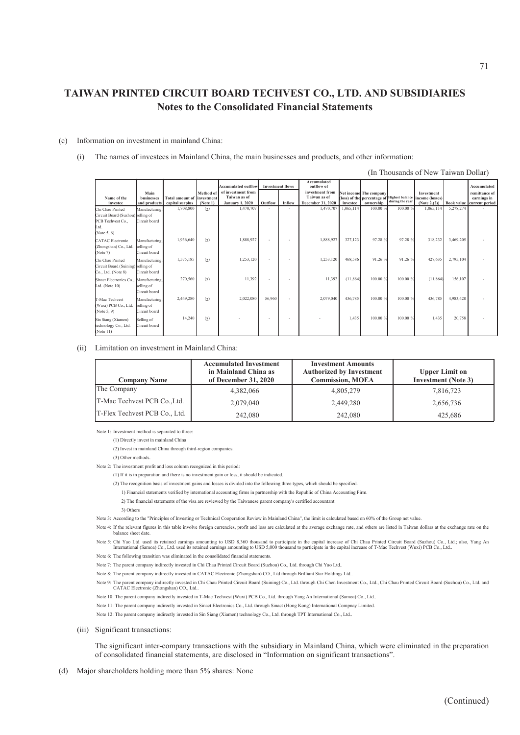#### (c) Information on investment in mainland China:

(i) The names of investees in Mainland China, the main businesses and products, and other information:

|                                                                                                   | (In Thousands of New Taiwan Dollar)           |                                               |                       |                                                                                            |                          |                                   |                                                                                          |           |                                     |                 |                                                                                              |           |                                                                          |
|---------------------------------------------------------------------------------------------------|-----------------------------------------------|-----------------------------------------------|-----------------------|--------------------------------------------------------------------------------------------|--------------------------|-----------------------------------|------------------------------------------------------------------------------------------|-----------|-------------------------------------|-----------------|----------------------------------------------------------------------------------------------|-----------|--------------------------------------------------------------------------|
| Name of the<br>investee                                                                           | Main<br>businesses<br>and products            | Total amount of investment<br>capital surplus | Method of<br>(Note 1) | <b>Accumulated outflow</b><br>of investment from<br>Taiwan as of<br><b>January 1, 2020</b> | Outflow                  | <b>Investment flows</b><br>Inflow | Accumulated<br>outflow of<br>investment from<br>Taiwan as of<br><b>December 31, 2020</b> | investee  | Net income The company<br>ownership | during the year | Investment<br>(loss) of the percentage of Highest balance income (losses)<br>(Note $2.(2)$ ) |           | Accumulated<br>remittance of<br>earnings in<br>Book value current period |
| Chi Chau Printed<br>Circuit Board (Suzhou) selling of<br>PCB Techvest Co.,<br>Ltd.<br>(Note 5, 6) | Manufacturing,<br>Circuit board               | 1,708,800                                     | (2)                   | 1,470,707                                                                                  |                          |                                   | 1,470,707                                                                                | 1.065.114 | 100.00 %                            | 100.00 %        | 1,065,114                                                                                    | 5,278,274 |                                                                          |
| <b>CATAC</b> Electronic<br>(Zhongshan) Co., Ltd.<br>(Note 7)                                      | Manufacturing,<br>selling of<br>Circuit board | 1,936,640                                     | (2)                   | 1,888,927                                                                                  | $\sim$                   |                                   | 1,888,927                                                                                | 327,123   | 97.28 %                             | 97.28 %         | 318,232                                                                                      | 3,469,205 |                                                                          |
| Chi Chau Printed<br>Circuit Board (Suining) selling of<br>Co., Ltd. (Note 8)                      | Manufacturing,<br>Circuit board               | 1,575,185                                     | (2)                   | 1,253,120                                                                                  | $\sim$                   |                                   | 1,253,120                                                                                | 468,586   | 91.26 %                             | 91.26 %         | 427,635                                                                                      | 2,795,104 |                                                                          |
| Sinact Electronics Co.,<br>Ltd. (Note 10)                                                         | Manufacturing,<br>selling of<br>Circuit board | 270,560                                       | (2)                   | 11,392                                                                                     | $\sim$                   | $\sim$                            | 11,392                                                                                   | (11, 864) | 100.00 %                            | 100.00 %        | (11, 864)                                                                                    | 156,107   |                                                                          |
| T-Mac Techvest<br>(Wuxi) PCB Co., Ltd<br>(Note 5, 9)                                              | Manufacturing,<br>selling of<br>Circuit board | 2,449,280                                     | (2)                   | 2,022,080                                                                                  | 56,960                   |                                   | 2,079,040                                                                                | 436,785   | 100.00 %                            | 100.00 %        | 436,785                                                                                      | 4.983.428 |                                                                          |
| Sin Siang (Xiamen)<br>technology Co., Ltd.<br>(Note 11)                                           | Selling of<br>Circuit board                   | 14,240                                        | (2)                   |                                                                                            | $\overline{\phantom{a}}$ |                                   |                                                                                          | 1,435     | 100.00 %                            | 100.00 %        | 1,435                                                                                        | 20,758    |                                                                          |

(ii) Limitation on investment in Mainland China:

| <b>Company Name</b>           | <b>Accumulated Investment</b><br>in Mainland China as<br>of December 31, 2020 | <b>Investment Amounts</b><br><b>Authorized by Investment</b><br><b>Commission, MOEA</b> | <b>Upper Limit on</b><br><b>Investment</b> (Note 3) |
|-------------------------------|-------------------------------------------------------------------------------|-----------------------------------------------------------------------------------------|-----------------------------------------------------|
| The Company                   | 4,382,066                                                                     | 4,805,279                                                                               | 7,816,723                                           |
| T-Mac Techvest PCB Co., Ltd.  | 2,079,040                                                                     | 2,449,280                                                                               | 2,656,736                                           |
| T-Flex Techvest PCB Co., Ltd. | 242,080                                                                       | 242,080                                                                                 | 425,686                                             |

Note 1: Investment method is separated to three:

(1) Directly invest in mainland China

(2) Invest in mainland China through third-region companies.

(3) Other methods.

Note 2: The investment profit and loss column recognized in this period:

(1) If it is in preparation and there is no investment gain or loss, it should be indicated.

(2) The recognition basis of investment gains and losses is divided into the following three types, which should be specified.

1) Financial statements verified by international accounting firms in partnership with the Republic of China Accounting Firm.

- 2) The financial statements of the visa are reviewed by the Taiwanese parent company's certified accountant.
- 3) Others

Note 3: According to the "Principles of Investing or Technical Cooperation Review in Mainland China", the limit is calculated based on 60% of the Group net value.

- Note 4: If the relevant figures in this table involve foreign currencies, profit and loss are calculated at the average exchange rate, and others are listed in Taiwan dollars at the exchange rate on the balance sheet date.
- Note 5: Chi Yao Ltd. used its retained earnings amounting to USD 8,360 thousand to participate in the capital increase of Chi Chau Printed Circuit Board (Suzhou) Co., Ltd.; also, Yang An International (Samoa) Co., Ltd. used its retained earnings amounting to USD 5,000 thousand to participate in the capital increase of T-Mac Techvest (Wuxi) PCB Co., Ltd..

Note 6: The following transition was eliminated in the consolidated financial statements.

Note 7: The parent company indirectly invested in Chi Chau Printed Circuit Board (Suzhou) Co., Ltd. through Chi Yao Ltd..

Note 8: The parent company indirectly invested in CATAC Electronic (Zhongshan) CO., Ltd through Brilliant Star Holdings Ltd..

Note 9: The parent company indirectly invested in Chi Chau Printed Circuit Board (Suining) Co., Ltd. through Chi Chen Investment Co., Ltd., Chi Chau Printed Circuit Board (Suzhou) Co., Ltd. and CATAC Electronic (Zhongshan)

Note 10: The parent company indirectly invested in T-Mac Techvest (Wuxi) PCB Co., Ltd. through Yang An International (Samoa) Co., Ltd..

Note 11: The parent company indirectly invested in Sinact Electronics Co., Ltd. through Sinact (Hong Kong) International Compnay Limited.

Note 12: The parent company indirectly invested in Sin Siang (Xiamen) technology Co., Ltd. through TPT International Co., Ltd..

(iii) Significant transactions:

The significant inter-company transactions with the subsidiary in Mainland China, which were eliminated in the preparation of consolidated financial statements, are disclosed in "Information on significant transactions".

(d) Major shareholders holding more than 5% shares: None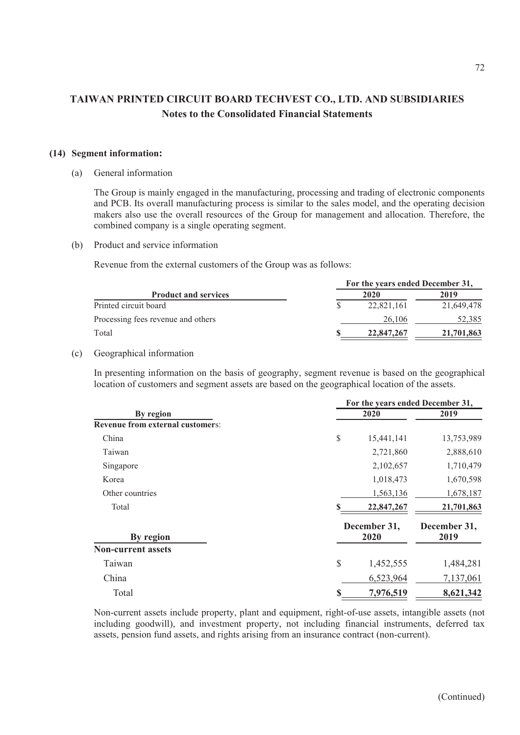#### **(14) Segment information:**

(a) General information

The Group is mainly engaged in the manufacturing, processing and trading of electronic components and PCB. Its overall manufacturing process is similar to the sales model, and the operating decision makers also use the overall resources of the Group for management and allocation. Therefore, the combined company is a single operating segment.

(b) Product and service information

Revenue from the external customers of the Group was as follows:

|                                    | For the years ended December 31, |            |            |  |  |
|------------------------------------|----------------------------------|------------|------------|--|--|
| <b>Product and services</b>        |                                  | 2019       |            |  |  |
| Printed circuit board              |                                  | 22,821,161 | 21,649,478 |  |  |
| Processing fees revenue and others |                                  | 26,106     | 52,385     |  |  |
| Total                              |                                  | 22,847,267 | 21,701,863 |  |  |

#### (c) Geographical information

In presenting information on the basis of geography, segment revenue is based on the geographical location of customers and segment assets are based on the geographical location of the assets.

|                                         |      |                      | For the years ended December 31, |  |
|-----------------------------------------|------|----------------------|----------------------------------|--|
| By region                               | 2020 |                      | 2019                             |  |
| <b>Revenue from external customers:</b> |      |                      |                                  |  |
| China                                   | \$   | 15,441,141           | 13,753,989                       |  |
| Taiwan                                  |      | 2,721,860            | 2,888,610                        |  |
| Singapore                               |      | 2,102,657            | 1,710,479                        |  |
| Korea                                   |      | 1,018,473            | 1,670,598                        |  |
| Other countries                         |      | 1,563,136            | 1,678,187                        |  |
| Total                                   |      | 22,847,267           | 21,701,863                       |  |
| By region                               |      | December 31,<br>2020 | December 31,<br>2019             |  |
| <b>Non-current assets</b>               |      |                      |                                  |  |
| Taiwan                                  | \$   | 1,452,555            | 1,484,281                        |  |
| China                                   |      | 6,523,964            | 7,137,061                        |  |
| Total                                   | S    | 7,976,519            | 8,621,342                        |  |

Non-current assets include property, plant and equipment, right-of-use assets, intangible assets (not including goodwill), and investment property, not including financial instruments, deferred tax assets, pension fund assets, and rights arising from an insurance contract (non-current).